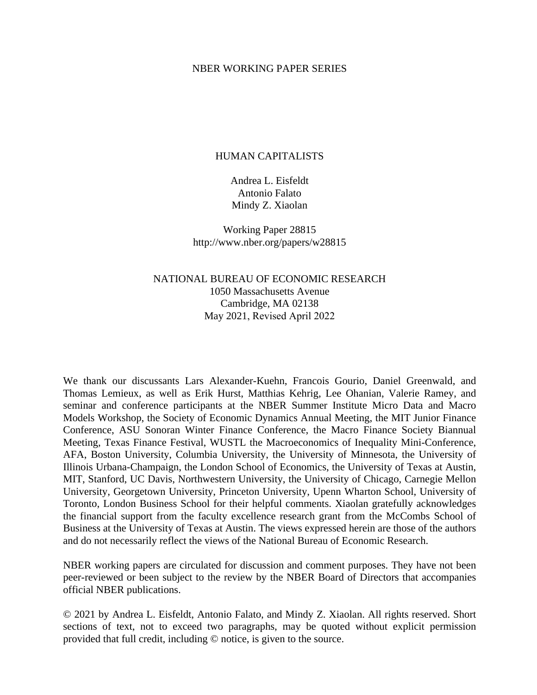## NBER WORKING PAPER SERIES

## HUMAN CAPITALISTS

Andrea L. Eisfeldt Antonio Falato Mindy Z. Xiaolan

Working Paper 28815 http://www.nber.org/papers/w28815

# NATIONAL BUREAU OF ECONOMIC RESEARCH 1050 Massachusetts Avenue Cambridge, MA 02138 May 2021, Revised April 2022

We thank our discussants Lars Alexander-Kuehn, Francois Gourio, Daniel Greenwald, and Thomas Lemieux, as well as Erik Hurst, Matthias Kehrig, Lee Ohanian, Valerie Ramey, and seminar and conference participants at the NBER Summer Institute Micro Data and Macro Models Workshop, the Society of Economic Dynamics Annual Meeting, the MIT Junior Finance Conference, ASU Sonoran Winter Finance Conference, the Macro Finance Society Biannual Meeting, Texas Finance Festival, WUSTL the Macroeconomics of Inequality Mini-Conference, AFA, Boston University, Columbia University, the University of Minnesota, the University of Illinois Urbana-Champaign, the London School of Economics, the University of Texas at Austin, MIT, Stanford, UC Davis, Northwestern University, the University of Chicago, Carnegie Mellon University, Georgetown University, Princeton University, Upenn Wharton School, University of Toronto, London Business School for their helpful comments. Xiaolan gratefully acknowledges the financial support from the faculty excellence research grant from the McCombs School of Business at the University of Texas at Austin. The views expressed herein are those of the authors and do not necessarily reflect the views of the National Bureau of Economic Research.

NBER working papers are circulated for discussion and comment purposes. They have not been peer-reviewed or been subject to the review by the NBER Board of Directors that accompanies official NBER publications.

© 2021 by Andrea L. Eisfeldt, Antonio Falato, and Mindy Z. Xiaolan. All rights reserved. Short sections of text, not to exceed two paragraphs, may be quoted without explicit permission provided that full credit, including © notice, is given to the source.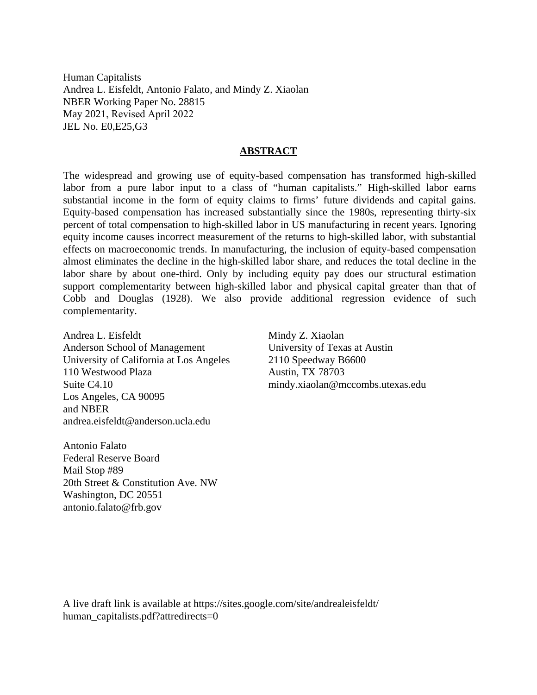Human Capitalists Andrea L. Eisfeldt, Antonio Falato, and Mindy Z. Xiaolan NBER Working Paper No. 28815 May 2021, Revised April 2022 JEL No. E0,E25,G3

## **ABSTRACT**

The widespread and growing use of equity-based compensation has transformed high-skilled labor from a pure labor input to a class of "human capitalists." High-skilled labor earns substantial income in the form of equity claims to firms' future dividends and capital gains. Equity-based compensation has increased substantially since the 1980s, representing thirty-six percent of total compensation to high-skilled labor in US manufacturing in recent years. Ignoring equity income causes incorrect measurement of the returns to high-skilled labor, with substantial effects on macroeconomic trends. In manufacturing, the inclusion of equity-based compensation almost eliminates the decline in the high-skilled labor share, and reduces the total decline in the labor share by about one-third. Only by including equity pay does our structural estimation support complementarity between high-skilled labor and physical capital greater than that of Cobb and Douglas (1928). We also provide additional regression evidence of such complementarity.

Andrea L. Eisfeldt Anderson School of Management University of California at Los Angeles 110 Westwood Plaza Suite C4.10 Los Angeles, CA 90095 and NBER andrea.eisfeldt@anderson.ucla.edu

Antonio Falato Federal Reserve Board Mail Stop #89 20th Street & Constitution Ave. NW Washington, DC 20551 antonio.falato@frb.gov

Mindy Z. Xiaolan University of Texas at Austin 2110 Speedway B6600 Austin, TX 78703 mindy.xiaolan@mccombs.utexas.edu

A live draft link is available at https://sites.google.com/site/andrealeisfeldt/ human\_capitalists.pdf?attredirects=0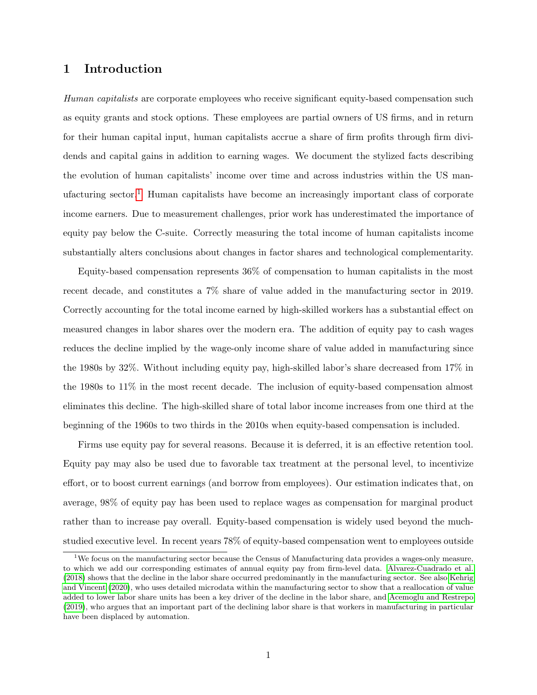# 1 Introduction

Human capitalists are corporate employees who receive significant equity-based compensation such as equity grants and stock options. These employees are partial owners of US firms, and in return for their human capital input, human capitalists accrue a share of firm profits through firm dividends and capital gains in addition to earning wages. We document the stylized facts describing the evolution of human capitalists' income over time and across industries within the US man-ufacturing sector.<sup>[1](#page-2-0)</sup> Human capitalists have become an increasingly important class of corporate income earners. Due to measurement challenges, prior work has underestimated the importance of equity pay below the C-suite. Correctly measuring the total income of human capitalists income substantially alters conclusions about changes in factor shares and technological complementarity.

Equity-based compensation represents 36% of compensation to human capitalists in the most recent decade, and constitutes a 7% share of value added in the manufacturing sector in 2019. Correctly accounting for the total income earned by high-skilled workers has a substantial effect on measured changes in labor shares over the modern era. The addition of equity pay to cash wages reduces the decline implied by the wage-only income share of value added in manufacturing since the 1980s by 32%. Without including equity pay, high-skilled labor's share decreased from 17% in the 1980s to 11% in the most recent decade. The inclusion of equity-based compensation almost eliminates this decline. The high-skilled share of total labor income increases from one third at the beginning of the 1960s to two thirds in the 2010s when equity-based compensation is included.

Firms use equity pay for several reasons. Because it is deferred, it is an effective retention tool. Equity pay may also be used due to favorable tax treatment at the personal level, to incentivize effort, or to boost current earnings (and borrow from employees). Our estimation indicates that, on average, 98% of equity pay has been used to replace wages as compensation for marginal product rather than to increase pay overall. Equity-based compensation is widely used beyond the muchstudied executive level. In recent years 78% of equity-based compensation went to employees outside

<span id="page-2-0"></span><sup>1</sup>We focus on the manufacturing sector because the Census of Manufacturing data provides a wages-only measure, to which we add our corresponding estimates of annual equity pay from firm-level data. [Alvarez-Cuadrado et al.](#page-43-0) [\(2018\)](#page-43-0) shows that the decline in the labor share occurred predominantly in the manufacturing sector. See also [Kehrig](#page-45-0) [and Vincent](#page-45-0) [\(2020\)](#page-45-0), who uses detailed microdata within the manufacturing sector to show that a reallocation of value added to lower labor share units has been a key driver of the decline in the labor share, and [Acemoglu and Restrepo](#page-43-1) [\(2019\)](#page-43-1), who argues that an important part of the declining labor share is that workers in manufacturing in particular have been displaced by automation.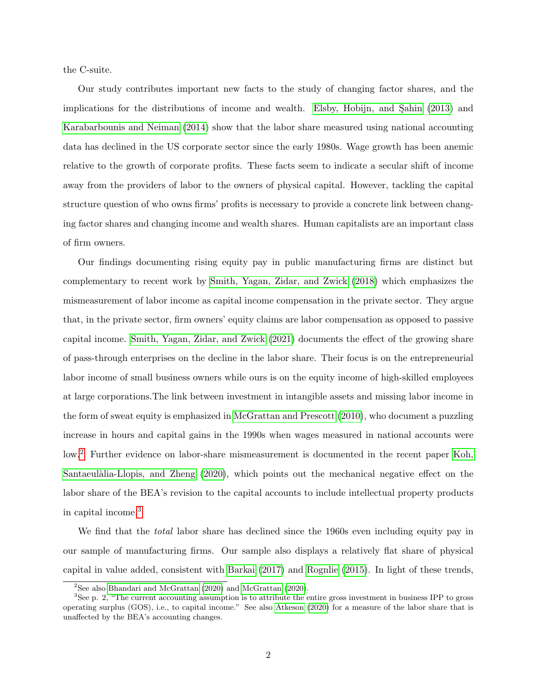the C-suite.

Our study contributes important new facts to the study of changing factor shares, and the implications for the distributions of income and wealth. Elsby, Hobijn, and Sahin  $(2013)$  and [Karabarbounis and Neiman](#page-45-1) [\(2014\)](#page-45-1) show that the labor share measured using national accounting data has declined in the US corporate sector since the early 1980s. Wage growth has been anemic relative to the growth of corporate profits. These facts seem to indicate a secular shift of income away from the providers of labor to the owners of physical capital. However, tackling the capital structure question of who owns firms' profits is necessary to provide a concrete link between changing factor shares and changing income and wealth shares. Human capitalists are an important class of firm owners.

Our findings documenting rising equity pay in public manufacturing firms are distinct but complementary to recent work by [Smith, Yagan, Zidar, and Zwick](#page-46-0) [\(2018\)](#page-46-0) which emphasizes the mismeasurement of labor income as capital income compensation in the private sector. They argue that, in the private sector, firm owners' equity claims are labor compensation as opposed to passive capital income. [Smith, Yagan, Zidar, and Zwick](#page-46-1) [\(2021\)](#page-46-1) documents the effect of the growing share of pass-through enterprises on the decline in the labor share. Their focus is on the entrepreneurial labor income of small business owners while ours is on the equity income of high-skilled employees at large corporations.The link between investment in intangible assets and missing labor income in the form of sweat equity is emphasized in [McGrattan and Prescott](#page-45-2) [\(2010\)](#page-45-2), who document a puzzling increase in hours and capital gains in the 1990s when wages measured in national accounts were low.[2](#page-3-0) Further evidence on labor-share mismeasurement is documented in the recent paper [Koh,](#page-45-3) Santaeulàlia-Llopis, and Zheng [\(2020\)](#page-45-3), which points out the mechanical negative effect on the labor share of the BEA's revision to the capital accounts to include intellectual property products in capital income.[3](#page-3-1)

We find that the *total* labor share has declined since the 1960s even including equity pay in our sample of manufacturing firms. Our sample also displays a relatively flat share of physical capital in value added, consistent with [Barkai](#page-43-2) [\(2017\)](#page-43-2) and [Rognlie](#page-46-2) [\(2015\)](#page-46-2). In light of these trends,

<span id="page-3-1"></span><span id="page-3-0"></span><sup>&</sup>lt;sup>2</sup>See also [Bhandari and McGrattan](#page-43-3)  $(2020)$  and [McGrattan](#page-45-4)  $(2020)$ .

 ${}^{3}$ See p. 2, "The current accounting assumption is to attribute the entire gross investment in business IPP to gross operating surplus (GOS), i.e., to capital income." See also [Atkeson](#page-43-4) [\(2020\)](#page-43-4) for a measure of the labor share that is unaffected by the BEA's accounting changes.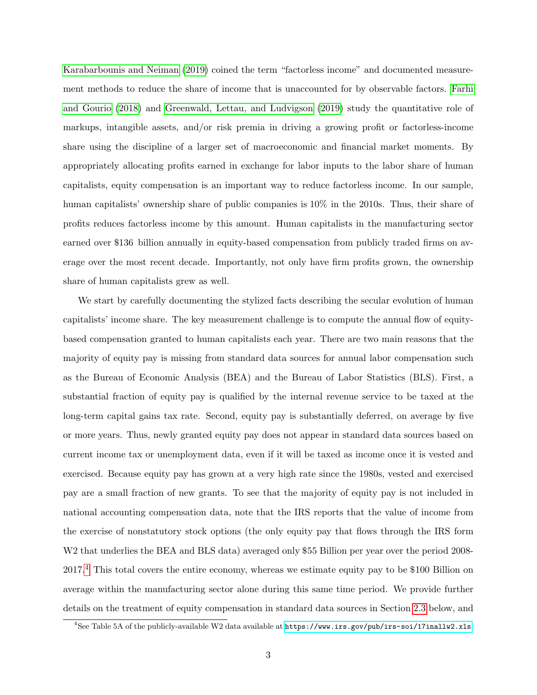[Karabarbounis and Neiman](#page-45-5) [\(2019\)](#page-45-5) coined the term "factorless income" and documented measurement methods to reduce the share of income that is unaccounted for by observable factors. [Farhi](#page-44-1) [and Gourio](#page-44-1) [\(2018\)](#page-44-1) and [Greenwald, Lettau, and Ludvigson](#page-44-2) [\(2019\)](#page-44-2) study the quantitative role of markups, intangible assets, and/or risk premia in driving a growing profit or factorless-income share using the discipline of a larger set of macroeconomic and financial market moments. By appropriately allocating profits earned in exchange for labor inputs to the labor share of human capitalists, equity compensation is an important way to reduce factorless income. In our sample, human capitalists' ownership share of public companies is 10% in the 2010s. Thus, their share of profits reduces factorless income by this amount. Human capitalists in the manufacturing sector earned over \$136 billion annually in equity-based compensation from publicly traded firms on average over the most recent decade. Importantly, not only have firm profits grown, the ownership share of human capitalists grew as well.

We start by carefully documenting the stylized facts describing the secular evolution of human capitalists' income share. The key measurement challenge is to compute the annual flow of equitybased compensation granted to human capitalists each year. There are two main reasons that the majority of equity pay is missing from standard data sources for annual labor compensation such as the Bureau of Economic Analysis (BEA) and the Bureau of Labor Statistics (BLS). First, a substantial fraction of equity pay is qualified by the internal revenue service to be taxed at the long-term capital gains tax rate. Second, equity pay is substantially deferred, on average by five or more years. Thus, newly granted equity pay does not appear in standard data sources based on current income tax or unemployment data, even if it will be taxed as income once it is vested and exercised. Because equity pay has grown at a very high rate since the 1980s, vested and exercised pay are a small fraction of new grants. To see that the majority of equity pay is not included in national accounting compensation data, note that the IRS reports that the value of income from the exercise of nonstatutory stock options (the only equity pay that flows through the IRS form W2 that underlies the BEA and BLS data) averaged only \$55 Billion per year over the period 2008-2017.[4](#page-4-0) This total covers the entire economy, whereas we estimate equity pay to be \$100 Billion on average within the manufacturing sector alone during this same time period. We provide further details on the treatment of equity compensation in standard data sources in Section [2.3](#page-17-0) below, and

<span id="page-4-0"></span><sup>&</sup>lt;sup>4</sup>See Table 5A of the publicly-available W2 data available at  $https://www.irs.gov/pub/irs-soi/17inallw2.xls.$  $https://www.irs.gov/pub/irs-soi/17inallw2.xls.$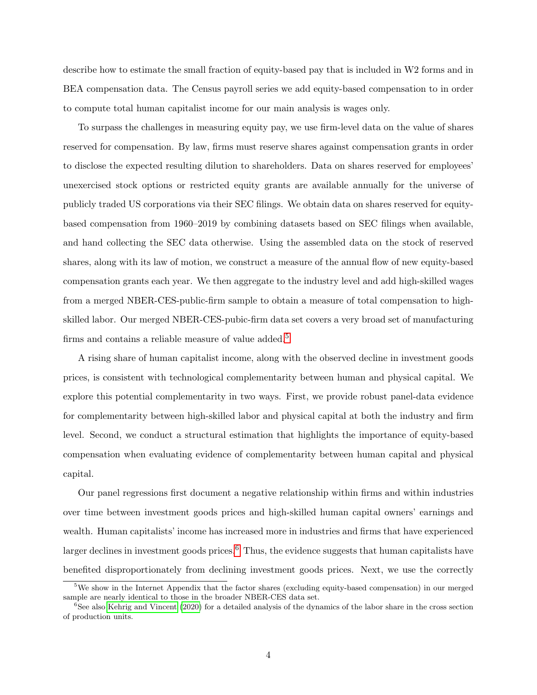describe how to estimate the small fraction of equity-based pay that is included in W2 forms and in BEA compensation data. The Census payroll series we add equity-based compensation to in order to compute total human capitalist income for our main analysis is wages only.

To surpass the challenges in measuring equity pay, we use firm-level data on the value of shares reserved for compensation. By law, firms must reserve shares against compensation grants in order to disclose the expected resulting dilution to shareholders. Data on shares reserved for employees' unexercised stock options or restricted equity grants are available annually for the universe of publicly traded US corporations via their SEC filings. We obtain data on shares reserved for equitybased compensation from 1960–2019 by combining datasets based on SEC filings when available, and hand collecting the SEC data otherwise. Using the assembled data on the stock of reserved shares, along with its law of motion, we construct a measure of the annual flow of new equity-based compensation grants each year. We then aggregate to the industry level and add high-skilled wages from a merged NBER-CES-public-firm sample to obtain a measure of total compensation to highskilled labor. Our merged NBER-CES-pubic-firm data set covers a very broad set of manufacturing firms and contains a reliable measure of value added.<sup>[5](#page-5-0)</sup>

A rising share of human capitalist income, along with the observed decline in investment goods prices, is consistent with technological complementarity between human and physical capital. We explore this potential complementarity in two ways. First, we provide robust panel-data evidence for complementarity between high-skilled labor and physical capital at both the industry and firm level. Second, we conduct a structural estimation that highlights the importance of equity-based compensation when evaluating evidence of complementarity between human capital and physical capital.

Our panel regressions first document a negative relationship within firms and within industries over time between investment goods prices and high-skilled human capital owners' earnings and wealth. Human capitalists' income has increased more in industries and firms that have experienced larger declines in investment goods prices.<sup>[6](#page-5-1)</sup> Thus, the evidence suggests that human capitalists have benefited disproportionately from declining investment goods prices. Next, we use the correctly

<span id="page-5-0"></span><sup>5</sup>We show in the Internet Appendix that the factor shares (excluding equity-based compensation) in our merged sample are nearly identical to those in the broader NBER-CES data set.

<span id="page-5-1"></span> $6$ See also [Kehrig and Vincent](#page-45-0) [\(2020\)](#page-45-0) for a detailed analysis of the dynamics of the labor share in the cross section of production units.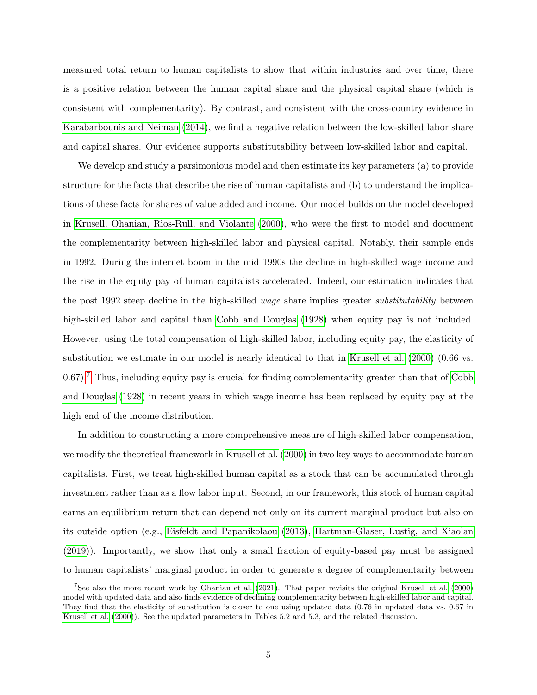measured total return to human capitalists to show that within industries and over time, there is a positive relation between the human capital share and the physical capital share (which is consistent with complementarity). By contrast, and consistent with the cross-country evidence in [Karabarbounis and Neiman](#page-45-1) [\(2014\)](#page-45-1), we find a negative relation between the low-skilled labor share and capital shares. Our evidence supports substitutability between low-skilled labor and capital.

We develop and study a parsimonious model and then estimate its key parameters (a) to provide structure for the facts that describe the rise of human capitalists and (b) to understand the implications of these facts for shares of value added and income. Our model builds on the model developed in Krusell, Ohanian, Rìos-Rull, and Violante [\(2000\)](#page-45-6), who were the first to model and document the complementarity between high-skilled labor and physical capital. Notably, their sample ends in 1992. During the internet boom in the mid 1990s the decline in high-skilled wage income and the rise in the equity pay of human capitalists accelerated. Indeed, our estimation indicates that the post 1992 steep decline in the high-skilled *wage* share implies greater *substitutability* between high-skilled labor and capital than [Cobb and Douglas](#page-44-3) [\(1928\)](#page-44-3) when equity pay is not included. However, using the total compensation of high-skilled labor, including equity pay, the elasticity of substitution we estimate in our model is nearly identical to that in [Krusell et al.](#page-45-6) [\(2000\)](#page-45-6) (0.66 vs.  $(0.67)$  $(0.67)$  $(0.67)$ .<sup>7</sup> Thus, including equity pay is crucial for finding complementarity greater than that of [Cobb](#page-44-3) [and Douglas](#page-44-3) [\(1928\)](#page-44-3) in recent years in which wage income has been replaced by equity pay at the high end of the income distribution.

In addition to constructing a more comprehensive measure of high-skilled labor compensation, we modify the theoretical framework in [Krusell et al.](#page-45-6) [\(2000\)](#page-45-6) in two key ways to accommodate human capitalists. First, we treat high-skilled human capital as a stock that can be accumulated through investment rather than as a flow labor input. Second, in our framework, this stock of human capital earns an equilibrium return that can depend not only on its current marginal product but also on its outside option (e.g., [Eisfeldt and Papanikolaou](#page-44-4) [\(2013\)](#page-44-4), [Hartman-Glaser, Lustig, and Xiaolan](#page-45-7) [\(2019\)](#page-45-7)). Importantly, we show that only a small fraction of equity-based pay must be assigned to human capitalists' marginal product in order to generate a degree of complementarity between

<span id="page-6-0"></span><sup>7</sup>See also the more recent work by [Ohanian et al.](#page-45-8) [\(2021\)](#page-45-8). That paper revisits the original [Krusell et al.](#page-45-6) [\(2000\)](#page-45-6) model with updated data and also finds evidence of declining complementarity between high-skilled labor and capital. They find that the elasticity of substitution is closer to one using updated data (0.76 in updated data vs. 0.67 in [Krusell et al.](#page-45-6) [\(2000\)](#page-45-6)). See the updated parameters in Tables 5.2 and 5.3, and the related discussion.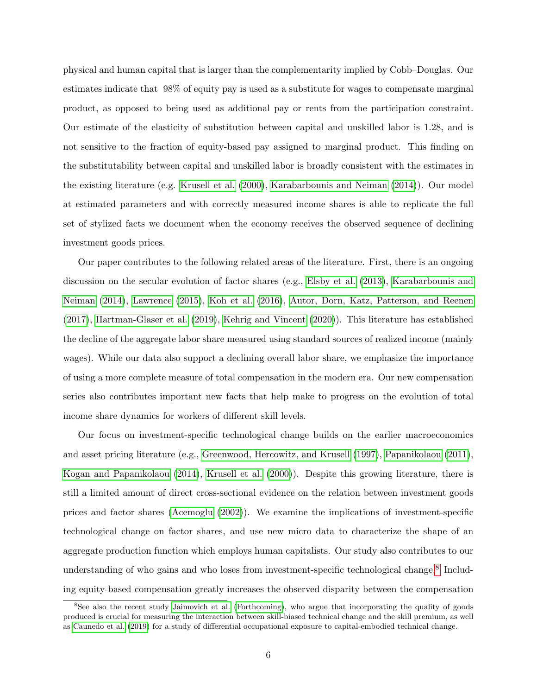physical and human capital that is larger than the complementarity implied by Cobb–Douglas. Our estimates indicate that 98% of equity pay is used as a substitute for wages to compensate marginal product, as opposed to being used as additional pay or rents from the participation constraint. Our estimate of the elasticity of substitution between capital and unskilled labor is 1.28, and is not sensitive to the fraction of equity-based pay assigned to marginal product. This finding on the substitutability between capital and unskilled labor is broadly consistent with the estimates in the existing literature (e.g. [Krusell et al.](#page-45-6) [\(2000\)](#page-45-6), [Karabarbounis and Neiman](#page-45-1) [\(2014\)](#page-45-1)). Our model at estimated parameters and with correctly measured income shares is able to replicate the full set of stylized facts we document when the economy receives the observed sequence of declining investment goods prices.

Our paper contributes to the following related areas of the literature. First, there is an ongoing discussion on the secular evolution of factor shares (e.g., [Elsby et al.](#page-44-0) [\(2013\)](#page-44-0), [Karabarbounis and](#page-45-1) [Neiman](#page-45-1) [\(2014\)](#page-45-1), [Lawrence](#page-45-9) [\(2015\)](#page-45-9), [Koh et al.](#page-45-10) [\(2016\)](#page-45-10), [Autor, Dorn, Katz, Patterson, and Reenen](#page-43-5) [\(2017\)](#page-43-5), [Hartman-Glaser et al.](#page-45-7) [\(2019\)](#page-45-7), [Kehrig and Vincent](#page-45-0) [\(2020\)](#page-45-0)). This literature has established the decline of the aggregate labor share measured using standard sources of realized income (mainly wages). While our data also support a declining overall labor share, we emphasize the importance of using a more complete measure of total compensation in the modern era. Our new compensation series also contributes important new facts that help make to progress on the evolution of total income share dynamics for workers of different skill levels.

Our focus on investment-specific technological change builds on the earlier macroeconomics and asset pricing literature (e.g., [Greenwood, Hercowitz, and Krusell](#page-44-5) [\(1997\)](#page-44-5), [Papanikolaou](#page-46-3) [\(2011\)](#page-46-3), [Kogan and Papanikolaou](#page-45-11) [\(2014\)](#page-45-11), [Krusell et al.](#page-45-6) [\(2000\)](#page-45-6)). Despite this growing literature, there is still a limited amount of direct cross-sectional evidence on the relation between investment goods prices and factor shares [\(Acemoglu](#page-43-6) [\(2002\)](#page-43-6)). We examine the implications of investment-specific technological change on factor shares, and use new micro data to characterize the shape of an aggregate production function which employs human capitalists. Our study also contributes to our understanding of who gains and who loses from investment-specific technological change.<sup>[8](#page-7-0)</sup> Including equity-based compensation greatly increases the observed disparity between the compensation

<span id="page-7-0"></span><sup>8</sup>See also the recent study [Jaimovich et al.](#page-45-12) [\(Forthcoming\)](#page-45-12), who argue that incorporating the quality of goods produced is crucial for measuring the interaction between skill-biased technical change and the skill premium, as well as [Caunedo et al.](#page-44-6) [\(2019\)](#page-44-6) for a study of differential occupational exposure to capital-embodied technical change.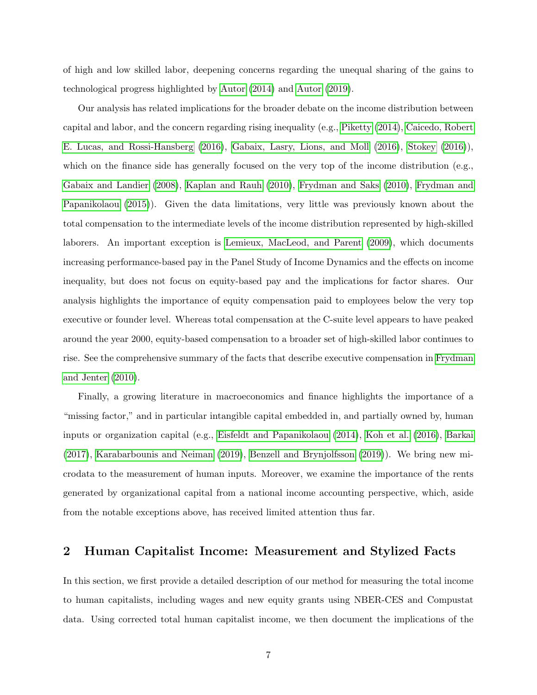of high and low skilled labor, deepening concerns regarding the unequal sharing of the gains to technological progress highlighted by [Autor](#page-43-7) [\(2014\)](#page-43-7) and [Autor](#page-43-8) [\(2019\)](#page-43-8).

Our analysis has related implications for the broader debate on the income distribution between capital and labor, and the concern regarding rising inequality (e.g., [Piketty](#page-46-4) [\(2014\)](#page-46-4), [Caicedo, Robert](#page-43-9) [E. Lucas, and Rossi-Hansberg](#page-43-9) [\(2016\)](#page-43-9), [Gabaix, Lasry, Lions, and Moll](#page-44-7) [\(2016\)](#page-44-7), [Stokey](#page-46-5) [\(2016\)](#page-46-5)), which on the finance side has generally focused on the very top of the income distribution (e.g., [Gabaix and Landier](#page-44-8) [\(2008\)](#page-44-8), [Kaplan and Rauh](#page-45-13) [\(2010\)](#page-45-13), [Frydman and Saks](#page-44-9) [\(2010\)](#page-44-9), [Frydman and](#page-44-10) [Papanikolaou](#page-44-10) [\(2015\)](#page-44-10)). Given the data limitations, very little was previously known about the total compensation to the intermediate levels of the income distribution represented by high-skilled laborers. An important exception is [Lemieux, MacLeod, and Parent](#page-45-14) [\(2009\)](#page-45-14), which documents increasing performance-based pay in the Panel Study of Income Dynamics and the effects on income inequality, but does not focus on equity-based pay and the implications for factor shares. Our analysis highlights the importance of equity compensation paid to employees below the very top executive or founder level. Whereas total compensation at the C-suite level appears to have peaked around the year 2000, equity-based compensation to a broader set of high-skilled labor continues to rise. See the comprehensive summary of the facts that describe executive compensation in [Frydman](#page-44-11) [and Jenter](#page-44-11) [\(2010\)](#page-44-11).

Finally, a growing literature in macroeconomics and finance highlights the importance of a "missing factor," and in particular intangible capital embedded in, and partially owned by, human inputs or organization capital (e.g., [Eisfeldt and Papanikolaou](#page-44-12) [\(2014\)](#page-44-12), [Koh et al.](#page-45-10) [\(2016\)](#page-45-10), [Barkai](#page-43-2) [\(2017\)](#page-43-2), [Karabarbounis and Neiman](#page-45-5) [\(2019\)](#page-45-5), [Benzell and Brynjolfsson](#page-43-10) [\(2019\)](#page-43-10)). We bring new microdata to the measurement of human inputs. Moreover, we examine the importance of the rents generated by organizational capital from a national income accounting perspective, which, aside from the notable exceptions above, has received limited attention thus far.

## 2 Human Capitalist Income: Measurement and Stylized Facts

In this section, we first provide a detailed description of our method for measuring the total income to human capitalists, including wages and new equity grants using NBER-CES and Compustat data. Using corrected total human capitalist income, we then document the implications of the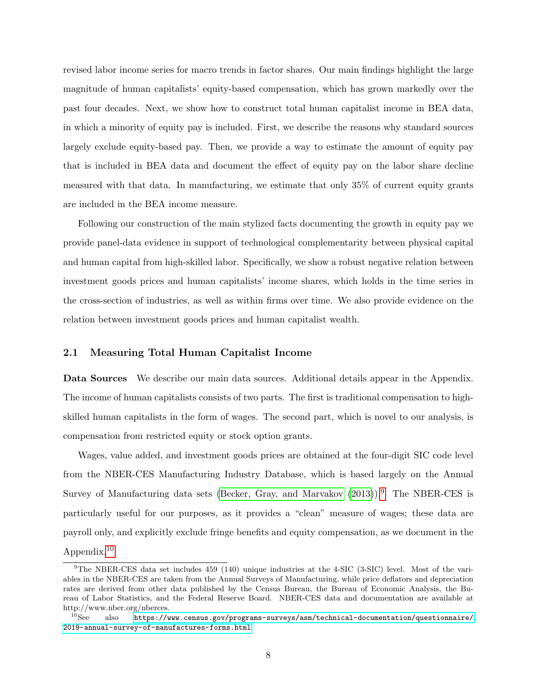revised labor income series for macro trends in factor shares. Our main findings highlight the large magnitude of human capitalists' equity-based compensation, which has grown markedly over the past four decades. Next, we show how to construct total human capitalist income in BEA data, in which a minority of equity pay is included. First, we describe the reasons why standard sources largely exclude equity-based pay. Then, we provide a way to estimate the amount of equity pay that is included in BEA data and document the effect of equity pay on the labor share decline measured with that data. In manufacturing, we estimate that only 35% of current equity grants are included in the BEA income measure.

Following our construction of the main stylized facts documenting the growth in equity pay we provide panel-data evidence in support of technological complementarity between physical capital and human capital from high-skilled labor. Specifically, we show a robust negative relation between investment goods prices and human capitalists' income shares, which holds in the time series in the cross-section of industries, as well as within firms over time. We also provide evidence on the relation between investment goods prices and human capitalist wealth.

#### <span id="page-9-2"></span>2.1 Measuring Total Human Capitalist Income

Data Sources We describe our main data sources. Additional details appear in the Appendix. The income of human capitalists consists of two parts. The first is traditional compensation to highskilled human capitalists in the form of wages. The second part, which is novel to our analysis, is compensation from restricted equity or stock option grants.

Wages, value added, and investment goods prices are obtained at the four-digit SIC code level from the NBER-CES Manufacturing Industry Database, which is based largely on the Annual Survey of Manufacturing data sets [\(Becker, Gray, and Marvakov](#page-43-11)  $(2013)$ ).<sup>[9](#page-9-0)</sup> The NBER-CES is particularly useful for our purposes, as it provides a "clean" measure of wages; these data are payroll only, and explicitly exclude fringe benefits and equity compensation, as we document in the Appendix.[10](#page-9-1)

<span id="page-9-0"></span><sup>9</sup>The NBER-CES data set includes 459 (140) unique industries at the 4-SIC (3-SIC) level. Most of the variables in the NBER-CES are taken from the Annual Surveys of Manufacturing, while price deflators and depreciation rates are derived from other data published by the Census Bureau, the Bureau of Economic Analysis, the Bureau of Labor Statistics, and the Federal Reserve Board. NBER-CES data and documentation are available at http://www.nber.org/nberces.<br> $^{10}$ See also https://w

<span id="page-9-1"></span><sup>10</sup>See also [https://www.census.gov/programs-surveys/asm/technical-documentation/questionnaire/](https://www.census.gov/programs-surveys/asm/technical-documentation/questionnaire/2019-annual-survey-of-manufactures-forms.html) [2019-annual-survey-of-manufactures-forms.html](https://www.census.gov/programs-surveys/asm/technical-documentation/questionnaire/2019-annual-survey-of-manufactures-forms.html).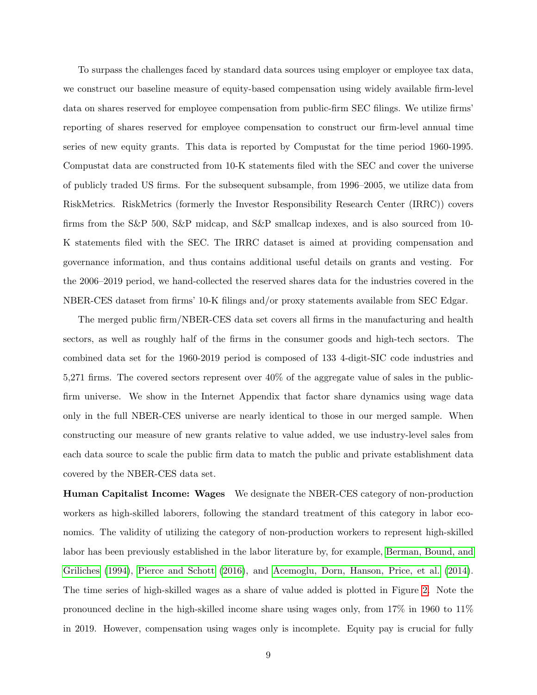To surpass the challenges faced by standard data sources using employer or employee tax data, we construct our baseline measure of equity-based compensation using widely available firm-level data on shares reserved for employee compensation from public-firm SEC filings. We utilize firms' reporting of shares reserved for employee compensation to construct our firm-level annual time series of new equity grants. This data is reported by Compustat for the time period 1960-1995. Compustat data are constructed from 10-K statements filed with the SEC and cover the universe of publicly traded US firms. For the subsequent subsample, from 1996–2005, we utilize data from RiskMetrics. RiskMetrics (formerly the Investor Responsibility Research Center (IRRC)) covers firms from the S&P 500, S&P midcap, and S&P smallcap indexes, and is also sourced from 10- K statements filed with the SEC. The IRRC dataset is aimed at providing compensation and governance information, and thus contains additional useful details on grants and vesting. For the 2006–2019 period, we hand-collected the reserved shares data for the industries covered in the NBER-CES dataset from firms' 10-K filings and/or proxy statements available from SEC Edgar.

The merged public firm/NBER-CES data set covers all firms in the manufacturing and health sectors, as well as roughly half of the firms in the consumer goods and high-tech sectors. The combined data set for the 1960-2019 period is composed of 133 4-digit-SIC code industries and 5,271 firms. The covered sectors represent over 40% of the aggregate value of sales in the publicfirm universe. We show in the Internet Appendix that factor share dynamics using wage data only in the full NBER-CES universe are nearly identical to those in our merged sample. When constructing our measure of new grants relative to value added, we use industry-level sales from each data source to scale the public firm data to match the public and private establishment data covered by the NBER-CES data set.

Human Capitalist Income: Wages We designate the NBER-CES category of non-production workers as high-skilled laborers, following the standard treatment of this category in labor economics. The validity of utilizing the category of non-production workers to represent high-skilled labor has been previously established in the labor literature by, for example, [Berman, Bound, and](#page-43-12) [Griliches](#page-43-12) [\(1994\)](#page-43-12), [Pierce and Schott](#page-46-6) [\(2016\)](#page-46-6), and [Acemoglu, Dorn, Hanson, Price, et al.](#page-43-13) [\(2014\)](#page-43-13). The time series of high-skilled wages as a share of value added is plotted in Figure [2.](#page-14-0) Note the pronounced decline in the high-skilled income share using wages only, from 17% in 1960 to 11% in 2019. However, compensation using wages only is incomplete. Equity pay is crucial for fully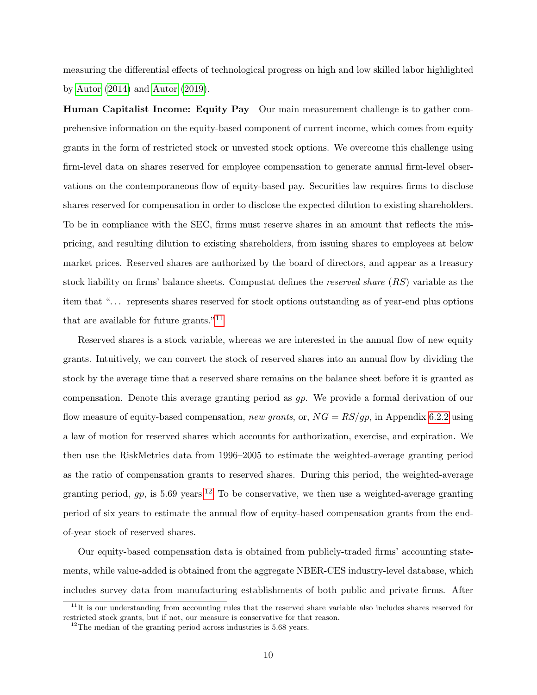measuring the differential effects of technological progress on high and low skilled labor highlighted by [Autor](#page-43-7) [\(2014\)](#page-43-7) and [Autor](#page-43-8) [\(2019\)](#page-43-8).

Human Capitalist Income: Equity Pay Our main measurement challenge is to gather comprehensive information on the equity-based component of current income, which comes from equity grants in the form of restricted stock or unvested stock options. We overcome this challenge using firm-level data on shares reserved for employee compensation to generate annual firm-level observations on the contemporaneous flow of equity-based pay. Securities law requires firms to disclose shares reserved for compensation in order to disclose the expected dilution to existing shareholders. To be in compliance with the SEC, firms must reserve shares in an amount that reflects the mispricing, and resulting dilution to existing shareholders, from issuing shares to employees at below market prices. Reserved shares are authorized by the board of directors, and appear as a treasury stock liability on firms' balance sheets. Compustat defines the reserved share (RS) variable as the item that "... represents shares reserved for stock options outstanding as of year-end plus options that are available for future grants."<sup>[11](#page-11-0)</sup>

Reserved shares is a stock variable, whereas we are interested in the annual flow of new equity grants. Intuitively, we can convert the stock of reserved shares into an annual flow by dividing the stock by the average time that a reserved share remains on the balance sheet before it is granted as compensation. Denote this average granting period as gp. We provide a formal derivation of our flow measure of equity-based compensation, new grants, or,  $NG = RS/gp$ , in Appendix [6.2.2](#page-50-0) using a law of motion for reserved shares which accounts for authorization, exercise, and expiration. We then use the RiskMetrics data from 1996–2005 to estimate the weighted-average granting period as the ratio of compensation grants to reserved shares. During this period, the weighted-average granting period,  $gp$ , is 5.69 years.<sup>[12](#page-11-1)</sup> To be conservative, we then use a weighted-average granting period of six years to estimate the annual flow of equity-based compensation grants from the endof-year stock of reserved shares.

Our equity-based compensation data is obtained from publicly-traded firms' accounting statements, while value-added is obtained from the aggregate NBER-CES industry-level database, which includes survey data from manufacturing establishments of both public and private firms. After

<span id="page-11-0"></span> $11$ It is our understanding from accounting rules that the reserved share variable also includes shares reserved for restricted stock grants, but if not, our measure is conservative for that reason.

<span id="page-11-1"></span> $12$ The median of the granting period across industries is 5.68 years.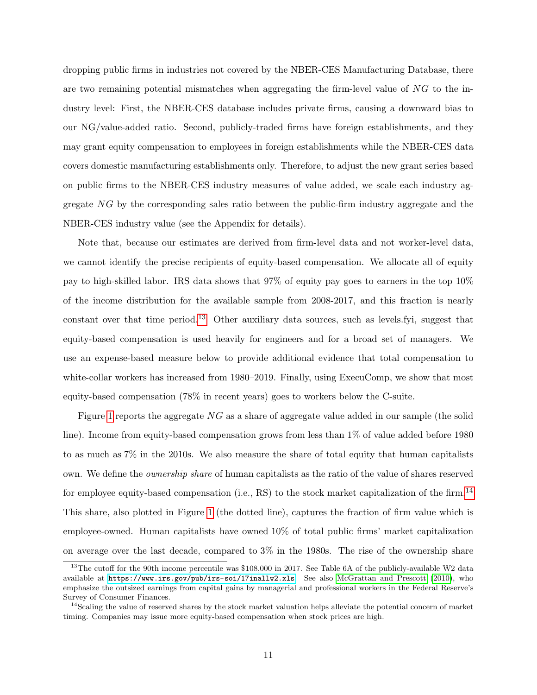dropping public firms in industries not covered by the NBER-CES Manufacturing Database, there are two remaining potential mismatches when aggregating the firm-level value of NG to the industry level: First, the NBER-CES database includes private firms, causing a downward bias to our NG/value-added ratio. Second, publicly-traded firms have foreign establishments, and they may grant equity compensation to employees in foreign establishments while the NBER-CES data covers domestic manufacturing establishments only. Therefore, to adjust the new grant series based on public firms to the NBER-CES industry measures of value added, we scale each industry aggregate NG by the corresponding sales ratio between the public-firm industry aggregate and the NBER-CES industry value (see the Appendix for details).

Note that, because our estimates are derived from firm-level data and not worker-level data, we cannot identify the precise recipients of equity-based compensation. We allocate all of equity pay to high-skilled labor. IRS data shows that 97% of equity pay goes to earners in the top 10% of the income distribution for the available sample from 2008-2017, and this fraction is nearly constant over that time period.[13](#page-12-0) Other auxiliary data sources, such as levels.fyi, suggest that equity-based compensation is used heavily for engineers and for a broad set of managers. We use an expense-based measure below to provide additional evidence that total compensation to white-collar workers has increased from 1980–2019. Finally, using ExecuComp, we show that most equity-based compensation (78% in recent years) goes to workers below the C-suite.

Figure [1](#page-13-0) reports the aggregate  $NG$  as a share of aggregate value added in our sample (the solid line). Income from equity-based compensation grows from less than 1% of value added before 1980 to as much as 7% in the 2010s. We also measure the share of total equity that human capitalists own. We define the ownership share of human capitalists as the ratio of the value of shares reserved for employee equity-based compensation (i.e., RS) to the stock market capitalization of the firm.[14](#page-12-1) This share, also plotted in Figure [1](#page-13-0) (the dotted line), captures the fraction of firm value which is employee-owned. Human capitalists have owned 10% of total public firms' market capitalization on average over the last decade, compared to 3% in the 1980s. The rise of the ownership share

<span id="page-12-0"></span><sup>&</sup>lt;sup>13</sup>The cutoff for the 90th income percentile was \$108,000 in 2017. See Table 6A of the publicly-available W2 data available at <https://www.irs.gov/pub/irs-soi/17inallw2.xls>. See also [McGrattan and Prescott](#page-45-2) [\(2010\)](#page-45-2), who emphasize the outsized earnings from capital gains by managerial and professional workers in the Federal Reserve's Survey of Consumer Finances.

<span id="page-12-1"></span><sup>&</sup>lt;sup>14</sup>Scaling the value of reserved shares by the stock market valuation helps alleviate the potential concern of market timing. Companies may issue more equity-based compensation when stock prices are high.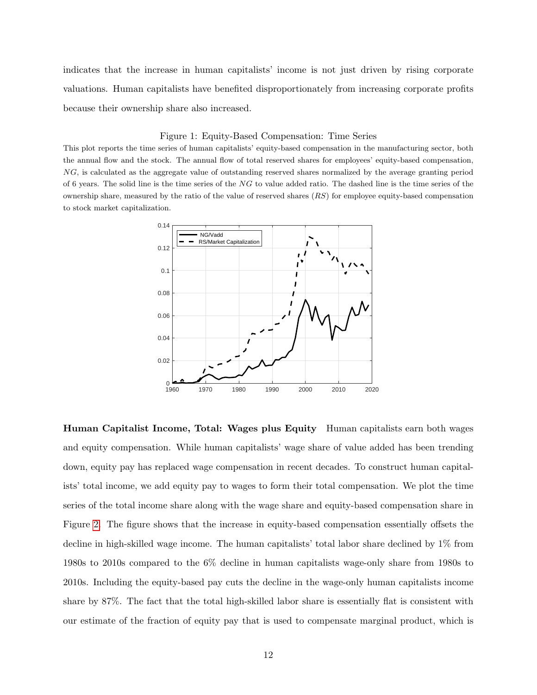indicates that the increase in human capitalists' income is not just driven by rising corporate valuations. Human capitalists have benefited disproportionately from increasing corporate profits because their ownership share also increased.

#### <span id="page-13-0"></span>Figure 1: Equity-Based Compensation: Time Series

This plot reports the time series of human capitalists' equity-based compensation in the manufacturing sector, both the annual flow and the stock. The annual flow of total reserved shares for employees' equity-based compensation, NG, is calculated as the aggregate value of outstanding reserved shares normalized by the average granting period of 6 years. The solid line is the time series of the  $NG$  to value added ratio. The dashed line is the time series of the ownership share, measured by the ratio of the value of reserved shares  $(RS)$  for employee equity-based compensation to stock market capitalization.



Human Capitalist Income, Total: Wages plus Equity Human capitalists earn both wages and equity compensation. While human capitalists' wage share of value added has been trending down, equity pay has replaced wage compensation in recent decades. To construct human capitalists' total income, we add equity pay to wages to form their total compensation. We plot the time series of the total income share along with the wage share and equity-based compensation share in Figure [2.](#page-14-0) The figure shows that the increase in equity-based compensation essentially offsets the decline in high-skilled wage income. The human capitalists' total labor share declined by 1% from 1980s to 2010s compared to the 6% decline in human capitalists wage-only share from 1980s to 2010s. Including the equity-based pay cuts the decline in the wage-only human capitalists income share by 87%. The fact that the total high-skilled labor share is essentially flat is consistent with our estimate of the fraction of equity pay that is used to compensate marginal product, which is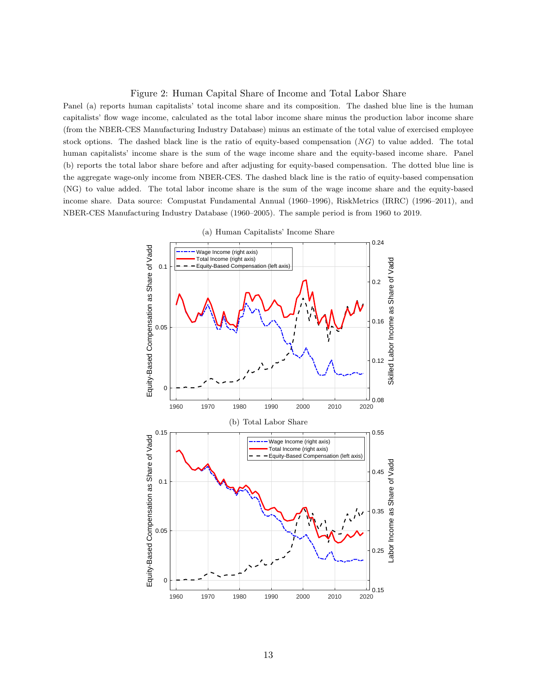#### <span id="page-14-0"></span>Figure 2: Human Capital Share of Income and Total Labor Share

Panel (a) reports human capitalists' total income share and its composition. The dashed blue line is the human capitalists' flow wage income, calculated as the total labor income share minus the production labor income share (from the NBER-CES Manufacturing Industry Database) minus an estimate of the total value of exercised employee stock options. The dashed black line is the ratio of equity-based compensation (NG) to value added. The total human capitalists' income share is the sum of the wage income share and the equity-based income share. Panel (b) reports the total labor share before and after adjusting for equity-based compensation. The dotted blue line is the aggregate wage-only income from NBER-CES. The dashed black line is the ratio of equity-based compensation (NG) to value added. The total labor income share is the sum of the wage income share and the equity-based income share. Data source: Compustat Fundamental Annual (1960–1996), RiskMetrics (IRRC) (1996–2011), and NBER-CES Manufacturing Industry Database (1960–2005). The sample period is from 1960 to 2019.

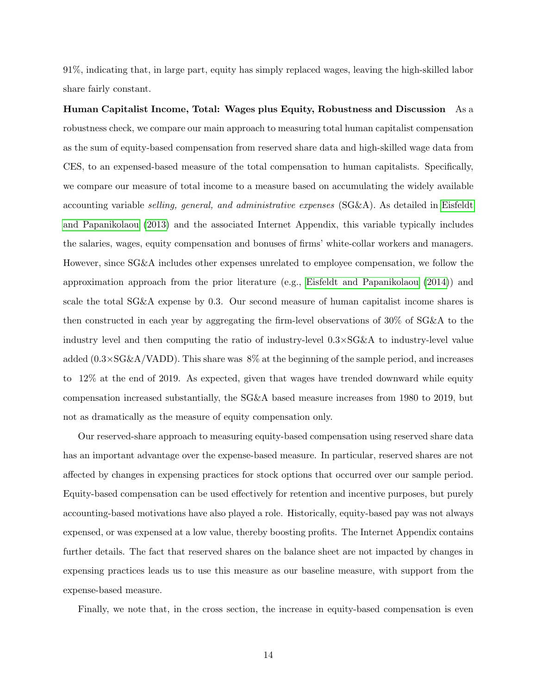91%, indicating that, in large part, equity has simply replaced wages, leaving the high-skilled labor share fairly constant.

Human Capitalist Income, Total: Wages plus Equity, Robustness and Discussion As a robustness check, we compare our main approach to measuring total human capitalist compensation as the sum of equity-based compensation from reserved share data and high-skilled wage data from CES, to an expensed-based measure of the total compensation to human capitalists. Specifically, we compare our measure of total income to a measure based on accumulating the widely available accounting variable selling, general, and administrative expenses (SG&A). As detailed in [Eisfeldt](#page-44-4) [and Papanikolaou](#page-44-4) [\(2013\)](#page-44-4) and the associated Internet Appendix, this variable typically includes the salaries, wages, equity compensation and bonuses of firms' white-collar workers and managers. However, since SG&A includes other expenses unrelated to employee compensation, we follow the approximation approach from the prior literature (e.g., [Eisfeldt and Papanikolaou](#page-44-12) [\(2014\)](#page-44-12)) and scale the total SG&A expense by 0.3. Our second measure of human capitalist income shares is then constructed in each year by aggregating the firm-level observations of 30% of SG&A to the industry level and then computing the ratio of industry-level  $0.3 \times SG\&A$  to industry-level value added  $(0.3\times\text{SG}\&\text{A/VADD})$ . This share was 8% at the beginning of the sample period, and increases to 12% at the end of 2019. As expected, given that wages have trended downward while equity compensation increased substantially, the SG&A based measure increases from 1980 to 2019, but not as dramatically as the measure of equity compensation only.

Our reserved-share approach to measuring equity-based compensation using reserved share data has an important advantage over the expense-based measure. In particular, reserved shares are not affected by changes in expensing practices for stock options that occurred over our sample period. Equity-based compensation can be used effectively for retention and incentive purposes, but purely accounting-based motivations have also played a role. Historically, equity-based pay was not always expensed, or was expensed at a low value, thereby boosting profits. The Internet Appendix contains further details. The fact that reserved shares on the balance sheet are not impacted by changes in expensing practices leads us to use this measure as our baseline measure, with support from the expense-based measure.

Finally, we note that, in the cross section, the increase in equity-based compensation is even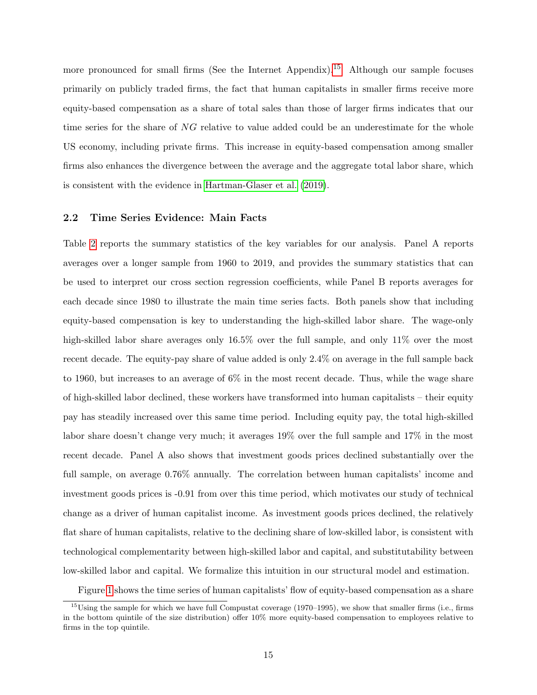more pronounced for small firms (See the Internet Appendix).<sup>[15](#page-16-0)</sup> Although our sample focuses primarily on publicly traded firms, the fact that human capitalists in smaller firms receive more equity-based compensation as a share of total sales than those of larger firms indicates that our time series for the share of NG relative to value added could be an underestimate for the whole US economy, including private firms. This increase in equity-based compensation among smaller firms also enhances the divergence between the average and the aggregate total labor share, which is consistent with the evidence in [Hartman-Glaser et al.](#page-45-7) [\(2019\)](#page-45-7).

### <span id="page-16-1"></span>2.2 Time Series Evidence: Main Facts

Table [2](#page-54-0) reports the summary statistics of the key variables for our analysis. Panel A reports averages over a longer sample from 1960 to 2019, and provides the summary statistics that can be used to interpret our cross section regression coefficients, while Panel B reports averages for each decade since 1980 to illustrate the main time series facts. Both panels show that including equity-based compensation is key to understanding the high-skilled labor share. The wage-only high-skilled labor share averages only 16.5% over the full sample, and only 11% over the most recent decade. The equity-pay share of value added is only 2.4% on average in the full sample back to 1960, but increases to an average of 6% in the most recent decade. Thus, while the wage share of high-skilled labor declined, these workers have transformed into human capitalists – their equity pay has steadily increased over this same time period. Including equity pay, the total high-skilled labor share doesn't change very much; it averages 19% over the full sample and 17% in the most recent decade. Panel A also shows that investment goods prices declined substantially over the full sample, on average 0.76% annually. The correlation between human capitalists' income and investment goods prices is -0.91 from over this time period, which motivates our study of technical change as a driver of human capitalist income. As investment goods prices declined, the relatively flat share of human capitalists, relative to the declining share of low-skilled labor, is consistent with technological complementarity between high-skilled labor and capital, and substitutability between low-skilled labor and capital. We formalize this intuition in our structural model and estimation.

<span id="page-16-0"></span>Figure [1](#page-13-0) shows the time series of human capitalists' flow of equity-based compensation as a share

 $^{15}$ Using the sample for which we have full Compustat coverage (1970–1995), we show that smaller firms (i.e., firms in the bottom quintile of the size distribution) offer 10% more equity-based compensation to employees relative to firms in the top quintile.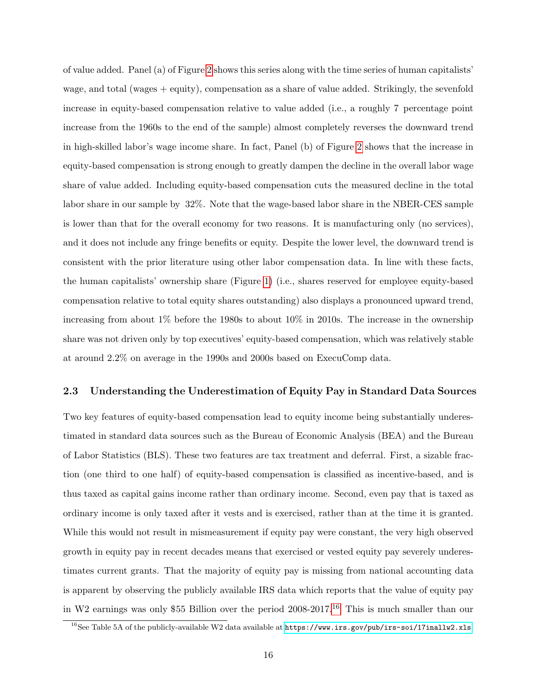of value added. Panel (a) of Figure [2](#page-14-0) shows this series along with the time series of human capitalists' wage, and total (wages + equity), compensation as a share of value added. Strikingly, the sevenfold increase in equity-based compensation relative to value added (i.e., a roughly 7 percentage point increase from the 1960s to the end of the sample) almost completely reverses the downward trend in high-skilled labor's wage income share. In fact, Panel (b) of Figure [2](#page-14-0) shows that the increase in equity-based compensation is strong enough to greatly dampen the decline in the overall labor wage share of value added. Including equity-based compensation cuts the measured decline in the total labor share in our sample by 32%. Note that the wage-based labor share in the NBER-CES sample is lower than that for the overall economy for two reasons. It is manufacturing only (no services), and it does not include any fringe benefits or equity. Despite the lower level, the downward trend is consistent with the prior literature using other labor compensation data. In line with these facts, the human capitalists' ownership share (Figure [1\)](#page-13-0) (i.e., shares reserved for employee equity-based compensation relative to total equity shares outstanding) also displays a pronounced upward trend, increasing from about 1% before the 1980s to about 10% in 2010s. The increase in the ownership share was not driven only by top executives' equity-based compensation, which was relatively stable at around 2.2% on average in the 1990s and 2000s based on ExecuComp data.

#### <span id="page-17-0"></span>2.3 Understanding the Underestimation of Equity Pay in Standard Data Sources

Two key features of equity-based compensation lead to equity income being substantially underestimated in standard data sources such as the Bureau of Economic Analysis (BEA) and the Bureau of Labor Statistics (BLS). These two features are tax treatment and deferral. First, a sizable fraction (one third to one half) of equity-based compensation is classified as incentive-based, and is thus taxed as capital gains income rather than ordinary income. Second, even pay that is taxed as ordinary income is only taxed after it vests and is exercised, rather than at the time it is granted. While this would not result in mismeasurement if equity pay were constant, the very high observed growth in equity pay in recent decades means that exercised or vested equity pay severely underestimates current grants. That the majority of equity pay is missing from national accounting data is apparent by observing the publicly available IRS data which reports that the value of equity pay in W2 earnings was only \$55 Billion over the period  $2008-2017$ .<sup>[16](#page-17-1)</sup> This is much smaller than our

<span id="page-17-1"></span> $^{16}$ See Table 5A of the publicly-available W2 data available at  $https://www.irs.gov/public/irs-soi/17inallw2.xls.$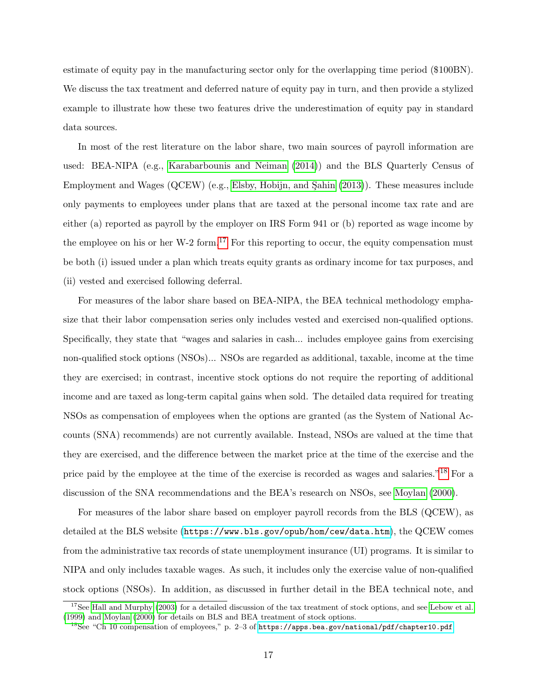estimate of equity pay in the manufacturing sector only for the overlapping time period (\$100BN). We discuss the tax treatment and deferred nature of equity pay in turn, and then provide a stylized example to illustrate how these two features drive the underestimation of equity pay in standard data sources.

In most of the rest literature on the labor share, two main sources of payroll information are used: BEA-NIPA (e.g., [Karabarbounis and Neiman](#page-45-1) [\(2014\)](#page-45-1)) and the BLS Quarterly Census of Employment and Wages (QCEW) (e.g., Elsby, Hobijn, and Sahin  $(2013)$ ). These measures include only payments to employees under plans that are taxed at the personal income tax rate and are either (a) reported as payroll by the employer on IRS Form 941 or (b) reported as wage income by the employee on his or her W-2 form.<sup>[17](#page-18-0)</sup> For this reporting to occur, the equity compensation must be both (i) issued under a plan which treats equity grants as ordinary income for tax purposes, and (ii) vested and exercised following deferral.

For measures of the labor share based on BEA-NIPA, the BEA technical methodology emphasize that their labor compensation series only includes vested and exercised non-qualified options. Specifically, they state that "wages and salaries in cash... includes employee gains from exercising non-qualified stock options (NSOs)... NSOs are regarded as additional, taxable, income at the time they are exercised; in contrast, incentive stock options do not require the reporting of additional income and are taxed as long-term capital gains when sold. The detailed data required for treating NSOs as compensation of employees when the options are granted (as the System of National Accounts (SNA) recommends) are not currently available. Instead, NSOs are valued at the time that they are exercised, and the difference between the market price at the time of the exercise and the price paid by the employee at the time of the exercise is recorded as wages and salaries."<sup>[18](#page-18-1)</sup> For a discussion of the SNA recommendations and the BEA's research on NSOs, see [Moylan](#page-45-15) [\(2000\)](#page-45-15).

For measures of the labor share based on employer payroll records from the BLS (QCEW), as detailed at the BLS website (<https://www.bls.gov/opub/hom/cew/data.htm>), the QCEW comes from the administrative tax records of state unemployment insurance (UI) programs. It is similar to NIPA and only includes taxable wages. As such, it includes only the exercise value of non-qualified stock options (NSOs). In addition, as discussed in further detail in the BEA technical note, and

<span id="page-18-0"></span> $17$ See [Hall and Murphy](#page-44-13) [\(2003\)](#page-44-13) for a detailed discussion of the tax treatment of stock options, and see [Lebow et al.](#page-45-16) [\(1999\)](#page-45-16) and [Moylan](#page-45-15) [\(2000\)](#page-45-15) for details on BLS and BEA treatment of stock options.

<span id="page-18-1"></span><sup>&</sup>lt;sup>18</sup>See "Ch 10 compensation of employees," p. 2–3 of <https://apps.bea.gov/national/pdf/chapter10.pdf>.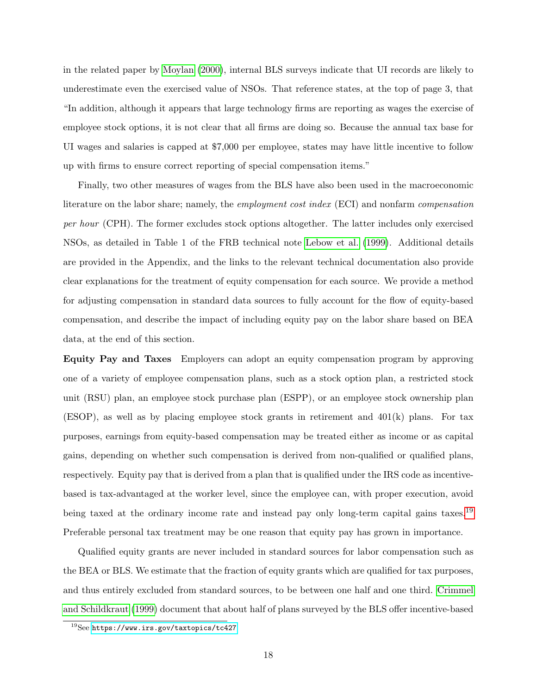in the related paper by [Moylan](#page-45-15) [\(2000\)](#page-45-15), internal BLS surveys indicate that UI records are likely to underestimate even the exercised value of NSOs. That reference states, at the top of page 3, that "In addition, although it appears that large technology firms are reporting as wages the exercise of employee stock options, it is not clear that all firms are doing so. Because the annual tax base for UI wages and salaries is capped at \$7,000 per employee, states may have little incentive to follow up with firms to ensure correct reporting of special compensation items."

Finally, two other measures of wages from the BLS have also been used in the macroeconomic literature on the labor share; namely, the *employment cost index* (ECI) and nonfarm *compensation* per hour (CPH). The former excludes stock options altogether. The latter includes only exercised NSOs, as detailed in Table 1 of the FRB technical note [Lebow et al.](#page-45-16) [\(1999\)](#page-45-16). Additional details are provided in the Appendix, and the links to the relevant technical documentation also provide clear explanations for the treatment of equity compensation for each source. We provide a method for adjusting compensation in standard data sources to fully account for the flow of equity-based compensation, and describe the impact of including equity pay on the labor share based on BEA data, at the end of this section.

Equity Pay and Taxes Employers can adopt an equity compensation program by approving one of a variety of employee compensation plans, such as a stock option plan, a restricted stock unit (RSU) plan, an employee stock purchase plan (ESPP), or an employee stock ownership plan (ESOP), as well as by placing employee stock grants in retirement and 401(k) plans. For tax purposes, earnings from equity-based compensation may be treated either as income or as capital gains, depending on whether such compensation is derived from non-qualified or qualified plans, respectively. Equity pay that is derived from a plan that is qualified under the IRS code as incentivebased is tax-advantaged at the worker level, since the employee can, with proper execution, avoid being taxed at the ordinary income rate and instead pay only long-term capital gains taxes.<sup>[19](#page-19-0)</sup> Preferable personal tax treatment may be one reason that equity pay has grown in importance.

Qualified equity grants are never included in standard sources for labor compensation such as the BEA or BLS. We estimate that the fraction of equity grants which are qualified for tax purposes, and thus entirely excluded from standard sources, to be between one half and one third. [Crimmel](#page-44-14) [and Schildkraut](#page-44-14) [\(1999\)](#page-44-14) document that about half of plans surveyed by the BLS offer incentive-based

<span id="page-19-0"></span><sup>&</sup>lt;sup>19</sup>See <https://www.irs.gov/taxtopics/tc427>.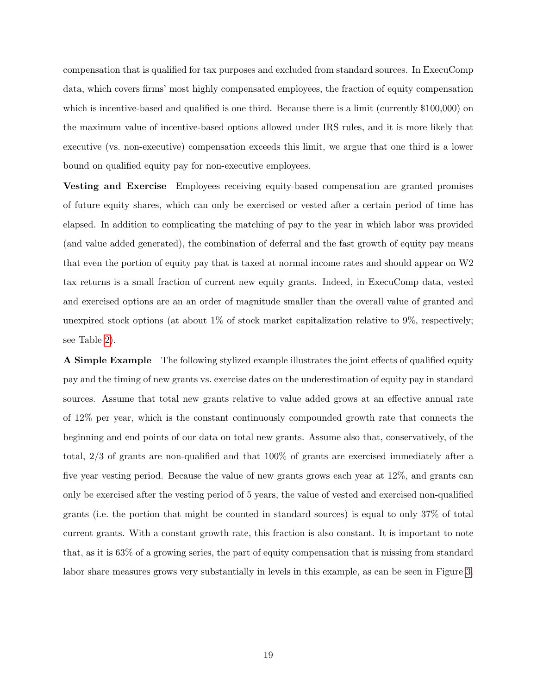compensation that is qualified for tax purposes and excluded from standard sources. In ExecuComp data, which covers firms' most highly compensated employees, the fraction of equity compensation which is incentive-based and qualified is one third. Because there is a limit (currently \$100,000) on the maximum value of incentive-based options allowed under IRS rules, and it is more likely that executive (vs. non-executive) compensation exceeds this limit, we argue that one third is a lower bound on qualified equity pay for non-executive employees.

Vesting and Exercise Employees receiving equity-based compensation are granted promises of future equity shares, which can only be exercised or vested after a certain period of time has elapsed. In addition to complicating the matching of pay to the year in which labor was provided (and value added generated), the combination of deferral and the fast growth of equity pay means that even the portion of equity pay that is taxed at normal income rates and should appear on W2 tax returns is a small fraction of current new equity grants. Indeed, in ExecuComp data, vested and exercised options are an an order of magnitude smaller than the overall value of granted and unexpired stock options (at about  $1\%$  of stock market capitalization relative to  $9\%$ , respectively; see Table [2\)](#page-54-0).

A Simple Example The following stylized example illustrates the joint effects of qualified equity pay and the timing of new grants vs. exercise dates on the underestimation of equity pay in standard sources. Assume that total new grants relative to value added grows at an effective annual rate of 12% per year, which is the constant continuously compounded growth rate that connects the beginning and end points of our data on total new grants. Assume also that, conservatively, of the total, 2/3 of grants are non-qualified and that 100% of grants are exercised immediately after a five year vesting period. Because the value of new grants grows each year at 12%, and grants can only be exercised after the vesting period of 5 years, the value of vested and exercised non-qualified grants (i.e. the portion that might be counted in standard sources) is equal to only 37% of total current grants. With a constant growth rate, this fraction is also constant. It is important to note that, as it is 63% of a growing series, the part of equity compensation that is missing from standard labor share measures grows very substantially in levels in this example, as can be seen in Figure [3.](#page-21-0)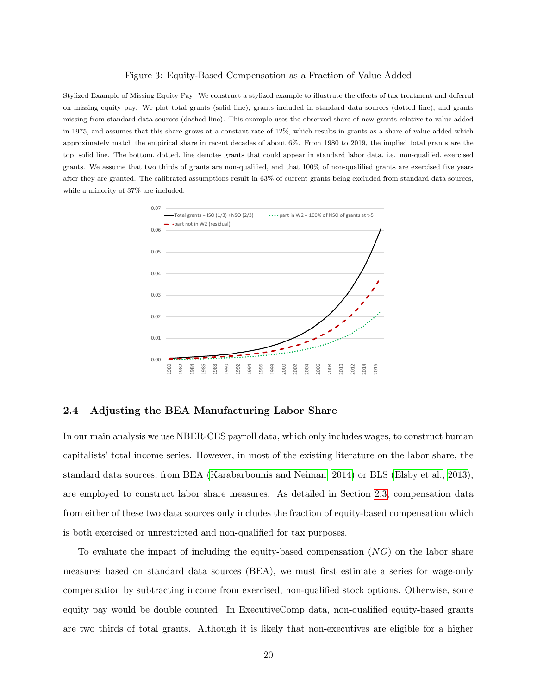#### <span id="page-21-0"></span>Figure 3: Equity-Based Compensation as a Fraction of Value Added

Stylized Example of Missing Equity Pay: We construct a stylized example to illustrate the effects of tax treatment and deferral on missing equity pay. We plot total grants (solid line), grants included in standard data sources (dotted line), and grants missing from standard data sources (dashed line). This example uses the observed share of new grants relative to value added in 1975, and assumes that this share grows at a constant rate of 12%, which results in grants as a share of value added which approximately match the empirical share in recent decades of about 6%. From 1980 to 2019, the implied total grants are the top, solid line. The bottom, dotted, line denotes grants that could appear in standard labor data, i.e. non-qualifed, exercised grants. We assume that two thirds of grants are non-qualified, and that 100% of non-qualified grants are exercised five years after they are granted. The calibrated assumptions result in 63% of current grants being excluded from standard data sources, while a minority of 37% are included.



#### 2.4 Adjusting the BEA Manufacturing Labor Share

In our main analysis we use NBER-CES payroll data, which only includes wages, to construct human capitalists' total income series. However, in most of the existing literature on the labor share, the standard data sources, from BEA [\(Karabarbounis and Neiman, 2014\)](#page-45-1) or BLS [\(Elsby et al., 2013\)](#page-44-0), are employed to construct labor share measures. As detailed in Section [2.3,](#page-17-0) compensation data from either of these two data sources only includes the fraction of equity-based compensation which is both exercised or unrestricted and non-qualified for tax purposes.

To evaluate the impact of including the equity-based compensation  $(NG)$  on the labor share measures based on standard data sources (BEA), we must first estimate a series for wage-only compensation by subtracting income from exercised, non-qualified stock options. Otherwise, some equity pay would be double counted. In ExecutiveComp data, non-qualified equity-based grants are two thirds of total grants. Although it is likely that non-executives are eligible for a higher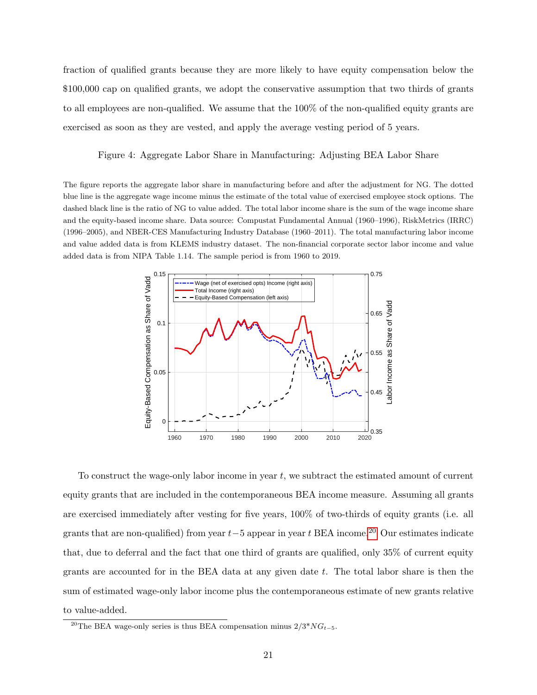fraction of qualified grants because they are more likely to have equity compensation below the \$100,000 cap on qualified grants, we adopt the conservative assumption that two thirds of grants to all employees are non-qualified. We assume that the 100% of the non-qualified equity grants are exercised as soon as they are vested, and apply the average vesting period of 5 years.

<span id="page-22-1"></span>Figure 4: Aggregate Labor Share in Manufacturing: Adjusting BEA Labor Share

The figure reports the aggregate labor share in manufacturing before and after the adjustment for NG. The dotted blue line is the aggregate wage income minus the estimate of the total value of exercised employee stock options. The dashed black line is the ratio of NG to value added. The total labor income share is the sum of the wage income share and the equity-based income share. Data source: Compustat Fundamental Annual (1960–1996), RiskMetrics (IRRC) (1996–2005), and NBER-CES Manufacturing Industry Database (1960–2011). The total manufacturing labor income and value added data is from KLEMS industry dataset. The non-financial corporate sector labor income and value added data is from NIPA Table 1.14. The sample period is from 1960 to 2019.



To construct the wage-only labor income in year  $t$ , we subtract the estimated amount of current equity grants that are included in the contemporaneous BEA income measure. Assuming all grants are exercised immediately after vesting for five years, 100% of two-thirds of equity grants (i.e. all grants that are non-qualified) from year  $t-5$  appear in year t BEA income.<sup>[20](#page-22-0)</sup> Our estimates indicate that, due to deferral and the fact that one third of grants are qualified, only 35% of current equity grants are accounted for in the BEA data at any given date  $t$ . The total labor share is then the sum of estimated wage-only labor income plus the contemporaneous estimate of new grants relative to value-added.

<span id="page-22-0"></span><sup>&</sup>lt;sup>20</sup>The BEA wage-only series is thus BEA compensation minus  $2/3^*NG_{t-5}$ .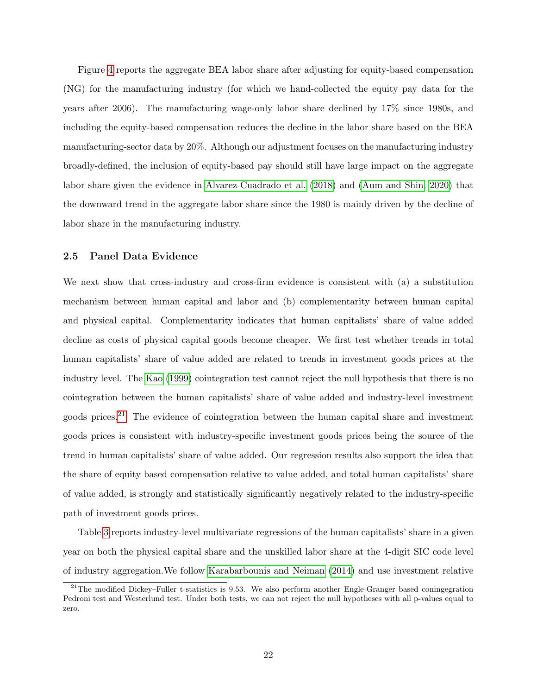Figure [4](#page-22-1) reports the aggregate BEA labor share after adjusting for equity-based compensation (NG) for the manufacturing industry (for which we hand-collected the equity pay data for the years after 2006). The manufacturing wage-only labor share declined by 17% since 1980s, and including the equity-based compensation reduces the decline in the labor share based on the BEA manufacturing-sector data by 20%. Although our adjustment focuses on the manufacturing industry broadly-defined, the inclusion of equity-based pay should still have large impact on the aggregate labor share given the evidence in [Alvarez-Cuadrado et al.](#page-43-0) [\(2018\)](#page-43-0) and [\(Aum and Shin, 2020\)](#page-43-14) that the downward trend in the aggregate labor share since the 1980 is mainly driven by the decline of labor share in the manufacturing industry.

#### 2.5 Panel Data Evidence

We next show that cross-industry and cross-firm evidence is consistent with (a) a substitution mechanism between human capital and labor and (b) complementarity between human capital and physical capital. Complementarity indicates that human capitalists' share of value added decline as costs of physical capital goods become cheaper. We first test whether trends in total human capitalists' share of value added are related to trends in investment goods prices at the industry level. The [Kao](#page-45-17) [\(1999\)](#page-45-17) cointegration test cannot reject the null hypothesis that there is no cointegration between the human capitalists' share of value added and industry-level investment goods prices.<sup>[21](#page-23-0)</sup> The evidence of cointegration between the human capital share and investment goods prices is consistent with industry-specific investment goods prices being the source of the trend in human capitalists' share of value added. Our regression results also support the idea that the share of equity based compensation relative to value added, and total human capitalists' share of value added, is strongly and statistically significantly negatively related to the industry-specific path of investment goods prices.

Table [3](#page-56-0) reports industry-level multivariate regressions of the human capitalists' share in a given year on both the physical capital share and the unskilled labor share at the 4-digit SIC code level of industry aggregation.We follow [Karabarbounis and Neiman](#page-45-1) [\(2014\)](#page-45-1) and use investment relative

<span id="page-23-0"></span> $^{21}$ The modified Dickey–Fuller t-statistics is 9.53. We also perform another Engle-Granger based coningegration Pedroni test and Westerlund test. Under both tests, we can not reject the null hypotheses with all p-values equal to zero.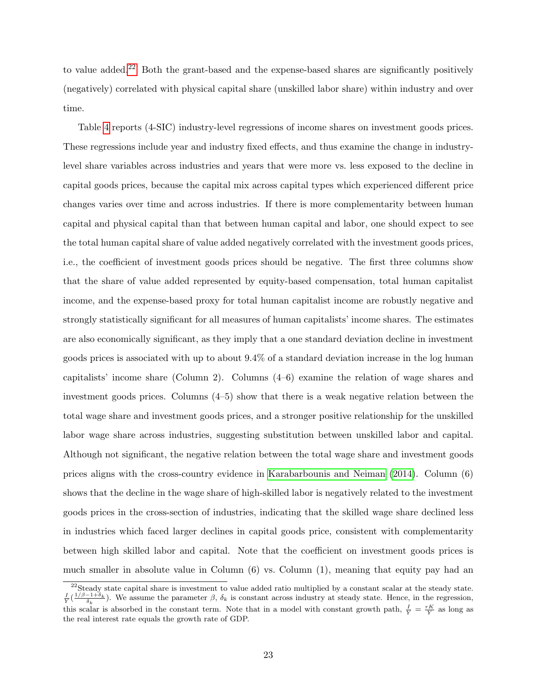to value added.[22](#page-24-0) Both the grant-based and the expense-based shares are significantly positively (negatively) correlated with physical capital share (unskilled labor share) within industry and over time.

Table [4](#page-57-0) reports (4-SIC) industry-level regressions of income shares on investment goods prices. These regressions include year and industry fixed effects, and thus examine the change in industrylevel share variables across industries and years that were more vs. less exposed to the decline in capital goods prices, because the capital mix across capital types which experienced different price changes varies over time and across industries. If there is more complementarity between human capital and physical capital than that between human capital and labor, one should expect to see the total human capital share of value added negatively correlated with the investment goods prices, i.e., the coefficient of investment goods prices should be negative. The first three columns show that the share of value added represented by equity-based compensation, total human capitalist income, and the expense-based proxy for total human capitalist income are robustly negative and strongly statistically significant for all measures of human capitalists' income shares. The estimates are also economically significant, as they imply that a one standard deviation decline in investment goods prices is associated with up to about 9.4% of a standard deviation increase in the log human capitalists' income share (Column 2). Columns (4–6) examine the relation of wage shares and investment goods prices. Columns (4–5) show that there is a weak negative relation between the total wage share and investment goods prices, and a stronger positive relationship for the unskilled labor wage share across industries, suggesting substitution between unskilled labor and capital. Although not significant, the negative relation between the total wage share and investment goods prices aligns with the cross-country evidence in [Karabarbounis and Neiman](#page-45-1) [\(2014\)](#page-45-1). Column (6) shows that the decline in the wage share of high-skilled labor is negatively related to the investment goods prices in the cross-section of industries, indicating that the skilled wage share declined less in industries which faced larger declines in capital goods price, consistent with complementarity between high skilled labor and capital. Note that the coefficient on investment goods prices is much smaller in absolute value in Column  $(6)$  vs. Column  $(1)$ , meaning that equity pay had an

<span id="page-24-0"></span> $22$ Steady state capital share is investment to value added ratio multiplied by a constant scalar at the steady state.  $\frac{I}{\gamma}(\frac{1/\beta-1+\delta_k}{\delta_k})$ . We assume the parameter  $\beta$ ,  $\delta_k$  is constant across industry at steady state. Hence, in the regression, this scalar is absorbed in the constant term. Note that in a model with constant growth path,  $\frac{I}{Y} = \frac{rK}{Y}$  as long as the real interest rate equals the growth rate of GDP.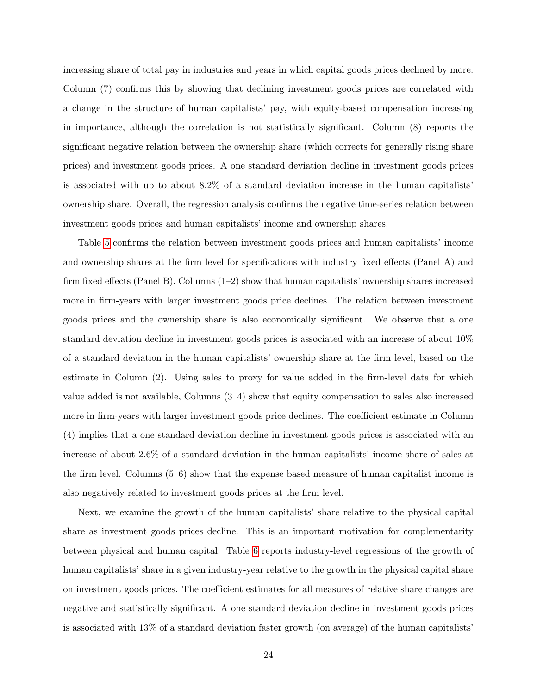increasing share of total pay in industries and years in which capital goods prices declined by more. Column (7) confirms this by showing that declining investment goods prices are correlated with a change in the structure of human capitalists' pay, with equity-based compensation increasing in importance, although the correlation is not statistically significant. Column (8) reports the significant negative relation between the ownership share (which corrects for generally rising share prices) and investment goods prices. A one standard deviation decline in investment goods prices is associated with up to about 8.2% of a standard deviation increase in the human capitalists' ownership share. Overall, the regression analysis confirms the negative time-series relation between investment goods prices and human capitalists' income and ownership shares.

Table [5](#page-58-0) confirms the relation between investment goods prices and human capitalists' income and ownership shares at the firm level for specifications with industry fixed effects (Panel A) and firm fixed effects (Panel B). Columns (1–2) show that human capitalists' ownership shares increased more in firm-years with larger investment goods price declines. The relation between investment goods prices and the ownership share is also economically significant. We observe that a one standard deviation decline in investment goods prices is associated with an increase of about 10% of a standard deviation in the human capitalists' ownership share at the firm level, based on the estimate in Column (2). Using sales to proxy for value added in the firm-level data for which value added is not available, Columns (3–4) show that equity compensation to sales also increased more in firm-years with larger investment goods price declines. The coefficient estimate in Column (4) implies that a one standard deviation decline in investment goods prices is associated with an increase of about 2.6% of a standard deviation in the human capitalists' income share of sales at the firm level. Columns (5–6) show that the expense based measure of human capitalist income is also negatively related to investment goods prices at the firm level.

Next, we examine the growth of the human capitalists' share relative to the physical capital share as investment goods prices decline. This is an important motivation for complementarity between physical and human capital. Table [6](#page-59-0) reports industry-level regressions of the growth of human capitalists' share in a given industry-year relative to the growth in the physical capital share on investment goods prices. The coefficient estimates for all measures of relative share changes are negative and statistically significant. A one standard deviation decline in investment goods prices is associated with 13% of a standard deviation faster growth (on average) of the human capitalists'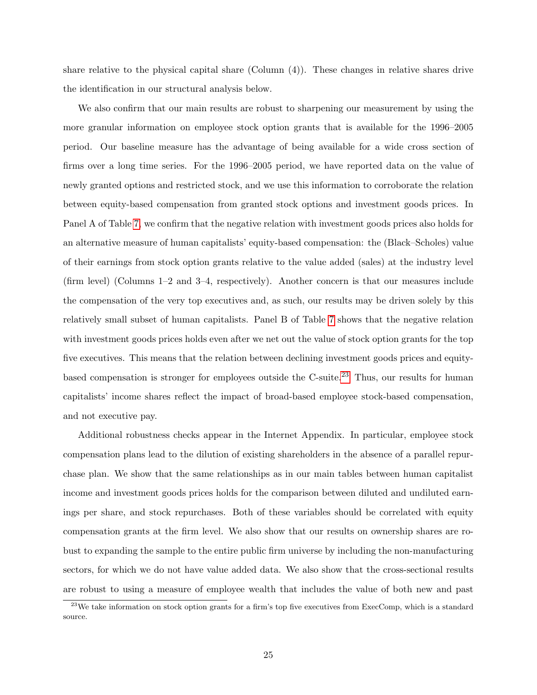share relative to the physical capital share (Column (4)). These changes in relative shares drive the identification in our structural analysis below.

We also confirm that our main results are robust to sharpening our measurement by using the more granular information on employee stock option grants that is available for the 1996–2005 period. Our baseline measure has the advantage of being available for a wide cross section of firms over a long time series. For the 1996–2005 period, we have reported data on the value of newly granted options and restricted stock, and we use this information to corroborate the relation between equity-based compensation from granted stock options and investment goods prices. In Panel A of Table [7,](#page-60-0) we confirm that the negative relation with investment goods prices also holds for an alternative measure of human capitalists' equity-based compensation: the (Black–Scholes) value of their earnings from stock option grants relative to the value added (sales) at the industry level (firm level) (Columns 1–2 and 3–4, respectively). Another concern is that our measures include the compensation of the very top executives and, as such, our results may be driven solely by this relatively small subset of human capitalists. Panel B of Table [7](#page-60-0) shows that the negative relation with investment goods prices holds even after we net out the value of stock option grants for the top five executives. This means that the relation between declining investment goods prices and equity-based compensation is stronger for employees outside the C-suite.<sup>[23](#page-26-0)</sup> Thus, our results for human capitalists' income shares reflect the impact of broad-based employee stock-based compensation, and not executive pay.

Additional robustness checks appear in the Internet Appendix. In particular, employee stock compensation plans lead to the dilution of existing shareholders in the absence of a parallel repurchase plan. We show that the same relationships as in our main tables between human capitalist income and investment goods prices holds for the comparison between diluted and undiluted earnings per share, and stock repurchases. Both of these variables should be correlated with equity compensation grants at the firm level. We also show that our results on ownership shares are robust to expanding the sample to the entire public firm universe by including the non-manufacturing sectors, for which we do not have value added data. We also show that the cross-sectional results are robust to using a measure of employee wealth that includes the value of both new and past

<span id="page-26-0"></span><sup>&</sup>lt;sup>23</sup>We take information on stock option grants for a firm's top five executives from ExecComp, which is a standard source.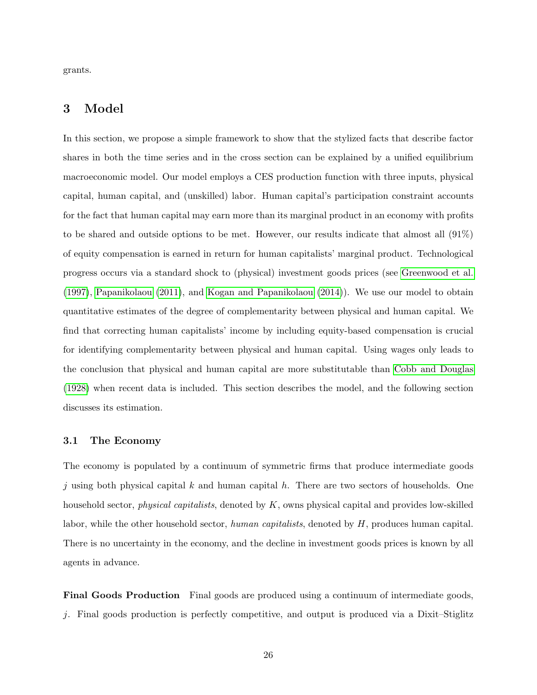grants.

# 3 Model

In this section, we propose a simple framework to show that the stylized facts that describe factor shares in both the time series and in the cross section can be explained by a unified equilibrium macroeconomic model. Our model employs a CES production function with three inputs, physical capital, human capital, and (unskilled) labor. Human capital's participation constraint accounts for the fact that human capital may earn more than its marginal product in an economy with profits to be shared and outside options to be met. However, our results indicate that almost all (91%) of equity compensation is earned in return for human capitalists' marginal product. Technological progress occurs via a standard shock to (physical) investment goods prices (see [Greenwood et al.](#page-44-5) [\(1997\)](#page-44-5), [Papanikolaou](#page-46-3) [\(2011\)](#page-46-3), and [Kogan and Papanikolaou](#page-45-11) [\(2014\)](#page-45-11)). We use our model to obtain quantitative estimates of the degree of complementarity between physical and human capital. We find that correcting human capitalists' income by including equity-based compensation is crucial for identifying complementarity between physical and human capital. Using wages only leads to the conclusion that physical and human capital are more substitutable than [Cobb and Douglas](#page-44-3) [\(1928\)](#page-44-3) when recent data is included. This section describes the model, and the following section discusses its estimation.

### 3.1 The Economy

The economy is populated by a continuum of symmetric firms that produce intermediate goods j using both physical capital k and human capital h. There are two sectors of households. One household sector, *physical capitalists*, denoted by K, owns physical capital and provides low-skilled labor, while the other household sector, human capitalists, denoted by H, produces human capital. There is no uncertainty in the economy, and the decline in investment goods prices is known by all agents in advance.

Final Goods Production Final goods are produced using a continuum of intermediate goods, j. Final goods production is perfectly competitive, and output is produced via a Dixit–Stiglitz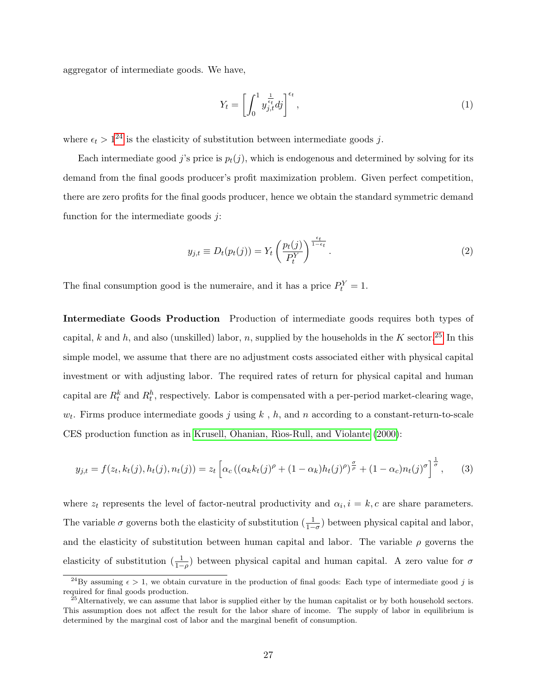aggregator of intermediate goods. We have,

$$
Y_t = \left[ \int_0^1 y_{j,t}^{\frac{1}{\epsilon_t}} dy \right]^{\epsilon_t},\tag{1}
$$

where  $\epsilon_t > 1^{24}$  $\epsilon_t > 1^{24}$  $\epsilon_t > 1^{24}$  is the elasticity of substitution between intermediate goods j.

Each intermediate good j's price is  $p_t(j)$ , which is endogenous and determined by solving for its demand from the final goods producer's profit maximization problem. Given perfect competition, there are zero profits for the final goods producer, hence we obtain the standard symmetric demand function for the intermediate goods  $j$ :

<span id="page-28-2"></span>
$$
y_{j,t} \equiv D_t(p_t(j)) = Y_t \left(\frac{p_t(j)}{P_t^Y}\right)^{\frac{\epsilon_t}{1-\epsilon_t}}.
$$
\n
$$
(2)
$$

The final consumption good is the numeraire, and it has a price  $P_t^Y = 1$ .

Intermediate Goods Production Production of intermediate goods requires both types of capital, k and h, and also (unskilled) labor, n, supplied by the households in the K sector.<sup>[25](#page-28-1)</sup> In this simple model, we assume that there are no adjustment costs associated either with physical capital investment or with adjusting labor. The required rates of return for physical capital and human capital are  $R_t^k$  and  $R_t^h$ , respectively. Labor is compensated with a per-period market-clearing wage,  $w_t$ . Firms produce intermediate goods j using k, h, and n according to a constant-return-to-scale CES production function as in Krusell, Ohanian, Rìos-Rull, and Violante [\(2000\)](#page-45-6):

$$
y_{j,t} = f(z_t, k_t(j), h_t(j), n_t(j)) = z_t \left[ \alpha_c \left( (\alpha_k k_t(j)^\rho + (1 - \alpha_k) h_t(j)^\rho \right)^{\frac{\sigma}{\rho}} + (1 - \alpha_c) n_t(j)^\sigma \right]^{\frac{1}{\sigma}},\tag{3}
$$

where  $z_t$  represents the level of factor-neutral productivity and  $\alpha_i$ ,  $i = k$ , c are share parameters. The variable  $\sigma$  governs both the elasticity of substitution  $(\frac{1}{1-\sigma})$  between physical capital and labor, and the elasticity of substitution between human capital and labor. The variable  $\rho$  governs the elasticity of substitution  $(\frac{1}{1-\rho})$  between physical capital and human capital. A zero value for  $\sigma$ 

<span id="page-28-0"></span><sup>&</sup>lt;sup>24</sup>By assuming  $\epsilon > 1$ , we obtain curvature in the production of final goods: Each type of intermediate good j is required for final goods production.

<span id="page-28-1"></span> $^{25}$ Alternatively, we can assume that labor is supplied either by the human capitalist or by both household sectors. This assumption does not affect the result for the labor share of income. The supply of labor in equilibrium is determined by the marginal cost of labor and the marginal benefit of consumption.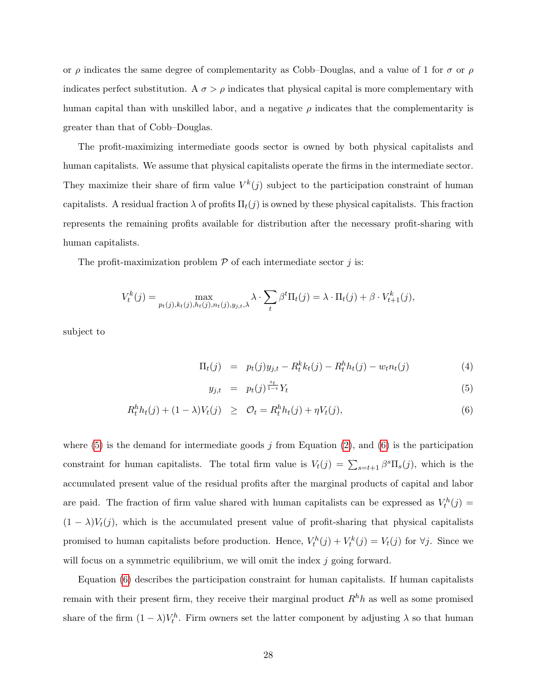or  $\rho$  indicates the same degree of complementarity as Cobb–Douglas, and a value of 1 for  $\sigma$  or  $\rho$ indicates perfect substitution. A  $\sigma > \rho$  indicates that physical capital is more complementary with human capital than with unskilled labor, and a negative  $\rho$  indicates that the complementarity is greater than that of Cobb–Douglas.

The profit-maximizing intermediate goods sector is owned by both physical capitalists and human capitalists. We assume that physical capitalists operate the firms in the intermediate sector. They maximize their share of firm value  $V^k(j)$  subject to the participation constraint of human capitalists. A residual fraction  $\lambda$  of profits  $\Pi_t(j)$  is owned by these physical capitalists. This fraction represents the remaining profits available for distribution after the necessary profit-sharing with human capitalists.

The profit-maximization problem  $P$  of each intermediate sector  $j$  is:

<span id="page-29-0"></span>
$$
V_t^k(j) = \max_{p_t(j), k_t(j), h_t(j), n_t(j), y_{j,t}, \lambda} \lambda \cdot \sum_t \beta^t \Pi_t(j) = \lambda \cdot \Pi_t(j) + \beta \cdot V_{t+1}^k(j),
$$

subject to

$$
\Pi_t(j) = p_t(j)y_{j,t} - R_t^k k_t(j) - R_t^h h_t(j) - w_t n_t(j)
$$
\n(4)

$$
y_{j,t} = p_t(j)^{\frac{\epsilon_t}{1-\epsilon}} Y_t \tag{5}
$$

$$
R_t^h h_t(j) + (1 - \lambda)V_t(j) \geq \mathcal{O}_t = R_t^h h_t(j) + \eta V_t(j), \tag{6}
$$

where  $(5)$  is the demand for intermediate goods j from Equation  $(2)$ , and  $(6)$  is the participation constraint for human capitalists. The total firm value is  $V_t(j) = \sum_{s=t+1} \beta^s \Pi_s(j)$ , which is the accumulated present value of the residual profits after the marginal products of capital and labor are paid. The fraction of firm value shared with human capitalists can be expressed as  $V_t^h(j)$  $(1 - \lambda)V_t(j)$ , which is the accumulated present value of profit-sharing that physical capitalists promised to human capitalists before production. Hence,  $V_t^h(j) + V_t^k(j) = V_t(j)$  for  $\forall j$ . Since we will focus on a symmetric equilibrium, we will omit the index  $j$  going forward.

Equation [\(6\)](#page-29-0) describes the participation constraint for human capitalists. If human capitalists remain with their present firm, they receive their marginal product  $R<sup>h</sup>h$  as well as some promised share of the firm  $(1 - \lambda)V_t^h$ . Firm owners set the latter component by adjusting  $\lambda$  so that human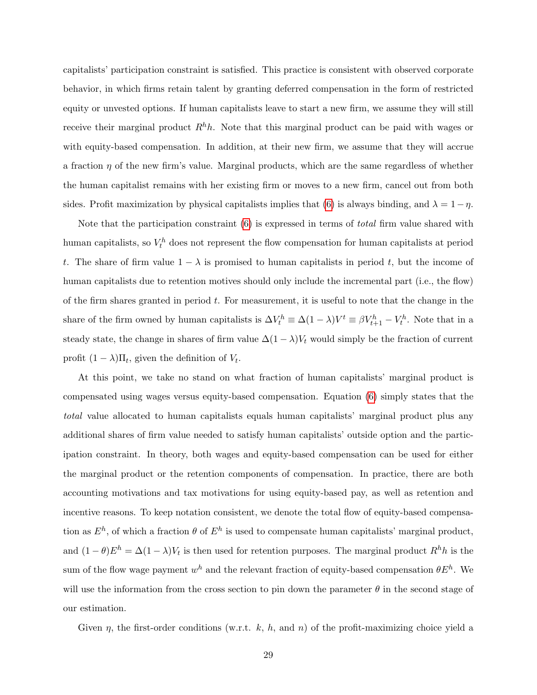capitalists' participation constraint is satisfied. This practice is consistent with observed corporate behavior, in which firms retain talent by granting deferred compensation in the form of restricted equity or unvested options. If human capitalists leave to start a new firm, we assume they will still receive their marginal product  $R^h h$ . Note that this marginal product can be paid with wages or with equity-based compensation. In addition, at their new firm, we assume that they will accrue a fraction  $\eta$  of the new firm's value. Marginal products, which are the same regardless of whether the human capitalist remains with her existing firm or moves to a new firm, cancel out from both sides. Profit maximization by physical capitalists implies that [\(6\)](#page-29-0) is always binding, and  $\lambda = 1 - \eta$ .

Note that the participation constraint [\(6\)](#page-29-0) is expressed in terms of total firm value shared with human capitalists, so  $V_t^h$  does not represent the flow compensation for human capitalists at period t. The share of firm value  $1 - \lambda$  is promised to human capitalists in period t, but the income of human capitalists due to retention motives should only include the incremental part (i.e., the flow) of the firm shares granted in period  $t$ . For measurement, it is useful to note that the change in the share of the firm owned by human capitalists is  $\Delta V_t^h \equiv \Delta(1-\lambda)V^t \equiv \beta V_{t+1}^h - V_t^h$ . Note that in a steady state, the change in shares of firm value  $\Delta(1-\lambda)V_t$  would simply be the fraction of current profit  $(1 - \lambda) \Pi_t$ , given the definition of  $V_t$ .

At this point, we take no stand on what fraction of human capitalists' marginal product is compensated using wages versus equity-based compensation. Equation [\(6\)](#page-29-0) simply states that the total value allocated to human capitalists equals human capitalists' marginal product plus any additional shares of firm value needed to satisfy human capitalists' outside option and the participation constraint. In theory, both wages and equity-based compensation can be used for either the marginal product or the retention components of compensation. In practice, there are both accounting motivations and tax motivations for using equity-based pay, as well as retention and incentive reasons. To keep notation consistent, we denote the total flow of equity-based compensation as  $E^h$ , of which a fraction  $\theta$  of  $E^h$  is used to compensate human capitalists' marginal product, and  $(1 - \theta)E^h = \Delta(1 - \lambda)V_t$  is then used for retention purposes. The marginal product  $R^h h$  is the sum of the flow wage payment  $w^h$  and the relevant fraction of equity-based compensation  $\theta E^h$ . We will use the information from the cross section to pin down the parameter  $\theta$  in the second stage of our estimation.

Given  $\eta$ , the first-order conditions (w.r.t. k, h, and n) of the profit-maximizing choice yield a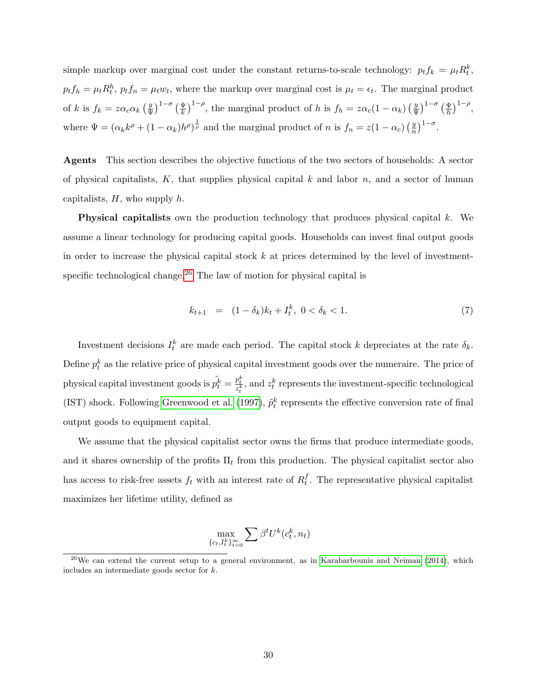simple markup over marginal cost under the constant returns-to-scale technology:  $p_t f_k = \mu_t R_t^k$ ,  $p_t f_h = \mu_t R_t^h$ ,  $p_t f_n = \mu_t w_t$ , where the markup over marginal cost is  $\mu_t = \epsilon_t$ . The marginal product of k is  $f_k = z \alpha_c \alpha_k \left(\frac{y}{\Psi}\right)$  $\left(\frac{y}{\Psi}\right)^{1-\sigma}\left(\frac{\Psi}{k}\right)^{1-\rho}$ , the marginal product of h is  $f_h = z\alpha_c(1-\alpha_k)\left(\frac{y}{\Psi}\right)$  $\left(\frac{y}{\psi}\right)^{1-\sigma}\left(\frac{\psi}{h}\right)^{1-\rho},$ where  $\Psi = (\alpha_k k^{\rho} + (1 - \alpha_k)h^{\rho})^{\frac{1}{\rho}}$  and the marginal product of n is  $f_n = z(1 - \alpha_c) \left(\frac{y}{n}\right)$  $\frac{y}{n}\big)^{1-\sigma}.$ 

Agents This section describes the objective functions of the two sectors of households: A sector of physical capitalists,  $K$ , that supplies physical capital k and labor n, and a sector of human capitalists,  $H$ , who supply  $h$ .

Physical capitalists own the production technology that produces physical capital k. We assume a linear technology for producing capital goods. Households can invest final output goods in order to increase the physical capital stock  $k$  at prices determined by the level of investment-specific technological change.<sup>[26](#page-31-0)</sup> The law of motion for physical capital is

$$
k_{t+1} = (1 - \delta_k)k_t + I_t^k, \ 0 < \delta_k < 1. \tag{7}
$$

Investment decisions  $I_t^k$  are made each period. The capital stock k depreciates at the rate  $\delta_k$ . Define  $p_t^k$  as the relative price of physical capital investment goods over the numeraire. The price of physical capital investment goods is  $\tilde{p}_t^k = \frac{p_t^k}{z_t^k}$ , and  $z_t^k$  represents the investment-specific technological (IST) shock. Following [Greenwood et al.](#page-44-5) [\(1997\)](#page-44-5),  $\tilde{p}_t^k$  represents the effective conversion rate of final output goods to equipment capital.

We assume that the physical capitalist sector owns the firms that produce intermediate goods, and it shares ownership of the profits  $\Pi_t$  from this production. The physical capitalist sector also has access to risk-free assets  $f_t$  with an interest rate of  $R_t^f$  $_t^J$ . The representative physical capitalist maximizes her lifetime utility, defined as

$$
\max_{\{c_t, I_t^k\}_{t=0}^{\infty}} \sum \beta^t U^k(c_t^k, n_t)
$$

<span id="page-31-0"></span> $26$ We can extend the current setup to a general environment, as in [Karabarbounis and Neiman](#page-45-1) [\(2014\)](#page-45-1), which includes an intermediate goods sector for k.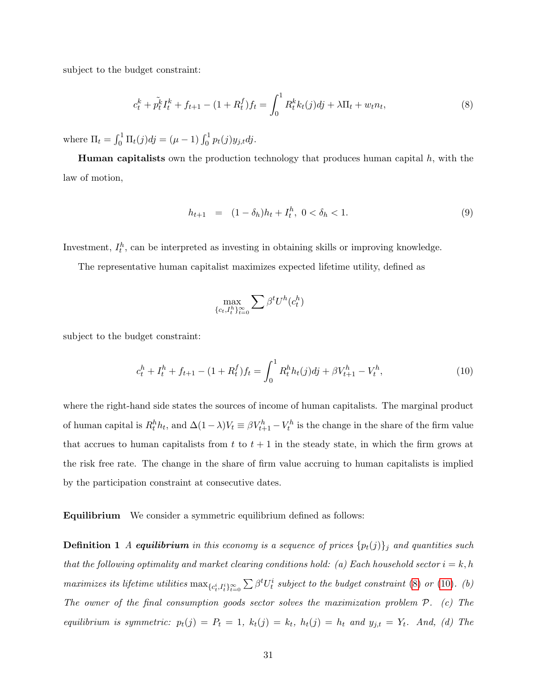subject to the budget constraint:

<span id="page-32-0"></span>
$$
c_t^k + \tilde{p}_t^k I_t^k + f_{t+1} - (1 + R_t^f) f_t = \int_0^1 R_t^k k_t(j) d\dot{j} + \lambda \Pi_t + w_t n_t,
$$
\n(8)

where  $\Pi_t = \int_0^1 \Pi_t(j)dj = (\mu - 1) \int_0^1 p_t(j)y_{j,t}dj.$ 

**Human capitalists** own the production technology that produces human capital  $h$ , with the law of motion,

$$
h_{t+1} = (1 - \delta_h)h_t + I_t^h, \ 0 < \delta_h < 1. \tag{9}
$$

Investment,  $I_t^h$ , can be interpreted as investing in obtaining skills or improving knowledge.

The representative human capitalist maximizes expected lifetime utility, defined as

$$
\max_{\{c_t, I_t^h\}_{t=0}^{\infty}} \sum \beta^t U^h(c_t^h)
$$

subject to the budget constraint:

<span id="page-32-1"></span>
$$
c_t^h + I_t^h + f_{t+1} - (1 + R_t^f) f_t = \int_0^1 R_t^h h_t(j) dj + \beta V_{t+1}^h - V_t^h,
$$
\n(10)

where the right-hand side states the sources of income of human capitalists. The marginal product of human capital is  $R_t^h h_t$ , and  $\Delta(1-\lambda)V_t \equiv \beta V_{t+1}^h - V_t^h$  is the change in the share of the firm value that accrues to human capitalists from  $t$  to  $t + 1$  in the steady state, in which the firm grows at the risk free rate. The change in the share of firm value accruing to human capitalists is implied by the participation constraint at consecutive dates.

Equilibrium We consider a symmetric equilibrium defined as follows:

**Definition 1** A equilibrium in this economy is a sequence of prices  $\{p_t(j)\}\$ i and quantities such that the following optimality and market clearing conditions hold: (a) Each household sector  $i = k, h$ maximizes its lifetime utilities  $\max_{\{c_t^i, I_t^i\}_{t=0}^{\infty}} \sum \beta^t U_t^i$  subject to the budget constraint [\(8\)](#page-32-0) or [\(10\)](#page-32-1). (b) The owner of the final consumption goods sector solves the maximization problem P. (c) The equilibrium is symmetric:  $p_t(j) = P_t = 1$ ,  $k_t(j) = k_t$ ,  $h_t(j) = h_t$  and  $y_{j,t} = Y_t$ . And, (d) The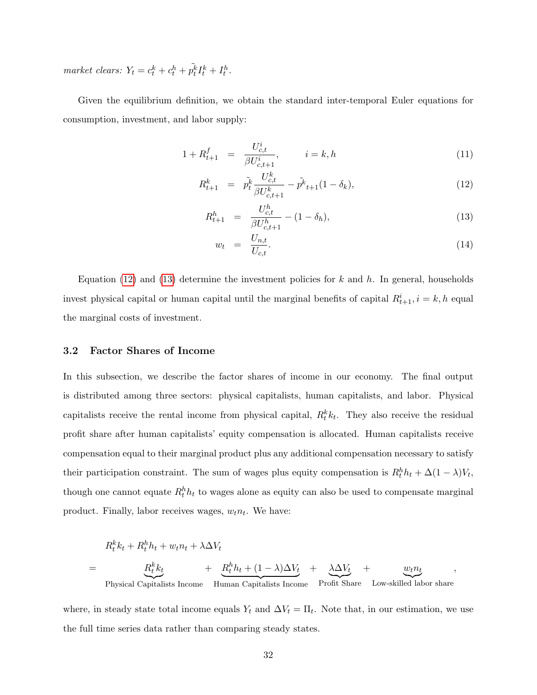market clears:  $Y_t = c_t^k + c_t^h + \tilde{p}_t^k I_t^k + I_t^h$ .

Given the equilibrium definition, we obtain the standard inter-temporal Euler equations for consumption, investment, and labor supply:

<span id="page-33-0"></span>
$$
1 + R_{t+1}^f = \frac{U_{c,t}^i}{\beta U_{c,t+1}^i}, \qquad i = k, h \tag{11}
$$

$$
R_{t+1}^k = \tilde{p}_t^k \frac{U_{c,t}^k}{\beta U_{c,t+1}^k} - \tilde{p}_t^k + 1} (1 - \delta_k), \tag{12}
$$

<span id="page-33-1"></span>
$$
R_{t+1}^h = \frac{U_{c,t}^h}{\beta U_{c,t+1}^h} - (1 - \delta_h), \tag{13}
$$

$$
w_t = \frac{U_{n,t}}{U_{c,t}}.\t(14)
$$

Equation [\(12\)](#page-33-0) and [\(13\)](#page-33-1) determine the investment policies for k and h. In general, households invest physical capital or human capital until the marginal benefits of capital  $R_{t+1}^i$ ,  $i = k, h$  equal the marginal costs of investment.

#### 3.2 Factor Shares of Income

In this subsection, we describe the factor shares of income in our economy. The final output is distributed among three sectors: physical capitalists, human capitalists, and labor. Physical capitalists receive the rental income from physical capital,  $R_t^k k_t$ . They also receive the residual profit share after human capitalists' equity compensation is allocated. Human capitalists receive compensation equal to their marginal product plus any additional compensation necessary to satisfy their participation constraint. The sum of wages plus equity compensation is  $R_t^h h_t + \Delta(1-\lambda)V_t$ , though one cannot equate  $R_t^h h_t$  to wages alone as equity can also be used to compensate marginal product. Finally, labor receives wages,  $w_t n_t$ . We have:

$$
R_t^k k_t + R_t^h h_t + w_t n_t + \lambda \Delta V_t
$$
  
= 
$$
\underbrace{R_t^k k_t}_{\text{Physical Capitalists Income}} + \underbrace{R_t^h h_t + (1 - \lambda) \Delta V_t}_{\text{Human Capitalists Income}} + \underbrace{\lambda \Delta V_t}_{\text{Profit share}} + \underbrace{w_t n_t}_{\text{Low-skilled labor share}},
$$

where, in steady state total income equals  $Y_t$  and  $\Delta V_t = \Pi_t$ . Note that, in our estimation, we use the full time series data rather than comparing steady states.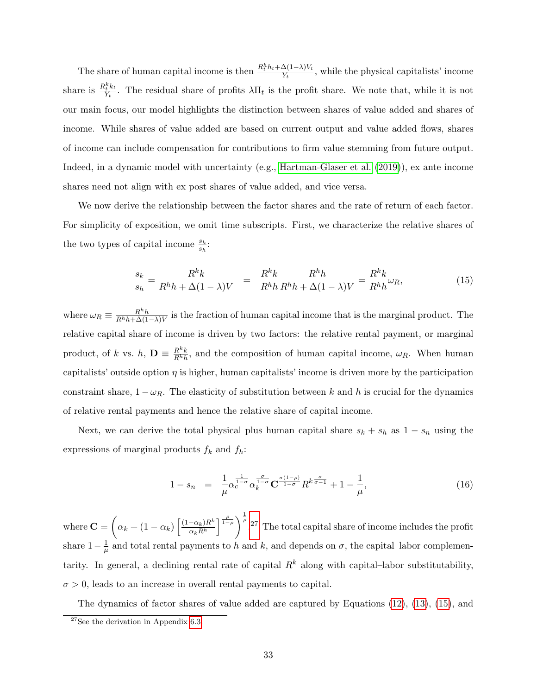The share of human capital income is then  $\frac{R_t^h h_t + \Delta(1-\lambda)V_t}{V_t}$  $\frac{\Delta(1-\lambda)V_t}{Y_t}$ , while the physical capitalists' income share is  $\frac{R_t^k k_t}{V_t}$  $\frac{\partial^2 \tilde{t}^k}{\partial Y_t}$ . The residual share of profits  $\lambda \Pi_t$  is the profit share. We note that, while it is not our main focus, our model highlights the distinction between shares of value added and shares of income. While shares of value added are based on current output and value added flows, shares of income can include compensation for contributions to firm value stemming from future output. Indeed, in a dynamic model with uncertainty (e.g., [Hartman-Glaser et al.](#page-45-7) [\(2019\)](#page-45-7)), ex ante income shares need not align with ex post shares of value added, and vice versa.

We now derive the relationship between the factor shares and the rate of return of each factor. For simplicity of exposition, we omit time subscripts. First, we characterize the relative shares of the two types of capital income  $\frac{s_k}{s_h}$ :

<span id="page-34-1"></span>
$$
\frac{s_k}{s_h} = \frac{R^k k}{R^h h + \Delta(1 - \lambda)V} = \frac{R^k k}{R^h h} \frac{R^h h}{R^h h + \Delta(1 - \lambda)V} = \frac{R^k k}{R^h h} \omega_R,\tag{15}
$$

where  $\omega_R \equiv \frac{R^h h}{R^h h + \Delta(1)}$  $\frac{R^n h}{R^h h + \Delta(1-\lambda)V}$  is the fraction of human capital income that is the marginal product. The relative capital share of income is driven by two factors: the relative rental payment, or marginal product, of k vs. h,  $\mathbf{D} \equiv \frac{R^k k}{R h}$  $\frac{R^{\kappa}k}{R^h h}$ , and the composition of human capital income,  $\omega_R$ . When human capitalists' outside option  $\eta$  is higher, human capitalists' income is driven more by the participation constraint share,  $1 - \omega_R$ . The elasticity of substitution between k and h is crucial for the dynamics of relative rental payments and hence the relative share of capital income.

Next, we can derive the total physical plus human capital share  $s_k + s_h$  as  $1 - s_n$  using the expressions of marginal products  $f_k$  and  $f_h$ :

<span id="page-34-2"></span>
$$
1 - s_n = \frac{1}{\mu} \alpha_c^{\frac{1}{1-\sigma}} \alpha_k^{\frac{\sigma}{1-\sigma}} \mathbf{C}^{\frac{\sigma(1-\rho)}{1-\sigma}} R^{k \frac{\sigma}{\sigma-1}} + 1 - \frac{1}{\mu}, \tag{16}
$$

where  $\mathbf{C} = \left(\alpha_k + (1 - \alpha_k)\right) \frac{(1 - \alpha_k)R^k}{\alpha_k R^h}$  $\alpha_k R^h$  $\left[\frac{\rho}{1-\rho}\right]^{\frac{1}{\rho}}$ . [27](#page-34-0) The total capital share of income includes the profit share  $1-\frac{1}{u}$  $\frac{1}{\mu}$  and total rental payments to h and k, and depends on  $\sigma$ , the capital-labor complementarity. In general, a declining rental rate of capital  $R^k$  along with capital–labor substitutability,  $\sigma > 0$ , leads to an increase in overall rental payments to capital.

The dynamics of factor shares of value added are captured by Equations [\(12\)](#page-33-0), [\(13\)](#page-33-1), [\(15\)](#page-34-1), and

<span id="page-34-0"></span><sup>27</sup>See the derivation in Appendix [6.3.](#page-52-0)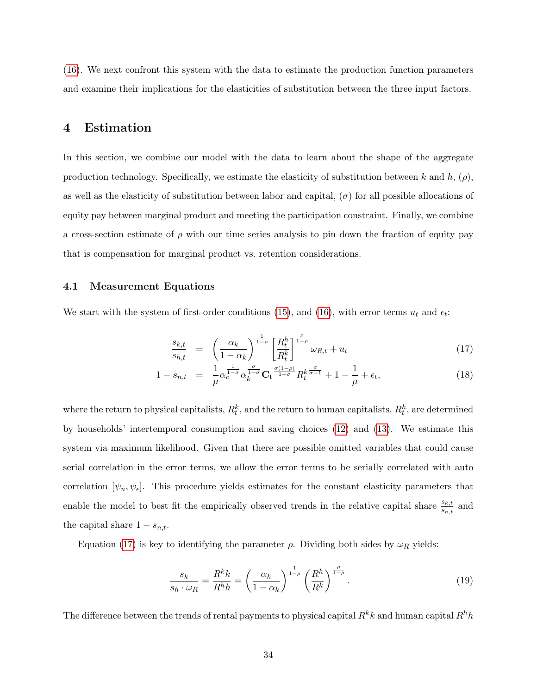[\(16\)](#page-34-2). We next confront this system with the data to estimate the production function parameters and examine their implications for the elasticities of substitution between the three input factors.

## 4 Estimation

In this section, we combine our model with the data to learn about the shape of the aggregate production technology. Specifically, we estimate the elasticity of substitution between k and h,  $(\rho)$ , as well as the elasticity of substitution between labor and capital,  $(\sigma)$  for all possible allocations of equity pay between marginal product and meeting the participation constraint. Finally, we combine a cross-section estimate of  $\rho$  with our time series analysis to pin down the fraction of equity pay that is compensation for marginal product vs. retention considerations.

#### 4.1 Measurement Equations

We start with the system of first-order conditions [\(15\)](#page-34-1), and [\(16\)](#page-34-2), with error terms  $u_t$  and  $\epsilon_t$ :

<span id="page-35-0"></span>
$$
\frac{s_{k,t}}{s_{h,t}} = \left(\frac{\alpha_k}{1-\alpha_k}\right)^{\frac{1}{1-\rho}} \left[\frac{R_t^h}{R_t^k}\right]^{\frac{\rho}{1-\rho}} \omega_{R,t} + u_t \tag{17}
$$

$$
1 - s_{n,t} = \frac{1}{\mu} \alpha_e^{\frac{1}{1-\sigma}} \alpha_k^{\frac{\sigma}{1-\sigma}} \mathbf{C_t}^{\frac{\sigma(1-\rho)}{1-\sigma}} R_t^k^{\frac{\sigma}{\sigma-1}} + 1 - \frac{1}{\mu} + \epsilon_t,
$$
\n(18)

where the return to physical capitalists,  $R_t^k$ , and the return to human capitalists,  $R_t^h$ , are determined by households' intertemporal consumption and saving choices [\(12\)](#page-33-0) and [\(13\)](#page-33-1). We estimate this system via maximum likelihood. Given that there are possible omitted variables that could cause serial correlation in the error terms, we allow the error terms to be serially correlated with auto correlation  $[\psi_u, \psi_\epsilon]$ . This procedure yields estimates for the constant elasticity parameters that enable the model to best fit the empirically observed trends in the relative capital share  $\frac{s_{k,t}}{s_{h,t}}$  and the capital share  $1 - s_{n,t}$ .

Equation [\(17\)](#page-35-0) is key to identifying the parameter  $\rho$ . Dividing both sides by  $\omega_R$  yields:

<span id="page-35-1"></span>
$$
\frac{s_k}{s_h \cdot \omega_R} = \frac{R^k k}{R^h h} = \left(\frac{\alpha_k}{1 - \alpha_k}\right)^{\frac{1}{1 - \rho}} \left(\frac{R^h}{R^k}\right)^{\frac{\rho}{1 - \rho}}.\tag{19}
$$

The difference between the trends of rental payments to physical capital  $R^k k$  and human capital  $R^h h$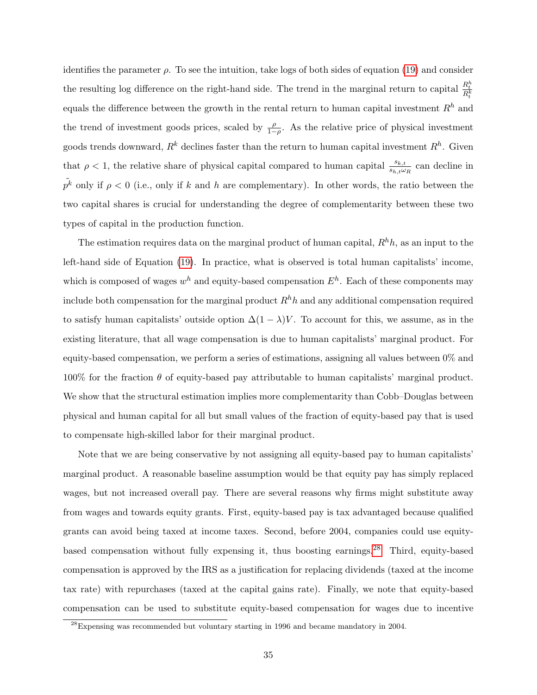identifies the parameter  $\rho$ . To see the intuition, take logs of both sides of equation [\(19\)](#page-35-1) and consider the resulting log difference on the right-hand side. The trend in the marginal return to capital  $\frac{R_t^h}{R_t^k}$ equals the difference between the growth in the rental return to human capital investment  $R<sup>h</sup>$  and the trend of investment goods prices, scaled by  $\frac{\rho}{1-\rho}$ . As the relative price of physical investment goods trends downward,  $R^k$  declines faster than the return to human capital investment  $R^h$ . Given that  $\rho < 1$ , the relative share of physical capital compared to human capital  $\frac{s_{k,t}}{s_{h,t}\omega_R}$  can decline in  $\tilde{p^k}$  only if  $\rho < 0$  (i.e., only if k and h are complementary). In other words, the ratio between the two capital shares is crucial for understanding the degree of complementarity between these two types of capital in the production function.

The estimation requires data on the marginal product of human capital,  $R<sup>h</sup>h$ , as an input to the left-hand side of Equation [\(19\)](#page-35-1). In practice, what is observed is total human capitalists' income, which is composed of wages  $w^h$  and equity-based compensation  $E^h$ . Each of these components may include both compensation for the marginal product  $R<sup>h</sup>h$  and any additional compensation required to satisfy human capitalists' outside option  $\Delta(1-\lambda)V$ . To account for this, we assume, as in the existing literature, that all wage compensation is due to human capitalists' marginal product. For equity-based compensation, we perform a series of estimations, assigning all values between 0% and  $100\%$  for the fraction  $\theta$  of equity-based pay attributable to human capitalists' marginal product. We show that the structural estimation implies more complementarity than Cobb–Douglas between physical and human capital for all but small values of the fraction of equity-based pay that is used to compensate high-skilled labor for their marginal product.

Note that we are being conservative by not assigning all equity-based pay to human capitalists' marginal product. A reasonable baseline assumption would be that equity pay has simply replaced wages, but not increased overall pay. There are several reasons why firms might substitute away from wages and towards equity grants. First, equity-based pay is tax advantaged because qualified grants can avoid being taxed at income taxes. Second, before 2004, companies could use equity-based compensation without fully expensing it, thus boosting earnings.<sup>[28](#page-36-0)</sup> Third, equity-based compensation is approved by the IRS as a justification for replacing dividends (taxed at the income tax rate) with repurchases (taxed at the capital gains rate). Finally, we note that equity-based compensation can be used to substitute equity-based compensation for wages due to incentive

<span id="page-36-0"></span> $^{28}$ Expensing was recommended but voluntary starting in 1996 and became mandatory in 2004.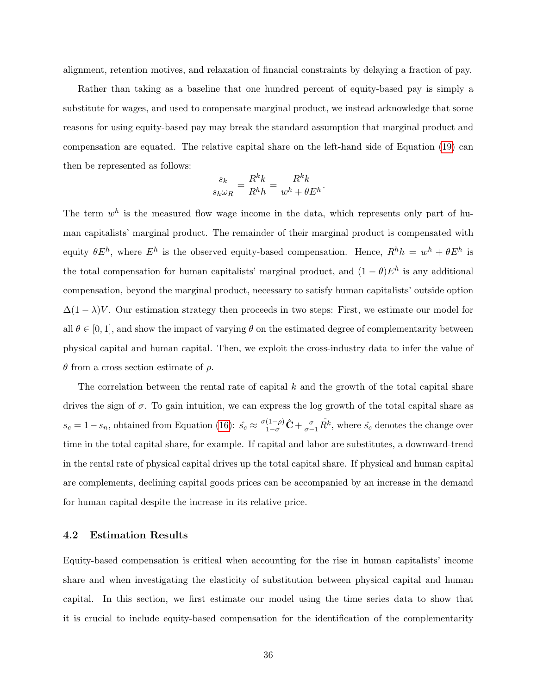alignment, retention motives, and relaxation of financial constraints by delaying a fraction of pay.

Rather than taking as a baseline that one hundred percent of equity-based pay is simply a substitute for wages, and used to compensate marginal product, we instead acknowledge that some reasons for using equity-based pay may break the standard assumption that marginal product and compensation are equated. The relative capital share on the left-hand side of Equation [\(19\)](#page-35-1) can then be represented as follows:

$$
\frac{s_k}{s_h\omega_R}=\frac{R^kk}{R^hh}=\frac{R^kk}{w^h+\theta E^h}
$$

.

The term  $w<sup>h</sup>$  is the measured flow wage income in the data, which represents only part of human capitalists' marginal product. The remainder of their marginal product is compensated with equity  $\theta E^h$ , where  $E^h$  is the observed equity-based compensation. Hence,  $R^h h = w^h + \theta E^h$  is the total compensation for human capitalists' marginal product, and  $(1 - \theta)E^h$  is any additional compensation, beyond the marginal product, necessary to satisfy human capitalists' outside option  $\Delta(1-\lambda)V$ . Our estimation strategy then proceeds in two steps: First, we estimate our model for all  $\theta \in [0, 1]$ , and show the impact of varying  $\theta$  on the estimated degree of complementarity between physical capital and human capital. Then, we exploit the cross-industry data to infer the value of θ from a cross section estimate of ρ.

The correlation between the rental rate of capital k and the growth of the total capital share drives the sign of  $\sigma$ . To gain intuition, we can express the log growth of the total capital share as  $s_c = 1 - s_n$ , obtained from Equation [\(16\)](#page-34-2):  $\hat{s_c} \approx \frac{\sigma(1-\rho)}{1-\sigma}\hat{\mathbf{C}} + \frac{\sigma}{\sigma-1}\hat{R}^k$ , where  $\hat{s_c}$  denotes the change over time in the total capital share, for example. If capital and labor are substitutes, a downward-trend in the rental rate of physical capital drives up the total capital share. If physical and human capital are complements, declining capital goods prices can be accompanied by an increase in the demand for human capital despite the increase in its relative price.

#### 4.2 Estimation Results

Equity-based compensation is critical when accounting for the rise in human capitalists' income share and when investigating the elasticity of substitution between physical capital and human capital. In this section, we first estimate our model using the time series data to show that it is crucial to include equity-based compensation for the identification of the complementarity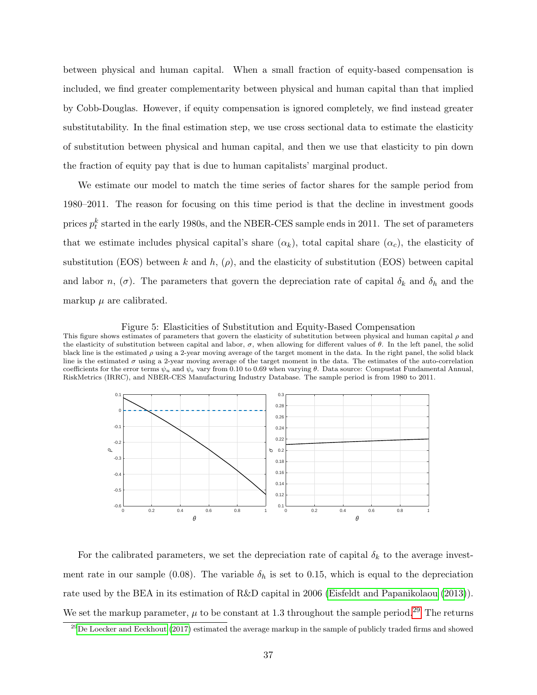between physical and human capital. When a small fraction of equity-based compensation is included, we find greater complementarity between physical and human capital than that implied by Cobb-Douglas. However, if equity compensation is ignored completely, we find instead greater substitutability. In the final estimation step, we use cross sectional data to estimate the elasticity of substitution between physical and human capital, and then we use that elasticity to pin down the fraction of equity pay that is due to human capitalists' marginal product.

We estimate our model to match the time series of factor shares for the sample period from 1980–2011. The reason for focusing on this time period is that the decline in investment goods prices  $p_t^k$  started in the early 1980s, and the NBER-CES sample ends in 2011. The set of parameters that we estimate includes physical capital's share  $(\alpha_k)$ , total capital share  $(\alpha_c)$ , the elasticity of substitution (EOS) between k and h,  $(\rho)$ , and the elasticity of substitution (EOS) between capital and labor n,  $(\sigma)$ . The parameters that govern the depreciation rate of capital  $\delta_k$  and  $\delta_h$  and the markup  $\mu$  are calibrated.

<span id="page-38-1"></span>Figure 5: Elasticities of Substitution and Equity-Based Compensation

This figure shows estimates of parameters that govern the elasticity of substitution between physical and human capital  $\rho$  and the elasticity of substitution between capital and labor,  $\sigma$ , when allowing for different values of  $\theta$ . In the left panel, the solid black line is the estimated  $\rho$  using a 2-year moving average of the target moment in the data. In the right panel, the solid black line is the estimated  $\sigma$  using a 2-year moving average of the target moment in the data. The estimates of the auto-correlation coefficients for the error terms  $\psi_u$  and  $\psi_e$  vary from 0.10 to 0.69 when varying  $\theta$ . Data source: Compustat Fundamental Annual, RiskMetrics (IRRC), and NBER-CES Manufacturing Industry Database. The sample period is from 1980 to 2011.



For the calibrated parameters, we set the depreciation rate of capital  $\delta_k$  to the average investment rate in our sample (0.08). The variable  $\delta_h$  is set to 0.15, which is equal to the depreciation rate used by the BEA in its estimation of R&D capital in 2006 [\(Eisfeldt and Papanikolaou](#page-44-4) [\(2013\)](#page-44-4)). We set the markup parameter,  $\mu$  to be constant at 1.3 throughout the sample period.<sup>[29](#page-38-0)</sup> The returns

<span id="page-38-0"></span> $^{29}$ [De Loecker and Eeckhout](#page-44-15) [\(2017\)](#page-44-15) estimated the average markup in the sample of publicly traded firms and showed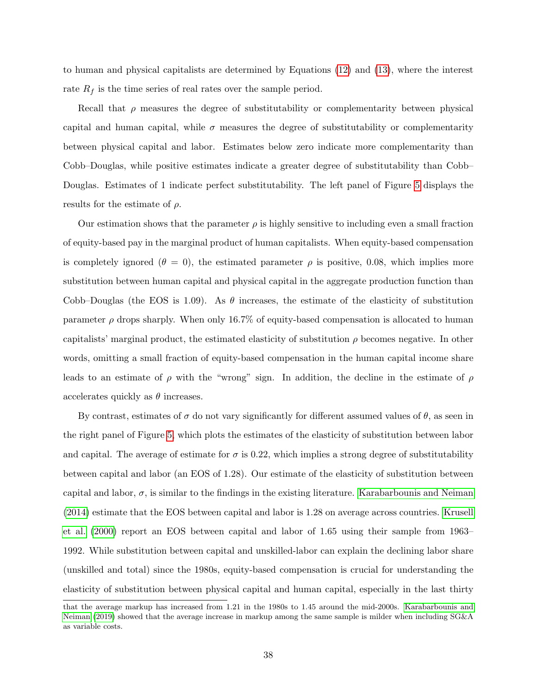to human and physical capitalists are determined by Equations [\(12\)](#page-33-0) and [\(13\)](#page-33-1), where the interest rate  $R_f$  is the time series of real rates over the sample period.

Recall that  $\rho$  measures the degree of substitutability or complementarity between physical capital and human capital, while  $\sigma$  measures the degree of substitutability or complementarity between physical capital and labor. Estimates below zero indicate more complementarity than Cobb–Douglas, while positive estimates indicate a greater degree of substitutability than Cobb– Douglas. Estimates of 1 indicate perfect substitutability. The left panel of Figure [5](#page-38-1) displays the results for the estimate of  $\rho$ .

Our estimation shows that the parameter  $\rho$  is highly sensitive to including even a small fraction of equity-based pay in the marginal product of human capitalists. When equity-based compensation is completely ignored ( $\theta = 0$ ), the estimated parameter  $\rho$  is positive, 0.08, which implies more substitution between human capital and physical capital in the aggregate production function than Cobb–Douglas (the EOS is 1.09). As  $\theta$  increases, the estimate of the elasticity of substitution parameter  $\rho$  drops sharply. When only 16.7% of equity-based compensation is allocated to human capitalists' marginal product, the estimated elasticity of substitution  $\rho$  becomes negative. In other words, omitting a small fraction of equity-based compensation in the human capital income share leads to an estimate of  $\rho$  with the "wrong" sign. In addition, the decline in the estimate of  $\rho$ accelerates quickly as  $\theta$  increases.

By contrast, estimates of  $\sigma$  do not vary significantly for different assumed values of  $\theta$ , as seen in the right panel of Figure [5,](#page-38-1) which plots the estimates of the elasticity of substitution between labor and capital. The average of estimate for  $\sigma$  is 0.22, which implies a strong degree of substitutability between capital and labor (an EOS of 1.28). Our estimate of the elasticity of substitution between capital and labor,  $\sigma$ , is similar to the findings in the existing literature. [Karabarbounis and Neiman](#page-45-1) [\(2014\)](#page-45-1) estimate that the EOS between capital and labor is 1.28 on average across countries. [Krusell](#page-45-6) [et al.](#page-45-6) [\(2000\)](#page-45-6) report an EOS between capital and labor of 1.65 using their sample from 1963– 1992. While substitution between capital and unskilled-labor can explain the declining labor share (unskilled and total) since the 1980s, equity-based compensation is crucial for understanding the elasticity of substitution between physical capital and human capital, especially in the last thirty

that the average markup has increased from 1.21 in the 1980s to 1.45 around the mid-2000s. [Karabarbounis and](#page-45-5) [Neiman](#page-45-5) [\(2019\)](#page-45-5) showed that the average increase in markup among the same sample is milder when including SG&A as variable costs.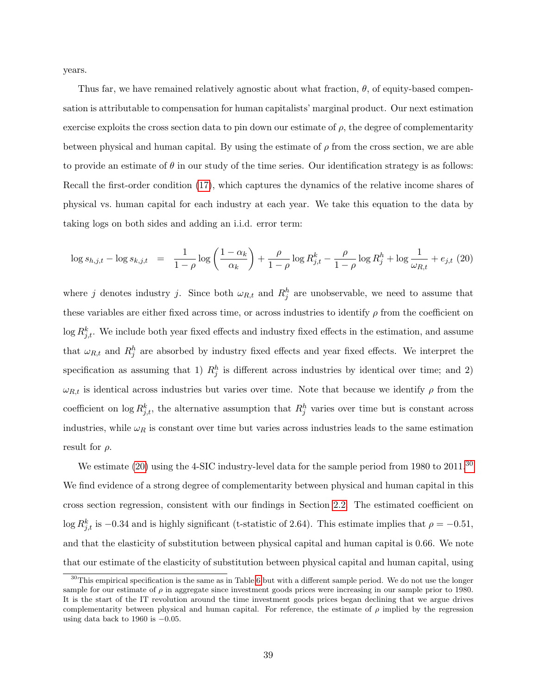years.

Thus far, we have remained relatively agnostic about what fraction,  $\theta$ , of equity-based compensation is attributable to compensation for human capitalists' marginal product. Our next estimation exercise exploits the cross section data to pin down our estimate of  $\rho$ , the degree of complementarity between physical and human capital. By using the estimate of  $\rho$  from the cross section, we are able to provide an estimate of  $\theta$  in our study of the time series. Our identification strategy is as follows: Recall the first-order condition [\(17\)](#page-35-0), which captures the dynamics of the relative income shares of physical vs. human capital for each industry at each year. We take this equation to the data by taking logs on both sides and adding an i.i.d. error term:

<span id="page-40-0"></span>
$$
\log s_{h,j,t} - \log s_{k,j,t} = \frac{1}{1-\rho} \log \left( \frac{1-\alpha_k}{\alpha_k} \right) + \frac{\rho}{1-\rho} \log R_{j,t}^k - \frac{\rho}{1-\rho} \log R_j^h + \log \frac{1}{\omega_{R,t}} + e_{j,t} (20)
$$

where j denotes industry j. Since both  $\omega_{R,t}$  and  $R_j^h$  are unobservable, we need to assume that these variables are either fixed across time, or across industries to identify  $\rho$  from the coefficient on  $\log R_{j,t}^k$ . We include both year fixed effects and industry fixed effects in the estimation, and assume that  $\omega_{R,t}$  and  $R_j^h$  are absorbed by industry fixed effects and year fixed effects. We interpret the specification as assuming that 1)  $R_j^h$  is different across industries by identical over time; and 2)  $\omega_{R,t}$  is identical across industries but varies over time. Note that because we identify  $\rho$  from the coefficient on  $\log R_{j,t}^k$ , the alternative assumption that  $R_j^h$  varies over time but is constant across industries, while  $\omega_R$  is constant over time but varies across industries leads to the same estimation result for  $\rho$ .

We estimate [\(20\)](#page-40-0) using the 4-SIC industry-level data for the sample period from 1980 to 2011.<sup>[30](#page-40-1)</sup> We find evidence of a strong degree of complementarity between physical and human capital in this cross section regression, consistent with our findings in Section [2.2.](#page-16-1) The estimated coefficient on log  $R_{j,t}^k$  is  $-0.34$  and is highly significant (t-statistic of 2.64). This estimate implies that  $\rho = -0.51$ , and that the elasticity of substitution between physical capital and human capital is 0.66. We note that our estimate of the elasticity of substitution between physical capital and human capital, using

<span id="page-40-1"></span> $30$ This empirical specification is the same as in Table [6](#page-59-0) but with a different sample period. We do not use the longer sample for our estimate of  $\rho$  in aggregate since investment goods prices were increasing in our sample prior to 1980. It is the start of the IT revolution around the time investment goods prices began declining that we argue drives complementarity between physical and human capital. For reference, the estimate of  $\rho$  implied by the regression using data back to 1960 is  $-0.05$ .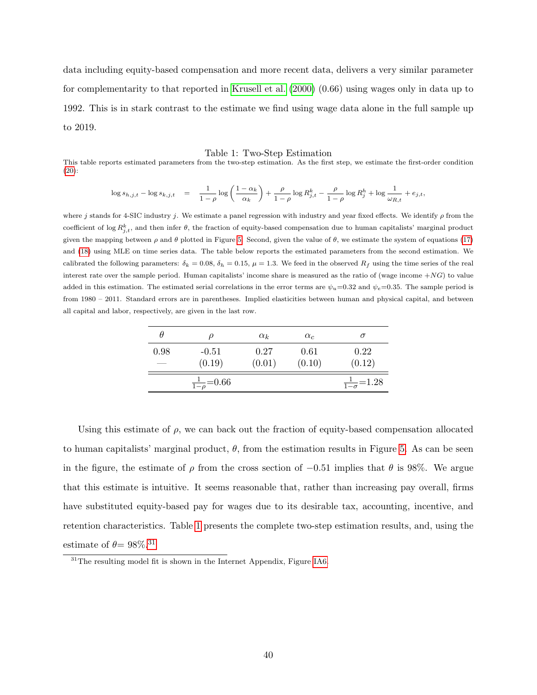data including equity-based compensation and more recent data, delivers a very similar parameter for complementarity to that reported in [Krusell et al.](#page-45-6) [\(2000\)](#page-45-6) (0.66) using wages only in data up to 1992. This is in stark contrast to the estimate we find using wage data alone in the full sample up to 2019.

#### <span id="page-41-0"></span>Table 1: Two-Step Estimation

This table reports estimated parameters from the two-step estimation. As the first step, we estimate the first-order condition [\(20\)](#page-40-0):

$$
\log s_{h,j,t} - \log s_{k,j,t} \quad = \quad \frac{1}{1-\rho} \log \left( \frac{1-\alpha_k}{\alpha_k} \right) + \frac{\rho}{1-\rho} \log R_{j,t}^k - \frac{\rho}{1-\rho} \log R_j^h + \log \frac{1}{\omega_{R,t}} + e_{j,t},
$$

where j stands for 4-SIC industry j. We estimate a panel regression with industry and year fixed effects. We identify  $\rho$  from the coefficient of  $\log R_{j,t}^k$ , and then infer  $\theta$ , the fraction of equity-based compensation due to human capitalists' marginal product given the mapping between  $\rho$  and  $\theta$  plotted in Figure [5.](#page-38-1) Second, given the value of  $\theta$ , we estimate the system of equations [\(17\)](#page-35-0) and [\(18\)](#page-35-0) using MLE on time series data. The table below reports the estimated parameters from the second estimation. We calibrated the following parameters:  $\delta_k = 0.08$ ,  $\delta_h = 0.15$ ,  $\mu = 1.3$ . We feed in the observed  $R_f$  using the time series of the real interest rate over the sample period. Human capitalists' income share is measured as the ratio of (wage income  $+NG$ ) to value added in this estimation. The estimated serial correlations in the error terms are  $\psi_u=0.32$  and  $\psi_e=0.35$ . The sample period is from 1980 – 2011. Standard errors are in parentheses. Implied elasticities between human and physical capital, and between all capital and labor, respectively, are given in the last row.

| H    |                          | $\alpha_k$ | $\alpha_c$ |                            |
|------|--------------------------|------------|------------|----------------------------|
| 0.98 | $-0.51$                  | 0.27       | 0.61       | 0.22                       |
| --   | (0.19)                   | (0.01)     | (0.10)     | (0.12)                     |
|      | $\frac{1}{1-\rho}$ =0.66 |            |            | $\frac{1}{1-\sigma}$ =1.28 |

Using this estimate of  $\rho$ , we can back out the fraction of equity-based compensation allocated to human capitalists' marginal product,  $\theta$ , from the estimation results in Figure [5.](#page-38-1) As can be seen in the figure, the estimate of  $\rho$  from the cross section of  $-0.51$  implies that  $\theta$  is 98%. We argue that this estimate is intuitive. It seems reasonable that, rather than increasing pay overall, firms have substituted equity-based pay for wages due to its desirable tax, accounting, incentive, and retention characteristics. Table [1](#page-41-0) presents the complete two-step estimation results, and, using the estimate of  $\theta {\rm{ = 98\%}}{\rm{.}}^{31}$  $\theta {\rm{ = 98\%}}{\rm{.}}^{31}$  $\theta {\rm{ = 98\%}}{\rm{.}}^{31}$ 

<span id="page-41-1"></span><sup>&</sup>lt;sup>31</sup>The resulting model fit is shown in the Internet Appendix, Figure [IA6.](#page-69-0)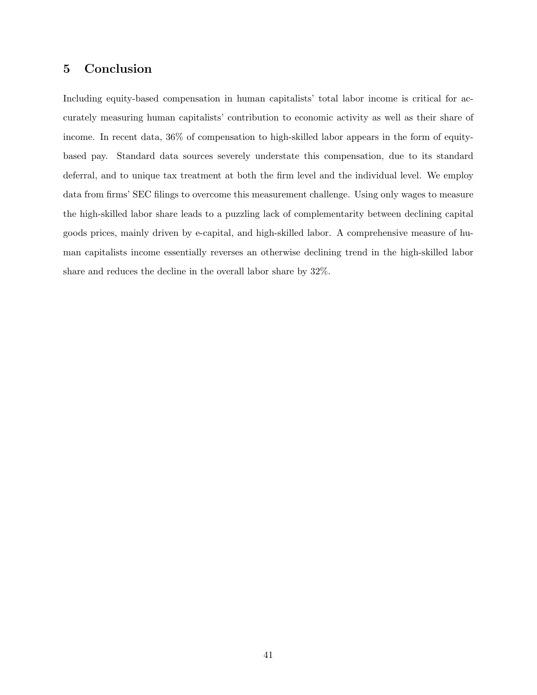# 5 Conclusion

Including equity-based compensation in human capitalists' total labor income is critical for accurately measuring human capitalists' contribution to economic activity as well as their share of income. In recent data, 36% of compensation to high-skilled labor appears in the form of equitybased pay. Standard data sources severely understate this compensation, due to its standard deferral, and to unique tax treatment at both the firm level and the individual level. We employ data from firms' SEC filings to overcome this measurement challenge. Using only wages to measure the high-skilled labor share leads to a puzzling lack of complementarity between declining capital goods prices, mainly driven by e-capital, and high-skilled labor. A comprehensive measure of human capitalists income essentially reverses an otherwise declining trend in the high-skilled labor share and reduces the decline in the overall labor share by 32%.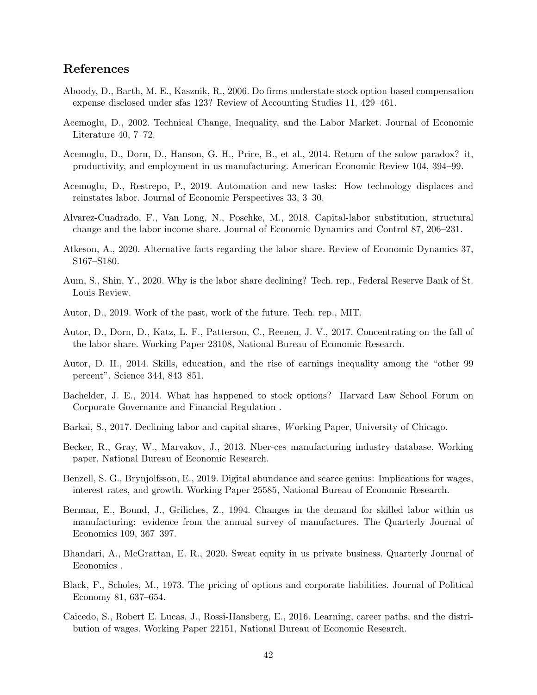# References

- <span id="page-43-15"></span>Aboody, D., Barth, M. E., Kasznik, R., 2006. Do firms understate stock option-based compensation expense disclosed under sfas 123? Review of Accounting Studies 11, 429–461.
- <span id="page-43-6"></span>Acemoglu, D., 2002. Technical Change, Inequality, and the Labor Market. Journal of Economic Literature 40, 7–72.
- <span id="page-43-13"></span>Acemoglu, D., Dorn, D., Hanson, G. H., Price, B., et al., 2014. Return of the solow paradox? it, productivity, and employment in us manufacturing. American Economic Review 104, 394–99.
- <span id="page-43-1"></span>Acemoglu, D., Restrepo, P., 2019. Automation and new tasks: How technology displaces and reinstates labor. Journal of Economic Perspectives 33, 3–30.
- <span id="page-43-0"></span>Alvarez-Cuadrado, F., Van Long, N., Poschke, M., 2018. Capital-labor substitution, structural change and the labor income share. Journal of Economic Dynamics and Control 87, 206–231.
- <span id="page-43-4"></span>Atkeson, A., 2020. Alternative facts regarding the labor share. Review of Economic Dynamics 37, S167–S180.
- <span id="page-43-14"></span>Aum, S., Shin, Y., 2020. Why is the labor share declining? Tech. rep., Federal Reserve Bank of St. Louis Review.
- <span id="page-43-8"></span>Autor, D., 2019. Work of the past, work of the future. Tech. rep., MIT.
- <span id="page-43-5"></span>Autor, D., Dorn, D., Katz, L. F., Patterson, C., Reenen, J. V., 2017. Concentrating on the fall of the labor share. Working Paper 23108, National Bureau of Economic Research.
- <span id="page-43-7"></span>Autor, D. H., 2014. Skills, education, and the rise of earnings inequality among the "other 99 percent". Science 344, 843–851.
- <span id="page-43-17"></span>Bachelder, J. E., 2014. What has happened to stock options? Harvard Law School Forum on Corporate Governance and Financial Regulation .
- <span id="page-43-2"></span>Barkai, S., 2017. Declining labor and capital shares, W orking Paper, University of Chicago.
- <span id="page-43-11"></span>Becker, R., Gray, W., Marvakov, J., 2013. Nber-ces manufacturing industry database. Working paper, National Bureau of Economic Research.
- <span id="page-43-10"></span>Benzell, S. G., Brynjolfsson, E., 2019. Digital abundance and scarce genius: Implications for wages, interest rates, and growth. Working Paper 25585, National Bureau of Economic Research.
- <span id="page-43-12"></span>Berman, E., Bound, J., Griliches, Z., 1994. Changes in the demand for skilled labor within us manufacturing: evidence from the annual survey of manufactures. The Quarterly Journal of Economics 109, 367–397.
- <span id="page-43-3"></span>Bhandari, A., McGrattan, E. R., 2020. Sweat equity in us private business. Quarterly Journal of Economics .
- <span id="page-43-16"></span>Black, F., Scholes, M., 1973. The pricing of options and corporate liabilities. Journal of Political Economy 81, 637–654.
- <span id="page-43-9"></span>Caicedo, S., Robert E. Lucas, J., Rossi-Hansberg, E., 2016. Learning, career paths, and the distribution of wages. Working Paper 22151, National Bureau of Economic Research.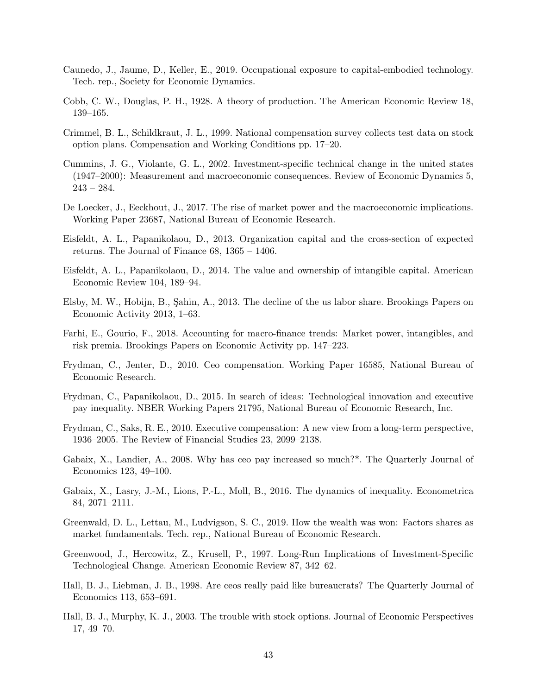- <span id="page-44-6"></span>Caunedo, J., Jaume, D., Keller, E., 2019. Occupational exposure to capital-embodied technology. Tech. rep., Society for Economic Dynamics.
- <span id="page-44-3"></span>Cobb, C. W., Douglas, P. H., 1928. A theory of production. The American Economic Review 18, 139–165.
- <span id="page-44-14"></span>Crimmel, B. L., Schildkraut, J. L., 1999. National compensation survey collects test data on stock option plans. Compensation and Working Conditions pp. 17–20.
- <span id="page-44-17"></span>Cummins, J. G., Violante, G. L., 2002. Investment-specific technical change in the united states (1947–2000): Measurement and macroeconomic consequences. Review of Economic Dynamics 5, 243 – 284.
- <span id="page-44-15"></span>De Loecker, J., Eeckhout, J., 2017. The rise of market power and the macroeconomic implications. Working Paper 23687, National Bureau of Economic Research.
- <span id="page-44-4"></span>Eisfeldt, A. L., Papanikolaou, D., 2013. Organization capital and the cross-section of expected returns. The Journal of Finance 68, 1365 – 1406.
- <span id="page-44-12"></span>Eisfeldt, A. L., Papanikolaou, D., 2014. The value and ownership of intangible capital. American Economic Review 104, 189–94.
- <span id="page-44-0"></span>Elsby, M. W., Hobijn, B., Şahin, A., 2013. The decline of the us labor share. Brookings Papers on Economic Activity 2013, 1–63.
- <span id="page-44-1"></span>Farhi, E., Gourio, F., 2018. Accounting for macro-finance trends: Market power, intangibles, and risk premia. Brookings Papers on Economic Activity pp. 147–223.
- <span id="page-44-11"></span>Frydman, C., Jenter, D., 2010. Ceo compensation. Working Paper 16585, National Bureau of Economic Research.
- <span id="page-44-10"></span>Frydman, C., Papanikolaou, D., 2015. In search of ideas: Technological innovation and executive pay inequality. NBER Working Papers 21795, National Bureau of Economic Research, Inc.
- <span id="page-44-9"></span>Frydman, C., Saks, R. E., 2010. Executive compensation: A new view from a long-term perspective, 1936–2005. The Review of Financial Studies 23, 2099–2138.
- <span id="page-44-8"></span>Gabaix, X., Landier, A., 2008. Why has ceo pay increased so much?\*. The Quarterly Journal of Economics 123, 49–100.
- <span id="page-44-7"></span>Gabaix, X., Lasry, J.-M., Lions, P.-L., Moll, B., 2016. The dynamics of inequality. Econometrica 84, 2071–2111.
- <span id="page-44-2"></span>Greenwald, D. L., Lettau, M., Ludvigson, S. C., 2019. How the wealth was won: Factors shares as market fundamentals. Tech. rep., National Bureau of Economic Research.
- <span id="page-44-5"></span>Greenwood, J., Hercowitz, Z., Krusell, P., 1997. Long-Run Implications of Investment-Specific Technological Change. American Economic Review 87, 342–62.
- <span id="page-44-16"></span>Hall, B. J., Liebman, J. B., 1998. Are ceos really paid like bureaucrats? The Quarterly Journal of Economics 113, 653–691.
- <span id="page-44-13"></span>Hall, B. J., Murphy, K. J., 2003. The trouble with stock options. Journal of Economic Perspectives 17, 49–70.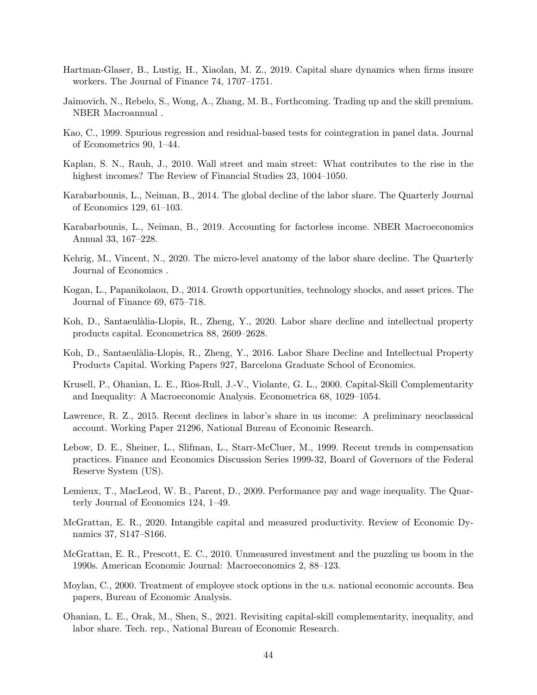- <span id="page-45-7"></span>Hartman-Glaser, B., Lustig, H., Xiaolan, M. Z., 2019. Capital share dynamics when firms insure workers. The Journal of Finance 74, 1707–1751.
- <span id="page-45-12"></span>Jaimovich, N., Rebelo, S., Wong, A., Zhang, M. B., Forthcoming. Trading up and the skill premium. NBER Macroannual .
- <span id="page-45-17"></span>Kao, C., 1999. Spurious regression and residual-based tests for cointegration in panel data. Journal of Econometrics 90, 1–44.
- <span id="page-45-13"></span>Kaplan, S. N., Rauh, J., 2010. Wall street and main street: What contributes to the rise in the highest incomes? The Review of Financial Studies 23, 1004–1050.
- <span id="page-45-1"></span>Karabarbounis, L., Neiman, B., 2014. The global decline of the labor share. The Quarterly Journal of Economics 129, 61–103.
- <span id="page-45-5"></span>Karabarbounis, L., Neiman, B., 2019. Accounting for factorless income. NBER Macroeconomics Annual 33, 167–228.
- <span id="page-45-0"></span>Kehrig, M., Vincent, N., 2020. The micro-level anatomy of the labor share decline. The Quarterly Journal of Economics .
- <span id="page-45-11"></span>Kogan, L., Papanikolaou, D., 2014. Growth opportunities, technology shocks, and asset prices. The Journal of Finance 69, 675–718.
- <span id="page-45-3"></span>Koh, D., Santaeulàlia-Llopis, R., Zheng, Y., 2020. Labor share decline and intellectual property products capital. Econometrica 88, 2609–2628.
- <span id="page-45-10"></span>Koh, D., Santaeulàlia-Llopis, R., Zheng, Y., 2016. Labor Share Decline and Intellectual Property Products Capital. Working Papers 927, Barcelona Graduate School of Economics.
- <span id="page-45-6"></span>Krusell, P., Ohanian, L. E., R`ıos-Rull, J.-V., Violante, G. L., 2000. Capital-Skill Complementarity and Inequality: A Macroeconomic Analysis. Econometrica 68, 1029–1054.
- <span id="page-45-9"></span>Lawrence, R. Z., 2015. Recent declines in labor's share in us income: A preliminary neoclassical account. Working Paper 21296, National Bureau of Economic Research.
- <span id="page-45-16"></span>Lebow, D. E., Sheiner, L., Slifman, L., Starr-McCluer, M., 1999. Recent trends in compensation practices. Finance and Economics Discussion Series 1999-32, Board of Governors of the Federal Reserve System (US).
- <span id="page-45-14"></span>Lemieux, T., MacLeod, W. B., Parent, D., 2009. Performance pay and wage inequality. The Quarterly Journal of Economics 124, 1–49.
- <span id="page-45-4"></span>McGrattan, E. R., 2020. Intangible capital and measured productivity. Review of Economic Dynamics 37, S147–S166.
- <span id="page-45-2"></span>McGrattan, E. R., Prescott, E. C., 2010. Unmeasured investment and the puzzling us boom in the 1990s. American Economic Journal: Macroeconomics 2, 88–123.
- <span id="page-45-15"></span>Moylan, C., 2000. Treatment of employee stock options in the u.s. national economic accounts. Bea papers, Bureau of Economic Analysis.
- <span id="page-45-8"></span>Ohanian, L. E., Orak, M., Shen, S., 2021. Revisiting capital-skill complementarity, inequality, and labor share. Tech. rep., National Bureau of Economic Research.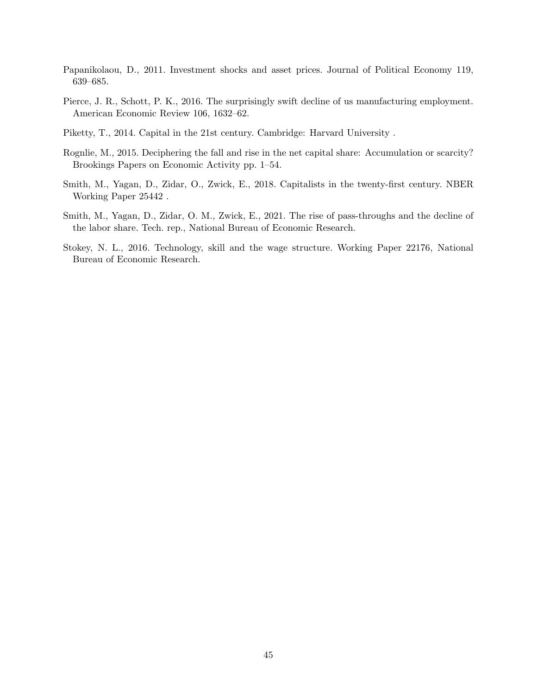- <span id="page-46-3"></span>Papanikolaou, D., 2011. Investment shocks and asset prices. Journal of Political Economy 119, 639–685.
- <span id="page-46-6"></span>Pierce, J. R., Schott, P. K., 2016. The surprisingly swift decline of us manufacturing employment. American Economic Review 106, 1632–62.
- <span id="page-46-4"></span>Piketty, T., 2014. Capital in the 21st century. Cambridge: Harvard University .
- <span id="page-46-2"></span>Rognlie, M., 2015. Deciphering the fall and rise in the net capital share: Accumulation or scarcity? Brookings Papers on Economic Activity pp. 1–54.
- <span id="page-46-0"></span>Smith, M., Yagan, D., Zidar, O., Zwick, E., 2018. Capitalists in the twenty-first century. NBER Working Paper 25442 .
- <span id="page-46-1"></span>Smith, M., Yagan, D., Zidar, O. M., Zwick, E., 2021. The rise of pass-throughs and the decline of the labor share. Tech. rep., National Bureau of Economic Research.
- <span id="page-46-5"></span>Stokey, N. L., 2016. Technology, skill and the wage structure. Working Paper 22176, National Bureau of Economic Research.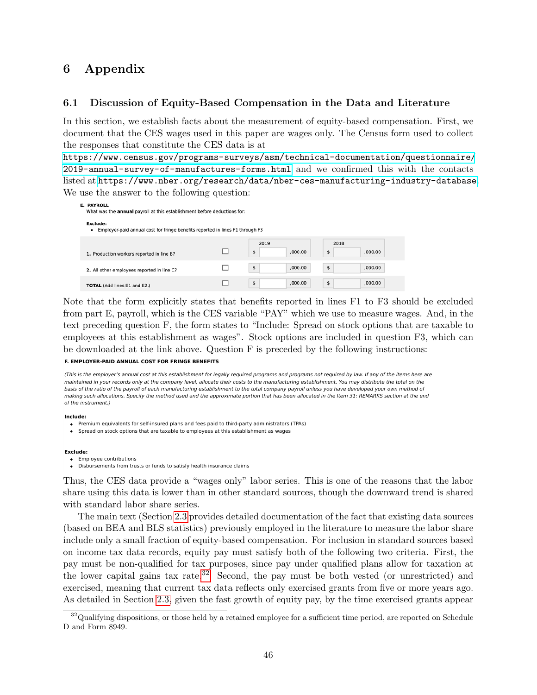# 6 Appendix

## 6.1 Discussion of Equity-Based Compensation in the Data and Literature

In this section, we establish facts about the measurement of equity-based compensation. First, we document that the CES wages used in this paper are wages only. The Census form used to collect the responses that constitute the CES data is at

[https://www.census.gov/programs-surveys/asm/technical-documentation/questionnaire/](https://www.census.gov/programs-surveys/asm/technical-documentation/questionnaire/2019-annual-survey-of-manufactures-forms.html) [2019-annual-survey-of-manufactures-forms.html](https://www.census.gov/programs-surveys/asm/technical-documentation/questionnaire/2019-annual-survey-of-manufactures-forms.html) and we confirmed this with the contacts listed at <https://www.nber.org/research/data/nber-ces-manufacturing-industry-database>. We use the answer to the following question:

| <b>E. PAYROLL</b><br>What was the <b>annual</b> payroll at this establishment before deductions for:  |                       |                       |
|-------------------------------------------------------------------------------------------------------|-----------------------|-----------------------|
| <b>Exclude:</b><br>Employer-paid annual cost for fringe benefits reported in lines F1 through F3<br>٠ |                       |                       |
| 1. Production workers reported in line B?                                                             | 2019<br>.000.00<br>\$ | 2018<br>\$<br>.000.00 |
| 2. All other employees reported in line C?                                                            | \$<br>,000.00         | \$<br>,000.00         |
| <b>TOTAL</b> (Add lines E1 and E2.)                                                                   | \$<br>.000.00         | \$<br>,000.00         |

Note that the form explicitly states that benefits reported in lines F1 to F3 should be excluded from part E, payroll, which is the CES variable "PAY" which we use to measure wages. And, in the text preceding question F, the form states to "Include: Spread on stock options that are taxable to employees at this establishment as wages". Stock options are included in question F3, which can be downloaded at the link above. Question F is preceded by the following instructions: **Do Note**<br> **D** 

#### **F. EMPLOYER-PAID ANNUAL COST FOR FRINGE BENEFITS**

(This is the employer's annual cost at this establishment for legally required programs and programs not required by law. If any of the items here are maintained in your records only at the company level, allocate their costs to the manufacturing establishment. You may distribute the total on the basis of the ratio of the payroll of each manufacturing establishment to the total company payroll unless you have developed your own method of making such allocations. Specify the method used and the approximate portion that has been allocated in the Item 31: REMARKS section at the end of the instrument.)

#### **Include:**

- Premium equivalents for self-insured plans and fees paid to third-party administrators (TPAs)
- Spread on stock options that are taxable to employees at this establishment as wages

#### **Exclude:**

- Employee contributions
- Disbursements from trusts or funds to satisfy health insurance claims

Thus, the CES data provide a "wages only" labor series. This is one of the reasons that the labor share using this data is lower than in other standard sources, though the downward trend is shared with standard labor share series.

(based on BEA and BLS statistics) previously employed in the literature to measure the labor share **a. Defined benefit pension plans (qualified and** include only a small fraction of equity-based compensation. For inclusion in standard sources based  $p_1$ on income tax data records, equity pay must satisfy both of the following two criteria. First, the pay must be non-qualified for tax purposes, since pay under qualified plans allow for taxation at computations  $\frac{1}{2}$  and  $\frac{1}{2}$  and  $\frac{1}{2}$  and  $\frac{1}{2}$ the lower capital gains tax rate.<sup>[32](#page-47-0)</sup> Second, the pay must be both vested (or unrestricted) and exercised, meaning that current tax data reflects only exercised grants from five or more years ago. dotailed in Section 2.2, given the As detailed in Section [2.3,](#page-17-0) given the fast growth of equity pay, by the time exercised grants appear Bo Note<br> **Pose Note**<br>  $\begin{bmatrix} 1 & 0 \\ 0 & 0 \\ 0 & 0 \\ 0 & 0 \\ 0 & 0 \\ 0 & 0 \\ 0 & 0 \\ 0 & 0 \\ 0 & 0 \\ 0 & 0 \\ 0 & 0 \\ 0 & 0 \\ 0 & 0 \\ 0 & 0 \\ 0 & 0 \\ 0 & 0 \\ 0 & 0 \\ 0 & 0 \\ 0 & 0 \\ 0 & 0 \\ 0 & 0 \\ 0 & 0 & 0 \\ 0 & 0 & 0 \\ 0 & 0 & 0 \\ 0 & 0 & 0 \\ 0 & 0 & 0 & 0 \\ 0 & 0 & 0 & 0 \\ 0 & 0 &$ The main text (Section [2.3](#page-17-0) provides detailed documentation of the fact that existing data sources

<span id="page-47-0"></span>provided a second control of the control of the control of the control of the control of the control of the co  $32$ Qualifying dispositions, or those held by a retained employee for a sufficient time period, are reported on Schedule D and Form 8949.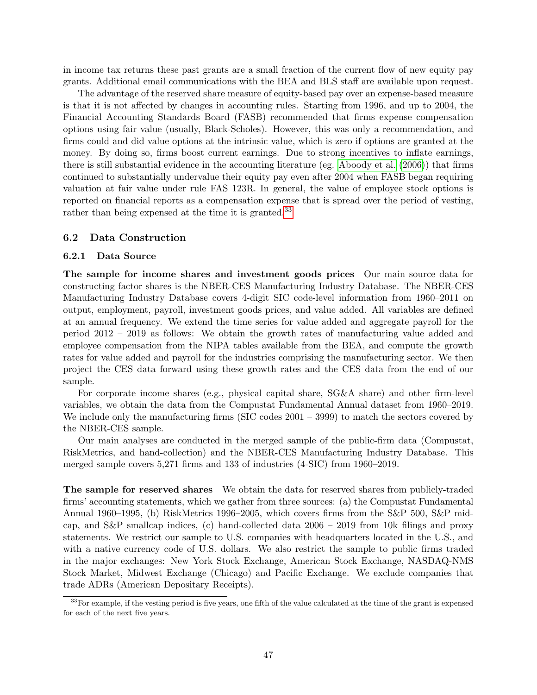in income tax returns these past grants are a small fraction of the current flow of new equity pay grants. Additional email communications with the BEA and BLS staff are available upon request.

The advantage of the reserved share measure of equity-based pay over an expense-based measure is that it is not affected by changes in accounting rules. Starting from 1996, and up to 2004, the Financial Accounting Standards Board (FASB) recommended that firms expense compensation options using fair value (usually, Black-Scholes). However, this was only a recommendation, and firms could and did value options at the intrinsic value, which is zero if options are granted at the money. By doing so, firms boost current earnings. Due to strong incentives to inflate earnings, there is still substantial evidence in the accounting literature (eg. [Aboody et al.](#page-43-15) [\(2006\)](#page-43-15)) that firms continued to substantially undervalue their equity pay even after 2004 when FASB began requiring valuation at fair value under rule FAS 123R. In general, the value of employee stock options is reported on financial reports as a compensation expense that is spread over the period of vesting, rather than being expensed at the time it is granted.<sup>[33](#page-48-0)</sup>

#### <span id="page-48-1"></span>6.2 Data Construction

#### 6.2.1 Data Source

The sample for income shares and investment goods prices Our main source data for constructing factor shares is the NBER-CES Manufacturing Industry Database. The NBER-CES Manufacturing Industry Database covers 4-digit SIC code-level information from 1960–2011 on output, employment, payroll, investment goods prices, and value added. All variables are defined at an annual frequency. We extend the time series for value added and aggregate payroll for the period 2012 – 2019 as follows: We obtain the growth rates of manufacturing value added and employee compensation from the NIPA tables available from the BEA, and compute the growth rates for value added and payroll for the industries comprising the manufacturing sector. We then project the CES data forward using these growth rates and the CES data from the end of our sample.

For corporate income shares (e.g., physical capital share, SG&A share) and other firm-level variables, we obtain the data from the Compustat Fundamental Annual dataset from 1960–2019. We include only the manufacturing firms (SIC codes  $2001 - 3999$ ) to match the sectors covered by the NBER-CES sample.

Our main analyses are conducted in the merged sample of the public-firm data (Compustat, RiskMetrics, and hand-collection) and the NBER-CES Manufacturing Industry Database. This merged sample covers 5,271 firms and 133 of industries (4-SIC) from 1960–2019.

The sample for reserved shares We obtain the data for reserved shares from publicly-traded firms' accounting statements, which we gather from three sources: (a) the Compustat Fundamental Annual 1960–1995, (b) RiskMetrics 1996–2005, which covers firms from the S&P 500, S&P midcap, and S&P smallcap indices, (c) hand-collected data 2006 – 2019 from 10k filings and proxy statements. We restrict our sample to U.S. companies with headquarters located in the U.S., and with a native currency code of U.S. dollars. We also restrict the sample to public firms traded in the major exchanges: New York Stock Exchange, American Stock Exchange, NASDAQ-NMS Stock Market, Midwest Exchange (Chicago) and Pacific Exchange. We exclude companies that trade ADRs (American Depositary Receipts).

<span id="page-48-0"></span><sup>&</sup>lt;sup>33</sup>For example, if the vesting period is five years, one fifth of the value calculated at the time of the grant is expensed for each of the next five years.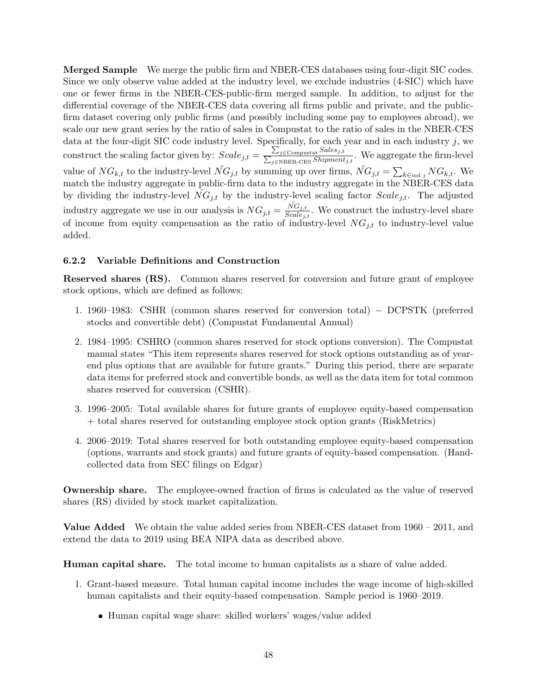Merged Sample We merge the public firm and NBER-CES databases using four-digit SIC codes. Since we only observe value added at the industry level, we exclude industries (4-SIC) which have one or fewer firms in the NBER-CES-public-firm merged sample. In addition, to adjust for the differential coverage of the NBER-CES data covering all firms public and private, and the publicfirm dataset covering only public firms (and possibly including some pay to employees abroad), we scale our new grant series by the ratio of sales in Compustat to the ratio of sales in the NBER-CES data at the four-digit SIC code industry level. Specifically, for each year and in each industry  $j$ , we construct the scaling factor given by:  $Scale_{j,t} = \frac{\sum_{i=1}^{n} A_{j,t}}{\sum_{i=1}^{n} A_{j,t}}$  $\sum$ j∈Compustat  $Sales_{j,t}$  $\frac{\sum_{j \in \text{Complex} \text{at } S \text{hipment}_{j,t}}}{\sum_{j \in \text{NBER-CES}} Shipment_{j,t}}$ . We aggregate the firm-level value of  $NG_{k,t}$  to the industry-level  $\tilde{NG}_{j,t}$  by summing up over firms,  $\tilde{NG}_{j,t} = \sum_{k \in \text{ind } j} NG_{k,t}$ . We match the industry aggregate in public-firm data to the industry aggregate in the NBER-CES data by dividing the industry-level  $\tilde{NG}_{j,t}$  by the industry-level scaling factor  $Scale_{j,t}$ . The adjusted industry aggregate we use in our analysis is  $NG_{j,t} = \frac{\tilde{NG}_{j,t}}{Scale_{j,t}}$ . We construct the industry-level share of income from equity compensation as the ratio of industry-level  $NG_{j,t}$  to industry-level value added.

#### 6.2.2 Variable Definitions and Construction

Reserved shares (RS). Common shares reserved for conversion and future grant of employee stock options, which are defined as follows:

- 1. 1960–1983: CSHR (common shares reserved for conversion total) − DCPSTK (preferred stocks and convertible debt) (Compustat Fundamental Annual)
- 2. 1984–1995: CSHRO (common shares reserved for stock options conversion). The Compustat manual states "This item represents shares reserved for stock options outstanding as of yearend plus options that are available for future grants." During this period, there are separate data items for preferred stock and convertible bonds, as well as the data item for total common shares reserved for conversion (CSHR).
- 3. 1996–2005: Total available shares for future grants of employee equity-based compensation + total shares reserved for outstanding employee stock option grants (RiskMetrics)
- 4. 2006–2019: Total shares reserved for both outstanding employee equity-based compensation (options, warrants and stock grants) and future grants of equity-based compensation. (Handcollected data from SEC filings on Edgar)

Ownership share. The employee-owned fraction of firms is calculated as the value of reserved shares (RS) divided by stock market capitalization.

Value Added We obtain the value added series from NBER-CES dataset from 1960 – 2011, and extend the data to 2019 using BEA NIPA data as described above.

Human capital share. The total income to human capitalists as a share of value added.

- 1. Grant-based measure. Total human capital income includes the wage income of high-skilled human capitalists and their equity-based compensation. Sample period is 1960–2019.
	- Human capital wage share: skilled workers' wages/value added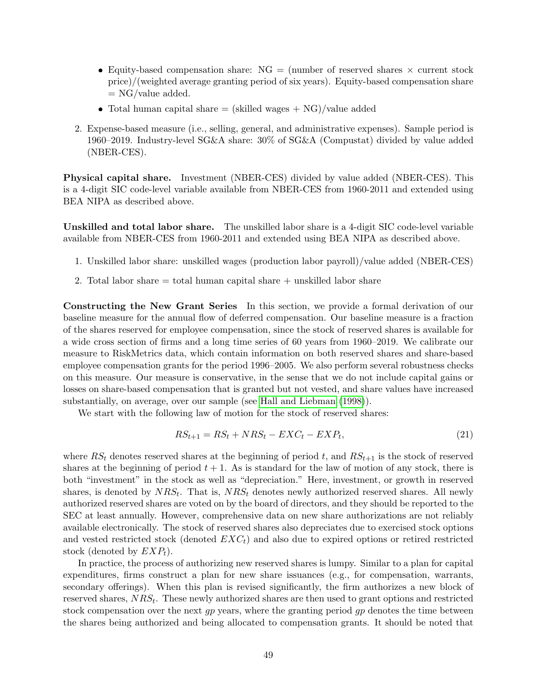- Equity-based compensation share:  $NG =$  (number of reserved shares  $\times$  current stock price)/(weighted average granting period of six years). Equity-based compensation share  $= NG/value added.$
- Total human capital share  $=$  (skilled wages  $+$  NG)/value added
- 2. Expense-based measure (i.e., selling, general, and administrative expenses). Sample period is 1960–2019. Industry-level SG&A share: 30% of SG&A (Compustat) divided by value added (NBER-CES).

Physical capital share. Investment (NBER-CES) divided by value added (NBER-CES). This is a 4-digit SIC code-level variable available from NBER-CES from 1960-2011 and extended using BEA NIPA as described above.

Unskilled and total labor share. The unskilled labor share is a 4-digit SIC code-level variable available from NBER-CES from 1960-2011 and extended using BEA NIPA as described above.

- 1. Unskilled labor share: unskilled wages (production labor payroll)/value added (NBER-CES)
- 2. Total labor share  $=$  total human capital share  $+$  unskilled labor share

<span id="page-50-0"></span>Constructing the New Grant Series In this section, we provide a formal derivation of our baseline measure for the annual flow of deferred compensation. Our baseline measure is a fraction of the shares reserved for employee compensation, since the stock of reserved shares is available for a wide cross section of firms and a long time series of 60 years from 1960–2019. We calibrate our measure to RiskMetrics data, which contain information on both reserved shares and share-based employee compensation grants for the period 1996–2005. We also perform several robustness checks on this measure. Our measure is conservative, in the sense that we do not include capital gains or losses on share-based compensation that is granted but not vested, and share values have increased substantially, on average, over our sample (see [Hall and Liebman](#page-44-16) [\(1998\)](#page-44-16)).

We start with the following law of motion for the stock of reserved shares:

<span id="page-50-1"></span>
$$
RS_{t+1} = RS_t + NRS_t - EXC_t - EXP_t,\tag{21}
$$

where  $RS_t$  denotes reserved shares at the beginning of period t, and  $RS_{t+1}$  is the stock of reserved shares at the beginning of period  $t + 1$ . As is standard for the law of motion of any stock, there is both "investment" in the stock as well as "depreciation." Here, investment, or growth in reserved shares, is denoted by  $NRS_t$ . That is,  $NRS_t$  denotes newly authorized reserved shares. All newly authorized reserved shares are voted on by the board of directors, and they should be reported to the SEC at least annually. However, comprehensive data on new share authorizations are not reliably available electronically. The stock of reserved shares also depreciates due to exercised stock options and vested restricted stock (denoted  $EXC<sub>t</sub>$ ) and also due to expired options or retired restricted stock (denoted by  $EXP<sub>t</sub>$ ).

In practice, the process of authorizing new reserved shares is lumpy. Similar to a plan for capital expenditures, firms construct a plan for new share issuances (e.g., for compensation, warrants, secondary offerings). When this plan is revised significantly, the firm authorizes a new block of reserved shares,  $NRS_t$ . These newly authorized shares are then used to grant options and restricted stock compensation over the next  $qp$  years, where the granting period  $qp$  denotes the time between the shares being authorized and being allocated to compensation grants. It should be noted that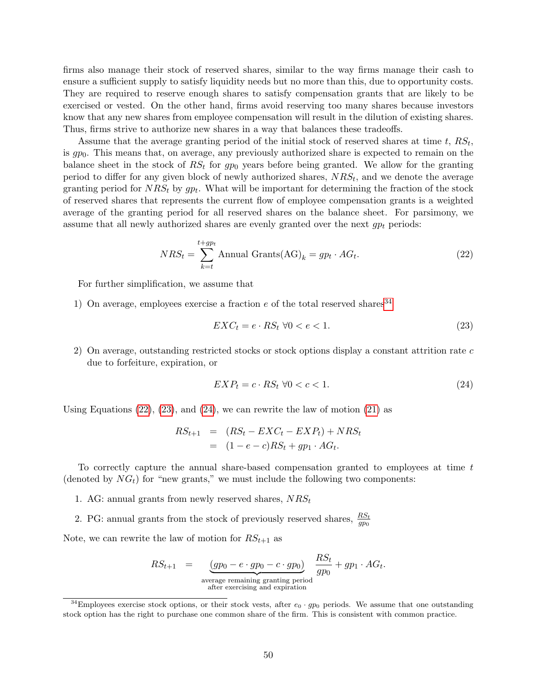firms also manage their stock of reserved shares, similar to the way firms manage their cash to ensure a sufficient supply to satisfy liquidity needs but no more than this, due to opportunity costs. They are required to reserve enough shares to satisfy compensation grants that are likely to be exercised or vested. On the other hand, firms avoid reserving too many shares because investors know that any new shares from employee compensation will result in the dilution of existing shares. Thus, firms strive to authorize new shares in a way that balances these tradeoffs.

Assume that the average granting period of the initial stock of reserved shares at time  $t$ ,  $RS_t$ , is  $gp_0$ . This means that, on average, any previously authorized share is expected to remain on the balance sheet in the stock of  $RS_t$  for gp<sub>0</sub> years before being granted. We allow for the granting period to differ for any given block of newly authorized shares,  $NRS_t$ , and we denote the average granting period for  $NRS_t$  by  $gp_t$ . What will be important for determining the fraction of the stock of reserved shares that represents the current flow of employee compensation grants is a weighted average of the granting period for all reserved shares on the balance sheet. For parsimony, we assume that all newly authorized shares are evenly granted over the next  $gp_t$  periods:

<span id="page-51-1"></span>
$$
NRS_t = \sum_{k=t}^{t+gp_t} \text{Annual Grants}(\text{AG})_k = gp_t \cdot AG_t. \tag{22}
$$

For further simplification, we assume that

1) On average, employees exercise a fraction  $e$  of the total reserved shares<sup>[34](#page-51-0)</sup>

<span id="page-51-2"></span>
$$
EXC_t = e \cdot RS_t \ \forall 0 < e < 1. \tag{23}
$$

2) On average, outstanding restricted stocks or stock options display a constant attrition rate  $c$ due to forfeiture, expiration, or

<span id="page-51-3"></span>
$$
EXPt = c \cdot RSt \ \forall 0 < c < 1. \tag{24}
$$

Using Equations  $(22)$ ,  $(23)$ , and  $(24)$ , we can rewrite the law of motion  $(21)$  as

$$
RS_{t+1} = (RS_t - EXC_t - EXP_t) + NRS_t
$$
  
= 
$$
(1 - e - c)RS_t + gp_1 \cdot AG_t.
$$

To correctly capture the annual share-based compensation granted to employees at time t (denoted by  $NG_t$ ) for "new grants," we must include the following two components:

- 1. AG: annual grants from newly reserved shares,  $NRS_t$
- 2. PG: annual grants from the stock of previously reserved shares,  $\frac{RS_t}{gp_0}$

Note, we can rewrite the law of motion for  $RS_{t+1}$  as

$$
RS_{t+1} = \underbrace{(gp_0 - e \cdot gp_0 - c \cdot gp_0)}_{\text{average remaining granting period}} \underbrace{RS_t}_{gp_0} + gp_1 \cdot AG_t.
$$

<span id="page-51-0"></span><sup>&</sup>lt;sup>34</sup>Employees exercise stock options, or their stock vests, after  $e_0 \cdot gp_0$  periods. We assume that one outstanding stock option has the right to purchase one common share of the firm. This is consistent with common practice.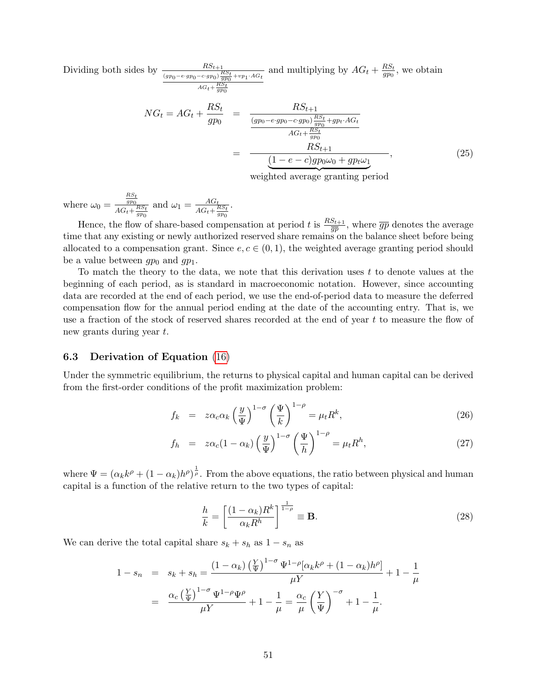Dividing both sides by  $\frac{RS_{t+1}}{(gp_0 - e \cdot gp_0 - c \cdot gp_0) \frac{RS_t}{gp_0} + vp_1 \cdot AG_t}$ and multiplying by  $AG_t + \frac{RS_t}{q p_0}$  $\frac{RS_t}{gp_0}$ , we obtain

$$
NG_{t} = AG_{t} + \frac{RS_{t}}{gp_{0}} = \frac{RS_{t+1}}{\frac{(gp_{0} - e \cdot gp_{0}) \frac{RS_{t+1}}{gp_{0}}}{AG_{t} + \frac{RS_{t}}{gp_{0}}}} = \frac{RS_{t+1}}{\frac{RS_{t+1}}{AG_{t} + \frac{RS_{t}}{gp_{0}}}} = \frac{RS_{t+1}}{\underbrace{(1 - e - c)gp_{0}\omega_{0} + gp_{t}\omega_{1}}},
$$
\n(25)

weighted average granting period

where  $\omega_0 =$  $rac{RS_t}{gp_0}$  $AG_t + \frac{RS_t}{gp_0}$ and  $\omega_1 = \frac{AG_t}{AG + H}$  $AG_t + \frac{RS_t}{gp_0}$ .

Hence, the flow of share-based compensation at period t is  $\frac{RS_{t+1}}{g\overline{p}}$ , where  $\overline{gp}$  denotes the average time that any existing or newly authorized reserved share remains on the balance sheet before being allocated to a compensation grant. Since  $e, c \in (0, 1)$ , the weighted average granting period should be a value between  $gp_0$  and  $gp_1$ .

To match the theory to the data, we note that this derivation uses  $t$  to denote values at the beginning of each period, as is standard in macroeconomic notation. However, since accounting data are recorded at the end of each period, we use the end-of-period data to measure the deferred compensation flow for the annual period ending at the date of the accounting entry. That is, we use a fraction of the stock of reserved shares recorded at the end of year t to measure the flow of new grants during year t.

#### <span id="page-52-0"></span>6.3 Derivation of Equation [\(16\)](#page-34-2)

Under the symmetric equilibrium, the returns to physical capital and human capital can be derived from the first-order conditions of the profit maximization problem:

$$
f_k = z\alpha_c \alpha_k \left(\frac{y}{\Psi}\right)^{1-\sigma} \left(\frac{\Psi}{k}\right)^{1-\rho} = \mu_t R^k,
$$
\n(26)

$$
f_h = z\alpha_c (1 - \alpha_k) \left(\frac{y}{\Psi}\right)^{1 - \sigma} \left(\frac{\Psi}{h}\right)^{1 - \rho} = \mu_t R^h,
$$
\n(27)

where  $\Psi = (\alpha_k k^{\rho} + (1 - \alpha_k)h^{\rho})^{\frac{1}{\rho}}$ . From the above equations, the ratio between physical and human capital is a function of the relative return to the two types of capital:

$$
\frac{h}{k} = \left[\frac{(1 - \alpha_k)R^k}{\alpha_k R^h}\right]^{\frac{1}{1 - \rho}} \equiv \mathbf{B}.\tag{28}
$$

We can derive the total capital share  $s_k + s_h$  as  $1 - s_n$  as

$$
1 - s_n = s_k + s_h = \frac{(1 - \alpha_k) \left(\frac{Y}{\Psi}\right)^{1 - \sigma} \Psi^{1 - \rho} [\alpha_k k^{\rho} + (1 - \alpha_k) h^{\rho}]}{\mu Y} + 1 - \frac{1}{\mu}
$$

$$
= \frac{\alpha_c \left(\frac{Y}{\Psi}\right)^{1 - \sigma} \Psi^{1 - \rho} \Psi^{\rho}}{\mu Y} + 1 - \frac{1}{\mu} = \frac{\alpha_c}{\mu} \left(\frac{Y}{\Psi}\right)^{-\sigma} + 1 - \frac{1}{\mu}.
$$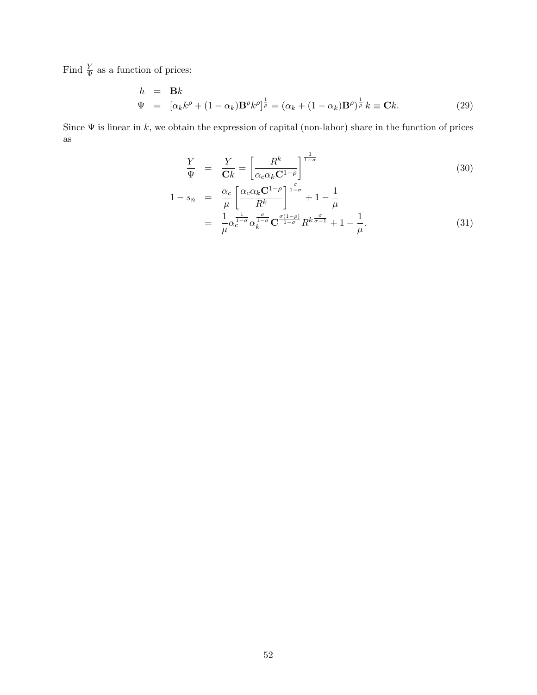Find  $\frac{Y}{\Psi}$  as a function of prices:

$$
h = \mathbf{B}k
$$
  
\n
$$
\Psi = [\alpha_k k^{\rho} + (1 - \alpha_k) \mathbf{B}^{\rho} k^{\rho}]^{\frac{1}{\rho}} = (\alpha_k + (1 - \alpha_k) \mathbf{B}^{\rho})^{\frac{1}{\rho}} k \equiv \mathbf{C}k.
$$
\n(29)

Since  $\Psi$  is linear in k, we obtain the expression of capital (non-labor) share in the function of prices as

$$
\frac{Y}{\Psi} = \frac{Y}{\mathbf{C}k} = \left[\frac{R^k}{\alpha_c \alpha_k \mathbf{C}^{1-\rho}}\right]^{\frac{1}{1-\sigma}}
$$
(30)  

$$
1 - s_n = \frac{\alpha_c}{\mu} \left[\frac{\alpha_c \alpha_k \mathbf{C}^{1-\rho}}{R^k}\right]^{\frac{\sigma}{1-\sigma}} + 1 - \frac{1}{\mu}
$$

$$
= \frac{1}{\mu} \alpha_c^{\frac{1}{1-\sigma}} \alpha_k^{\frac{\sigma}{1-\sigma}} \mathbf{C}^{\frac{\sigma(1-\rho)}{1-\sigma}} R^{k \frac{\sigma}{\sigma-1}} + 1 - \frac{1}{\mu}.
$$
(31)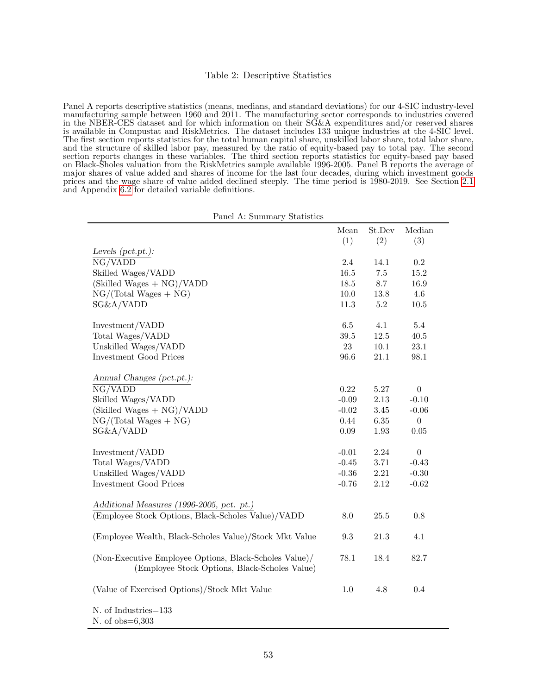#### <span id="page-54-0"></span>Table 2: Descriptive Statistics

Panel A reports descriptive statistics (means, medians, and standard deviations) for our 4-SIC industry-level manufacturing sample between 1960 and 2011. The manufacturing sector corresponds to industries covered in the NBER-CES dataset and for which information on their SG&A expenditures and/or reserved shares is available in Compustat and RiskMetrics. The dataset includes 133 unique industries at the 4-SIC level. The first section reports statistics for the total human capital share, unskilled labor share, total labor share, and the structure of skilled labor pay, measured by the ratio of equity-based pay to total pay. The second section reports changes in these variables. The third section reports statistics for equity-based pay based on Black-Sholes valuation from the RiskMetrics sample available 1996-2005. Panel B reports the average of major shares of value added and shares of income for the last four decades, during which investment goods prices and the wage share of value added declined steeply. The time period is 1980-2019. See Section [2.1](#page-9-2) and Appendix [6.2](#page-48-1) for detailed variable definitions.

|                                                                                                         | Mean<br>(1) | St.Dev<br>(2) | Median<br>(3)    |
|---------------------------------------------------------------------------------------------------------|-------------|---------------|------------------|
| Levels $(pct. pt.):$                                                                                    |             |               |                  |
| $\overline{\text{NG/VADD}}$                                                                             | 2.4         | 14.1          | 0.2              |
| Skilled Wages/VADD                                                                                      | $16.5\,$    | $7.5\,$       | 15.2             |
| $(Skilled Wages + NG)/VADD$                                                                             | 18.5        | 8.7           | 16.9             |
| $NG/(Total Wages + NG)$                                                                                 | 10.0        | 13.8          | 4.6              |
| SG&A/VADD                                                                                               | 11.3        | 5.2           | 10.5             |
|                                                                                                         |             |               |                  |
| Investment/VADD                                                                                         | $6.5\,$     | 4.1           | $5.4\,$          |
| Total Wages/VADD                                                                                        | $39.5\,$    | 12.5          | 40.5             |
| Unskilled Wages/VADD                                                                                    | 23          | 10.1          | 23.1             |
| <b>Investment Good Prices</b>                                                                           | 96.6        | $21.1\,$      | 98.1             |
| Annual Changes (pct.pt.):                                                                               |             |               |                  |
| NG/VADD                                                                                                 | 0.22        | 5.27          | $\boldsymbol{0}$ |
| Skilled Wages/VADD                                                                                      | $-0.09$     | 2.13          | $-0.10$          |
| $(Skilled Wages + NG)/VADD$                                                                             | $-0.02$     | 3.45          | $-0.06$          |
| $NG/(Total Wages + NG)$                                                                                 | 0.44        | $6.35\,$      | $\boldsymbol{0}$ |
| SG&A/VADD                                                                                               | 0.09        | 1.93          | 0.05             |
|                                                                                                         |             |               |                  |
| Investment/VADD                                                                                         | $-0.01$     | $2.24\,$      | $\boldsymbol{0}$ |
| Total Wages/VADD                                                                                        | $-0.45$     | 3.71          | $-0.43$          |
| Unskilled Wages/VADD                                                                                    | $-0.36$     | $2.21\,$      | $-0.30$          |
| <b>Investment Good Prices</b>                                                                           | $-0.76$     | 2.12          | $-0.62$          |
| Additional Measures (1996-2005, pct. pt.)                                                               |             |               |                  |
| (Employee Stock Options, Black-Scholes Value)/VADD                                                      | $8.0\,$     | $25.5\,$      | $0.8\,$          |
| (Employee Wealth, Black-Scholes Value)/Stock Mkt Value                                                  | 9.3         | 21.3          | 4.1              |
| (Non-Executive Employee Options, Black-Scholes Value)/<br>(Employee Stock Options, Black-Scholes Value) | 78.1        | 18.4          | 82.7             |
| (Value of Exercised Options)/Stock Mkt Value                                                            | 1.0         | 4.8           | 0.4              |
| N. of Industries=133<br>N, of $obs=6.303$                                                               |             |               |                  |

Panel A: Summary Statistics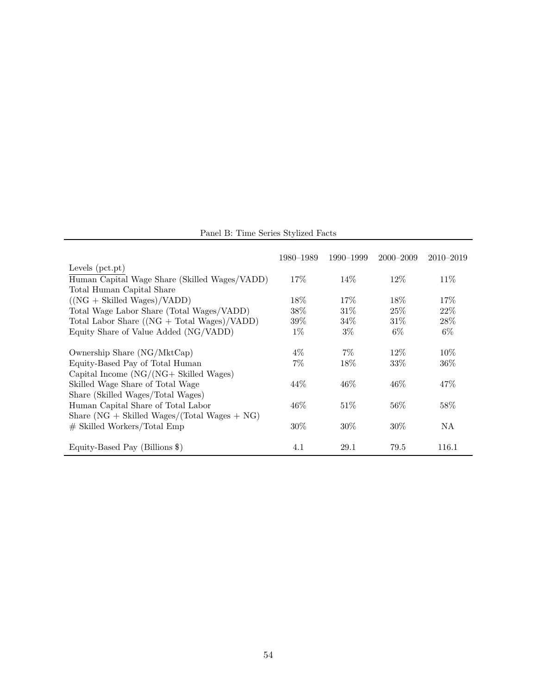Panel B: Time Series Stylized Facts

|                                                   | 1980–1989 | 1990–1999 | $2000 - 2009$ | $2010 - 2019$ |
|---------------------------------------------------|-----------|-----------|---------------|---------------|
| Levels $(pct. pt)$                                |           |           |               |               |
| Human Capital Wage Share (Skilled Wages/VADD)     | 17\%      | $14\%$    | $12\%$        | 11\%          |
| Total Human Capital Share                         |           |           |               |               |
| $((NG + Skilled Wages)/VADD)$                     | $18\%$    | $17\%$    | 18\%          | 17\%          |
| Total Wage Labor Share (Total Wages/VADD)         | 38%       | $31\%$    | $25\%$        | 22%           |
| Total Labor Share $((NG + Total Wages)/VADD)$     | $39\%$    | 34%       | $31\%$        | 28\%          |
| Equity Share of Value Added (NG/VADD)             | $1\%$     | $3\%$     | $6\%$         | $6\%$         |
| Ownership Share (NG/MktCap)                       | $4\%$     | $7\%$     | $12\%$        | $10\%$        |
| Equity-Based Pay of Total Human                   | $7\%$     | 18%       | 33\%          | $36\%$        |
| Capital Income $(NG/(NG + Skilled Wages))$        |           |           |               |               |
| Skilled Wage Share of Total Wage                  | $44\%$    | $46\%$    | $46\%$        | 47\%          |
| Share (Skilled Wages/Total Wages)                 |           |           |               |               |
| Human Capital Share of Total Labor                | 46%       | $51\%$    | $56\%$        | 58%           |
| Share ( $NG + Skilled Wages/(Total Wages + NG)$ ) |           |           |               |               |
| $\#$ Skilled Workers/Total Emp                    | $30\%$    | $30\%$    | $30\%$        | ΝA            |
| Equity-Based Pay (Billions \$)                    | 4.1       | 29.1      | 79.5          | 116.1         |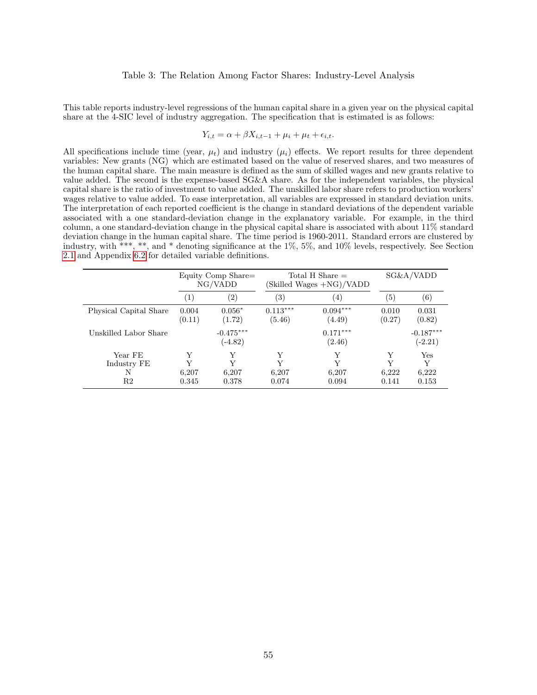#### <span id="page-56-0"></span>Table 3: The Relation Among Factor Shares: Industry-Level Analysis

This table reports industry-level regressions of the human capital share in a given year on the physical capital share at the 4-SIC level of industry aggregation. The specification that is estimated is as follows:

$$
Y_{i,t} = \alpha + \beta X_{i,t-1} + \mu_i + \mu_t + \epsilon_{i,t}.
$$

All specifications include time (year,  $\mu_t$ ) and industry ( $\mu_i$ ) effects. We report results for three dependent variables: New grants (NG) which are estimated based on the value of reserved shares, and two measures of the human capital share. The main measure is defined as the sum of skilled wages and new grants relative to value added. The second is the expense-based SG&A share. As for the independent variables, the physical capital share is the ratio of investment to value added. The unskilled labor share refers to production workers' wages relative to value added. To ease interpretation, all variables are expressed in standard deviation units. The interpretation of each reported coefficient is the change in standard deviations of the dependent variable associated with a one standard-deviation change in the explanatory variable. For example, in the third column, a one standard-deviation change in the physical capital share is associated with about 11% standard deviation change in the human capital share. The time period is 1960-2011. Standard errors are clustered by industry, with \*\*\*, \*\*, and \* denoting significance at the 1%, 5%, and 10% levels, respectively. See Section [2.1](#page-9-2) and Appendix [6.2](#page-48-1) for detailed variable definitions.

|                                            |                          | Equity Comp Share=<br>NG/VADD | Total H Share $=$<br>(Skilled Wages +NG)/VADD |                          |                          | SG&A/VADD                  |
|--------------------------------------------|--------------------------|-------------------------------|-----------------------------------------------|--------------------------|--------------------------|----------------------------|
|                                            | (1)                      | $\left( 2\right)$             | $\left( 3\right)$                             | $\left(4\right)$         | $\left( 5\right)$        | (6)                        |
| Physical Capital Share                     | 0.004<br>(0.11)          | $0.056*$<br>(1.72)            | $0.113***$<br>(5.46)                          | $0.094***$<br>(4.49)     | 0.010<br>(0.27)          | 0.031<br>(0.82)            |
| Unskilled Labor Share                      |                          | $-0.475***$<br>$(-4.82)$      |                                               | $0.171***$<br>(2.46)     |                          | $-0.187***$<br>$(-2.21)$   |
| Year FE<br>Industry FE<br>N<br>$^{\rm R2}$ | Y<br>Y<br>6,207<br>0.345 | Y<br>Y<br>6,207<br>0.378      | Y<br>Y<br>6,207<br>0.074                      | Y<br>Y<br>6,207<br>0.094 | Y<br>Y<br>6,222<br>0.141 | Yes<br>Y<br>6,222<br>0.153 |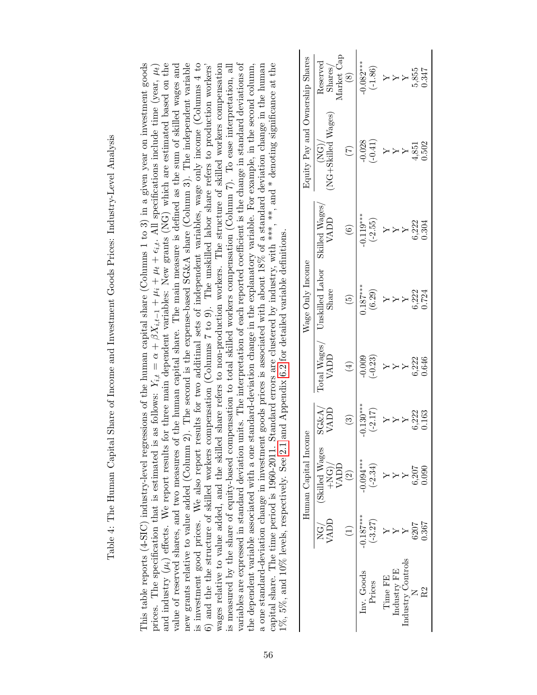| $\overline{a}$<br>ĺ                                                                                     |
|---------------------------------------------------------------------------------------------------------|
| $\frac{1}{2}$<br>$\ddot{\phantom{a}}$                                                                   |
| ֡֡֡֡֡<br>I                                                                                              |
| I                                                                                                       |
| ֧֧֧֧֧֧֧֧֪֧֧֧֛֛֛֛֚֚֚֡֕֓֕֝֓֝֬֝֟֓֝֬֝֓֝֬֝֓֝֬֝֓֝֟֟֓֟֝֬֝֬֝֓֜<br>֧֛֛֛֛֧֛ׅ֧ׅ֧ׅ֧֧֦֧֚֚֚֚֚֚֚֚֚֚֚֚֚֚֚֝֜֜֟<br>.<br>S |
| リートリーン                                                                                                  |
| í<br>i                                                                                                  |
|                                                                                                         |
| I                                                                                                       |
| י<br>ו<br>ו<br>İ<br>י<br>י<br>Ž                                                                         |
| $\frac{1}{2}$<br>l                                                                                      |

and industry  $(\mu_i)$  effects. We report results for three main dependent variables: New grants (NG) which are estimated based on the new grants relative to value added (Column 2). The second is the expense-based SG&A share (Column 3). The independent variable capital share. The time period is 1960-2011. Standard errors are clustered by industry, with \*\*\*, \*\*, and \* denoting significance at the is investment good prices. We also report results for two additinal sets of independent variables, wage only income (Columns 4 to wages relative to value added, and the skilled share refers to non-production workers. The structure of skilled workers compensation variables are expressed in standard deviation units. The interpretation of each reported coefficient is the change in standard deviations of the dependent variable associated with a one standard-deviation change in the explanatory variable. For example, in the second column, a one standard-deviation change in investment goods prices is associated with about 18% of a standard deviation change in the human This table reports (4-SIC) industry-level regressions of the human capital share (Columns 1 to 3) in a given year on investment goods This table reports (4-SIC) industry-level regressions of the human capital share (Columns 1 to 3) in a given year on investment goods prices. The specification that is estimated is as follows:  $Y_{i,t} = \alpha + \beta X_{i,t-1} + \mu_i + \mu_t + \epsilon_{i,t}$ . All specifications include time (year,  $\mu_t$ ) prices. The specification that is estimated is as follows:  $Y_{i,t} = \alpha + \beta X_{i,t-1} + \mu_i + \mu_i + \epsilon_{i,t}$ . All specifications include time (year,  $\mu_i$ ) and industry  $(\mu_i)$  effects. We report results for three main dependent variables: New grants (NG) which are estimated based on the value of reserved shares, and two measures of the human capital share. The main measure is defined as the sum of skilled wages and value of reserved shares, and two measures of the human capital share. The main measure is defined as the sum of skilled wages and new grants relative to value added (Column 2). The second is the expense-based SG&A share (Column 3). The independent variable is investment good prices. We also report results for two additinal sets of independent variables, wage only income (Columns 4 to wages relative to value added, and the skilled share refers to non-production workers. The structure of skilled workers compensation is measured by the share of equity-based compensation to total skilled workers compensation (Column 7). To ease interpretation, all is measured by the share of equity-based compensation to total skilled workers compensation (Column 7). To ease interpretation, all variables are expressed in standard deviation units. The interpretation of each reported coefficient is the change in standard deviations of a one standard-deviation change in investment goods prices is associated with about 18% of a standard deviation change in the human capital share. The time period is 1960-2011. Standard errors are clustered by industry, with \*\*\*, \*\*, and \* denoting significance at the 6) and the the structure of skilled workers compensation (Columns 7 to 9). The unskilled labor share refers to production workers' 6) and the the structure of skilled workers compensation (Columns 7 to 9). The unskilled labor share refers to production workers' the dependent variable associated with a one standard-deviation change in the explanatory variable. For example, in the second column, 1%, 5%, and 10% levels, respectively. See 2.1 and Appendix 6.2 for detailed variable definitions. 1%, 5%, and 10% levels, respectively. See [2.1](#page-9-2) and Appendix [6.2](#page-48-1) for detailed variable definitions.

<span id="page-57-0"></span>

|                                 | $\begin{array}{c} \text{Reserved} \\ \text{Shares/} \\ \text{Market Cap} \\ \text{\color{blue}(8)} \end{array}$ | $-0.082***$<br>(-1.86)   | $Y \times 1$<br>$Y \times 155$<br>$Y \times 55$<br>$Y \times 55$                 |
|---------------------------------|-----------------------------------------------------------------------------------------------------------------|--------------------------|----------------------------------------------------------------------------------|
| Equity Pay and Ownership Shares | (NG)/<br>NG+Skilled Wages)<br>(1)                                                                               | $-0.028$<br>(-0.41)      | $Y \times Y$<br>$Y \times 51$<br>$Y \times 51$<br>$Y \times 51$<br>$Y \times 51$ |
|                                 | Skilled $\ensuremath{\mathsf{Wages}}\xspace/\ensuremath{\mathsf{WADS}}\xspace$ VADD<br>$\boxed{6}$              |                          | $\frac{-0.119***}{(-2.55)}$<br>Y<br>Y<br>5,222<br>0.304                          |
|                                 | Wage Only Income<br>Unskilled Labor S<br>Share<br>$\left(5\right)$                                              | $0.187***$<br>(6.29)     | 5,222<br>0.724<br>$\overleftrightarrow{Y}$                                       |
|                                 | $\begin{array}{c} \mathrm{Total \;Wages} / \\ \mathrm{VADD} \end{array}$<br>$\bigoplus$                         | $-0.009$<br>$(-0.23)$    | 5,222<br>0.646<br>$\mathbb{Y} \succ \mathbb{Y}$                                  |
| eur                             | $\frac{\text{SG}\&\text{A}}{\text{VADD}}$<br>$\circledS$                                                        | $0.130***$<br>(-2.17)    | 3,222<br>0.163<br>$\overleftrightarrow{X}$                                       |
| Human Capital Inco              | Skilled Wages<br>$+NG)/$<br>VADD                                                                                | $-0.094***$<br>$(-2.34)$ | .207<br>090                                                                      |
|                                 | VADL<br>NG)                                                                                                     | $-0.187***$<br>$(-3.27)$ | 1367<br>507                                                                      |
|                                 |                                                                                                                 | Inv. Goods<br>Prices     | dustry Control<br>Industry FE<br>Time FE                                         |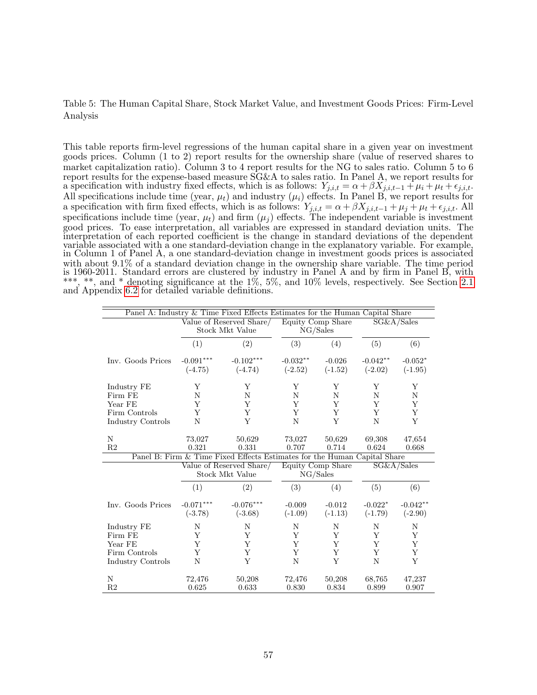## <span id="page-58-0"></span>Table 5: The Human Capital Share, Stock Market Value, and Investment Goods Prices: Firm-Level Analysis

This table reports firm-level regressions of the human capital share in a given year on investment goods prices. Column (1 to 2) report results for the ownership share (value of reserved shares to market capitalization ratio). Column 3 to 4 report results for the NG to sales ratio. Column 5 to 6 report results for the expense-based measure SG&A to sales ratio. In Panel A, we report results for a specification with industry fixed effects, which is as follows:  $Y_{j,i,t} = \alpha + \beta X_{j,i,t-1} + \mu_i + \mu_t + \epsilon_{j,i,t}$ . All specifications include time (year,  $\mu_t$ ) and industry ( $\mu_i$ ) effects. In Panel B, we report results for a specification with firm fixed effects, which is as follows:  $Y_{j,i,t} = \alpha + \beta X_{j,i,t-1} + \mu_j + \mu_t + \epsilon_{j,i,t}$ . All specifications include time (year,  $\mu_t$ ) and firm  $(\mu_j)$  effects. The independent variable is investment good prices. To ease interpretation, all variables are expressed in standard deviation units. The interpretation of each reported coefficient is the change in standard deviations of the dependent variable associated with a one standard-deviation change in the explanatory variable. For example, in Column 1 of Panel A, a one standard-deviation change in investment goods prices is associated with about 9.1% of a standard deviation change in the ownership share variable. The time period is 1960-2011. Standard errors are clustered by industry in Panel A and by firm in Panel B, with \*\*\*, \*\*, and \* denoting significance at the 1%, 5%, and 10% levels, respectively. See Section [2.1](#page-9-2) and Appendix [6.2](#page-48-1) for detailed variable definitions.

| Panel A: Industry & Time Fixed Effects Estimates for the Human Capital Share |                          |                                                                          |                               |                                                    |                         |                        |
|------------------------------------------------------------------------------|--------------------------|--------------------------------------------------------------------------|-------------------------------|----------------------------------------------------|-------------------------|------------------------|
|                                                                              |                          | Value of Reserved Share/<br>Stock Mkt Value                              | Equity Comp Share<br>NG/Sales |                                                    | SG&A/Sales              |                        |
|                                                                              | (1)                      | (2)                                                                      | (3)                           | (4)                                                | (5)                     | (6)                    |
| Inv. Goods Prices                                                            | $-0.091***$<br>$(-4.75)$ | $-0.102***$<br>$(-4.74)$                                                 | $-0.032**$<br>$(-2.52)$       | $-0.026$<br>$(-1.52)$                              | $-0.042**$<br>$(-2.02)$ | $-0.052*$<br>$(-1.95)$ |
| Industry FE                                                                  | Y                        | Y                                                                        | Y                             | Y                                                  | Y                       | Y                      |
| Firm FE                                                                      | N                        | N                                                                        | N                             | N                                                  | N                       | $\mathbf N$            |
| Year FE                                                                      | Y                        | Y                                                                        | Y                             | Y                                                  | Y                       | Υ                      |
| Firm Controls                                                                | Y                        | Y                                                                        | Y                             | Y                                                  | Y                       | Υ                      |
| Industry Controls                                                            | N                        | Y                                                                        | N                             | Y                                                  | N                       | Y                      |
|                                                                              |                          |                                                                          |                               |                                                    |                         |                        |
| N                                                                            | 73,027                   | 50,629                                                                   | 73,027                        | 50,629                                             | 69,308                  | 47,654                 |
| R <sub>2</sub>                                                               | 0.321                    | 0.331                                                                    | 0.707                         | 0.714                                              | 0.624                   | 0.668                  |
|                                                                              |                          | Panel B: Firm & Time Fixed Effects Estimates for the Human Capital Share |                               |                                                    |                         |                        |
|                                                                              |                          | Value of Reserved Share/<br>Stock Mkt Value                              |                               | <b>Equity Comp Share</b><br>SG&A/Sales<br>NG/Sales |                         |                        |
|                                                                              | (1)                      | (2)                                                                      | (3)                           | (4)                                                | (5)                     | (6)                    |
| Inv. Goods Prices                                                            | $-0.071***$              | $-0.076***$                                                              | $-0.009$                      | $-0.012$                                           | $-0.022*$               | $-0.042**$             |
|                                                                              | $(-3.78)$                | $(-3.68)$                                                                | $(-1.09)$                     | $(-1.13)$                                          | $(-1.79)$               | $(-2.90)$              |
| Industry FE                                                                  | N                        | N                                                                        | N                             | N                                                  | N                       | N                      |
| Firm FE                                                                      | Y                        | Y                                                                        | Y                             | Y                                                  | Y                       | Y                      |
| Year FE                                                                      | Y                        | Y                                                                        | Y                             | Y                                                  | Y                       | Y                      |
| Firm Controls                                                                | Y                        | Y                                                                        | Y                             | Y                                                  | Y                       | Y                      |
| Industry Controls                                                            | N                        | Y                                                                        | N                             | Y                                                  | N                       | Y                      |
| N                                                                            | 72,476                   | 50,208                                                                   | 72,476                        | 50,208                                             | 68,765                  | 47,237                 |
| R <sub>2</sub>                                                               | 0.625                    | 0.633                                                                    | 0.830                         | 0.834                                              | 0.899                   | 0.907                  |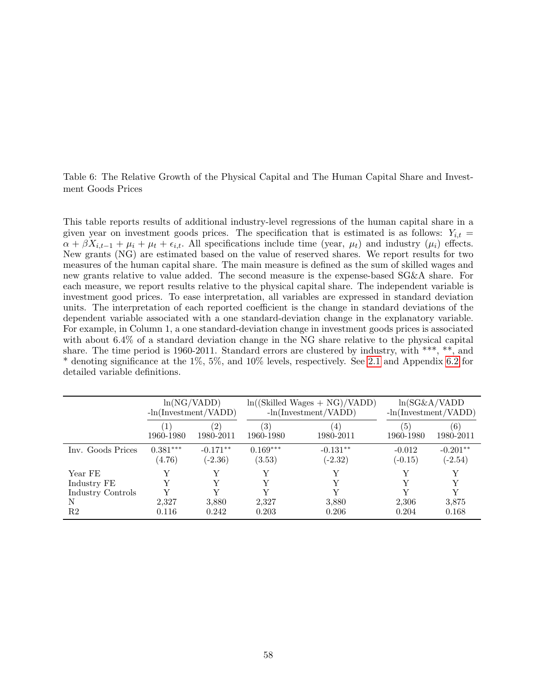<span id="page-59-0"></span>Table 6: The Relative Growth of the Physical Capital and The Human Capital Share and Investment Goods Prices

This table reports results of additional industry-level regressions of the human capital share in a given year on investment goods prices. The specification that is estimated is as follows:  $Y_{i,t}$  =  $\alpha + \beta X_{i,t-1} + \mu_i + \mu_t + \epsilon_{i,t}$ . All specifications include time (year,  $\mu_t$ ) and industry  $(\mu_i)$  effects. New grants (NG) are estimated based on the value of reserved shares. We report results for two measures of the human capital share. The main measure is defined as the sum of skilled wages and new grants relative to value added. The second measure is the expense-based SG&A share. For each measure, we report results relative to the physical capital share. The independent variable is investment good prices. To ease interpretation, all variables are expressed in standard deviation units. The interpretation of each reported coefficient is the change in standard deviations of the dependent variable associated with a one standard-deviation change in the explanatory variable. For example, in Column 1, a one standard-deviation change in investment goods prices is associated with about 6.4% of a standard deviation change in the NG share relative to the physical capital share. The time period is 1960-2011. Standard errors are clustered by industry, with \*\*\*, \*\*, and \* denoting significance at the 1%, 5%, and 10% levels, respectively. See [2.1](#page-9-2) and Appendix [6.2](#page-48-1) for detailed variable definitions.

|                        | ln(NG/VADD)<br>$-\ln(\text{Investment}/\text{VADD})$ |                         | $ln((Skilled\ Wages + NG)/VADD)$<br>$-\ln(\text{Investment}/\text{VADD})$ |                               | $ln(SG\&A/VADD)$<br>$-\ln(\text{Investment}/\text{VADD})$ |                         |
|------------------------|------------------------------------------------------|-------------------------|---------------------------------------------------------------------------|-------------------------------|-----------------------------------------------------------|-------------------------|
|                        | (1)<br>1960-1980                                     | (2)<br>1980-2011        | (3)<br>1960-1980                                                          | $\left(4\right)$<br>1980-2011 | (5)<br>1960-1980                                          | (6)<br>1980-2011        |
| Inv. Goods Prices      | $0.381***$<br>(4.76)                                 | $-0.171**$<br>$(-2.36)$ | $0.169***$<br>(3.53)                                                      | $-0.131**$<br>$(-2.32)$       | $-0.012$<br>$(-0.15)$                                     | $-0.201**$<br>$(-2.54)$ |
| Year FE<br>Industry FE |                                                      |                         | Y<br>Y                                                                    |                               |                                                           | Y<br>Y                  |
| Industry Controls      |                                                      |                         |                                                                           |                               |                                                           |                         |
| N                      | 2.327                                                | 3,880                   | 2,327                                                                     | 3,880                         | 2,306                                                     | 3,875                   |
| R2                     | 0.116                                                | 0.242                   | 0.203                                                                     | 0.206                         | 0.204                                                     | 0.168                   |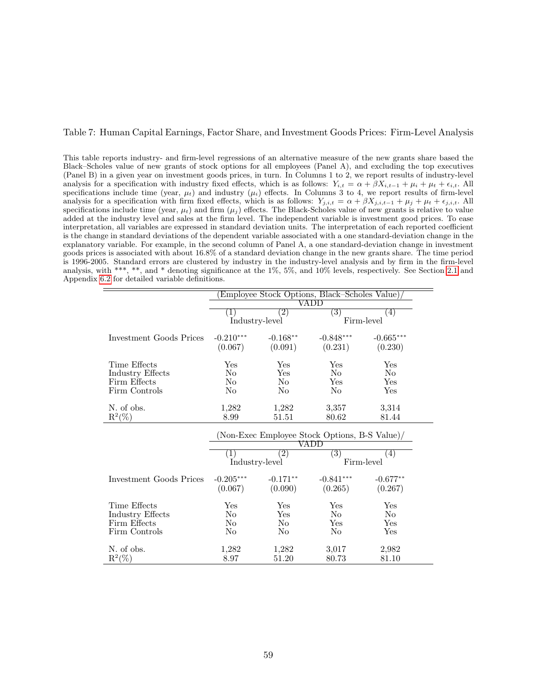#### <span id="page-60-0"></span>Table 7: Human Capital Earnings, Factor Share, and Investment Goods Prices: Firm-Level Analysis

This table reports industry- and firm-level regressions of an alternative measure of the new grants share based the Black–Scholes value of new grants of stock options for all employees (Panel A), and excluding the top executives (Panel B) in a given year on investment goods prices, in turn. In Columns 1 to 2, we report results of industry-level analysis for a specification with industry fixed effects, which is as follows:  $Y_{i,t} = \alpha + \beta X_{i,t-1} + \mu_i + \mu_t + \epsilon_{i,t}$ . All specifications include time (year,  $\mu_t$ ) and industry  $(\mu_i)$  effects. In Columns 3 to 4, we report results of firm-level analysis for a specification with firm fixed effects, which is as follows:  $Y_{j,i,t} = \alpha + \beta X_{j,i,t-1} + \mu_j + \mu_t + \epsilon_{j,i,t}$ . All specifications include time (year,  $\mu_t$ ) and firm ( $\mu_j$ ) effects. The Black-Scholes value of new grants is relative to value added at the industry level and sales at the firm level. The independent variable is investment good prices. To ease interpretation, all variables are expressed in standard deviation units. The interpretation of each reported coefficient is the change in standard deviations of the dependent variable associated with a one standard-deviation change in the explanatory variable. For example, in the second column of Panel A, a one standard-deviation change in investment goods prices is associated with about 16.8% of a standard deviation change in the new grants share. The time period is 1996-2005. Standard errors are clustered by industry in the industry-level analysis and by firm in the firm-level analysis, with \*\*\*, \*\*, and \* denoting significance at the 1%, 5%, and 10% levels, respectively. See Section [2.1](#page-9-2) and Appendix [6.2](#page-48-1) for detailed variable definitions.

| (Employee Stock Options, Black–Scholes Value)<br>VADD             |  |  |  |  |  |
|-------------------------------------------------------------------|--|--|--|--|--|
|                                                                   |  |  |  |  |  |
| (4)                                                               |  |  |  |  |  |
| Firm-level                                                        |  |  |  |  |  |
| $-0.665***$                                                       |  |  |  |  |  |
|                                                                   |  |  |  |  |  |
| (0.230)                                                           |  |  |  |  |  |
| Yes                                                               |  |  |  |  |  |
| No                                                                |  |  |  |  |  |
| Yes                                                               |  |  |  |  |  |
| Yes                                                               |  |  |  |  |  |
|                                                                   |  |  |  |  |  |
| 3,314                                                             |  |  |  |  |  |
| 81.44                                                             |  |  |  |  |  |
| (Non-Exec Employee Stock Options, B-S Value)<br>$\left( 3\right)$ |  |  |  |  |  |
| (4)                                                               |  |  |  |  |  |
|                                                                   |  |  |  |  |  |
| Firm-level                                                        |  |  |  |  |  |
|                                                                   |  |  |  |  |  |
| $-0.677**$                                                        |  |  |  |  |  |
| (0.267)                                                           |  |  |  |  |  |
|                                                                   |  |  |  |  |  |
| Yes                                                               |  |  |  |  |  |
| N <sub>o</sub>                                                    |  |  |  |  |  |
| Yes                                                               |  |  |  |  |  |
| Yes                                                               |  |  |  |  |  |
| 2,982                                                             |  |  |  |  |  |
|                                                                   |  |  |  |  |  |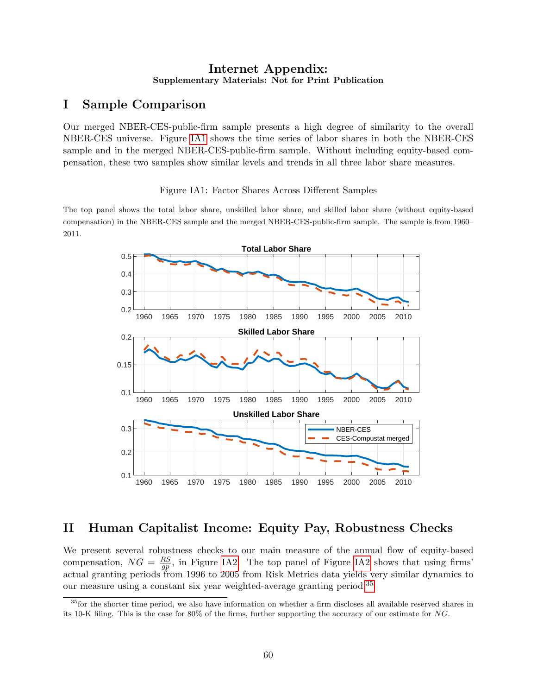## Internet Appendix: Supplementary Materials: Not for Print Publication

# I Sample Comparison

Our merged NBER-CES-public-firm sample presents a high degree of similarity to the overall NBER-CES universe. Figure [IA1](#page-13-0) shows the time series of labor shares in both the NBER-CES sample and in the merged NBER-CES-public-firm sample. Without including equity-based compensation, these two samples show similar levels and trends in all three labor share measures.

Figure IA1: Factor Shares Across Different Samples

The top panel shows the total labor share, unskilled labor share, and skilled labor share (without equity-based compensation) in the NBER-CES sample and the merged NBER-CES-public-firm sample. The sample is from 1960– 2011.



# II Human Capitalist Income: Equity Pay, Robustness Checks

We present several robustness checks to our main measure of the annual flow of equity-based compensation,  $NG = \frac{RS}{qn}$  $\frac{RS}{gp}$ , in Figure [IA2.](#page-14-0) The top panel of Figure [IA2](#page-14-0) shows that using firms' actual granting periods from 1996 to 2005 from Risk Metrics data yields very similar dynamics to our measure using a constant six year weighted-average granting period.[35](#page-61-0)

<span id="page-61-0"></span><sup>&</sup>lt;sup>35</sup>for the shorter time period, we also have information on whether a firm discloses all available reserved shares in its 10-K filing. This is the case for 80% of the firms, further supporting the accuracy of our estimate for NG.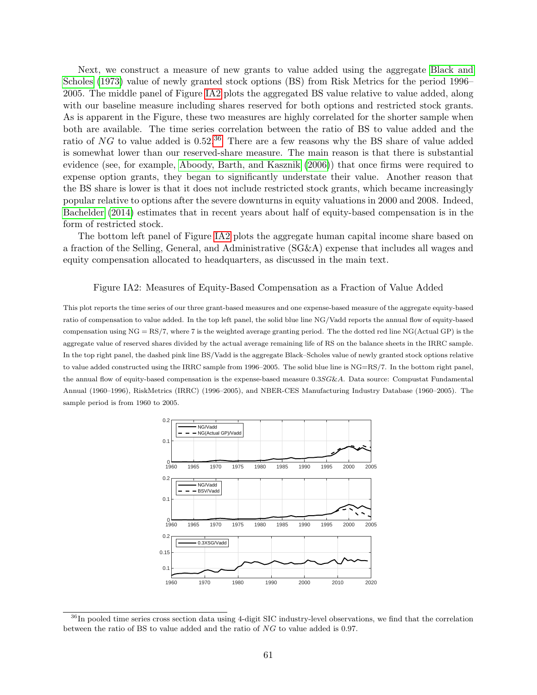Next, we construct a measure of new grants to value added using the aggregate [Black and](#page-43-16) [Scholes](#page-43-16) [\(1973\)](#page-43-16) value of newly granted stock options (BS) from Risk Metrics for the period 1996– 2005. The middle panel of Figure [IA2](#page-14-0) plots the aggregated BS value relative to value added, along with our baseline measure including shares reserved for both options and restricted stock grants. As is apparent in the Figure, these two measures are highly correlated for the shorter sample when both are available. The time series correlation between the ratio of BS to value added and the ratio of  $NG$  to value added is  $0.52<sup>36</sup>$  $0.52<sup>36</sup>$  $0.52<sup>36</sup>$ . There are a few reasons why the BS share of value added is somewhat lower than our reserved-share measure. The main reason is that there is substantial evidence (see, for example, [Aboody, Barth, and Kasznik](#page-43-15) [\(2006\)](#page-43-15)) that once firms were required to expense option grants, they began to significantly understate their value. Another reason that the BS share is lower is that it does not include restricted stock grants, which became increasingly popular relative to options after the severe downturns in equity valuations in 2000 and 2008. Indeed, [Bachelder](#page-43-17) [\(2014\)](#page-43-17) estimates that in recent years about half of equity-based compensation is in the form of restricted stock.

The bottom left panel of Figure [IA2](#page-14-0) plots the aggregate human capital income share based on a fraction of the Selling, General, and Administrative (SG&A) expense that includes all wages and equity compensation allocated to headquarters, as discussed in the main text.

#### Figure IA2: Measures of Equity-Based Compensation as a Fraction of Value Added

This plot reports the time series of our three grant-based measures and one expense-based measure of the aggregate equity-based ratio of compensation to value added. In the top left panel, the solid blue line NG/Vadd reports the annual flow of equity-based compensation using  $NG = RS/7$ , where 7 is the weighted average granting period. The the dotted red line  $NG(Actual GP)$  is the aggregate value of reserved shares divided by the actual average remaining life of RS on the balance sheets in the IRRC sample. In the top right panel, the dashed pink line BS/Vadd is the aggregate Black–Scholes value of newly granted stock options relative to value added constructed using the IRRC sample from 1996–2005. The solid blue line is NG=RS/7. In the bottom right panel, the annual flow of equity-based compensation is the expense-based measure 0.3SG&A. Data source: Compustat Fundamental Annual (1960–1996), RiskMetrics (IRRC) (1996–2005), and NBER-CES Manufacturing Industry Database (1960–2005). The sample period is from 1960 to 2005.



<span id="page-62-0"></span> $36$ In pooled time series cross section data using 4-digit SIC industry-level observations, we find that the correlation between the ratio of BS to value added and the ratio of NG to value added is 0.97.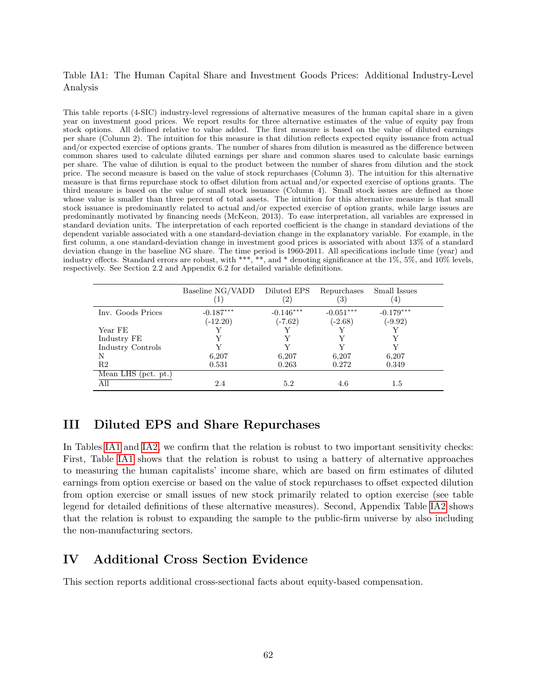## Table IA1: The Human Capital Share and Investment Goods Prices: Additional Industry-Level Analysis

This table reports (4-SIC) industry-level regressions of alternative measures of the human capital share in a given year on investment good prices. We report results for three alternative estimates of the value of equity pay from stock options. All defined relative to value added. The first measure is based on the value of diluted earnings per share (Column 2). The intuition for this measure is that dilution reflects expected equity issuance from actual and/or expected exercise of options grants. The number of shares from dilution is measured as the difference between common shares used to calculate diluted earnings per share and common shares used to calculate basic earnings per share. The value of dilution is equal to the product between the number of shares from dilution and the stock price. The second measure is based on the value of stock repurchases (Column 3). The intuition for this alternative measure is that firms repurchase stock to offset dilution from actual and/or expected exercise of options grants. The third measure is based on the value of small stock issuance (Column 4). Small stock issues are defined as those whose value is smaller than three percent of total assets. The intuition for this alternative measure is that small stock issuance is predominantly related to actual and/or expected exercise of option grants, while large issues are predominantly motivated by financing needs (McKeon, 2013). To ease interpretation, all variables are expressed in standard deviation units. The interpretation of each reported coefficient is the change in standard deviations of the dependent variable associated with a one standard-deviation change in the explanatory variable. For example, in the first column, a one standard-deviation change in investment good prices is associated with about 13% of a standard deviation change in the baseline NG share. The time period is 1960-2011. All specifications include time (year) and industry effects. Standard errors are robust, with \*\*\*, \*\*, and \* denoting significance at the 1%, 5%, and 10% levels, respectively. See Section 2.2 and Appendix 6.2 for detailed variable definitions.

|                                         | Baseline NG/VADD          | Diluted EPS<br>(2)       | Repurchases<br>(3)       | Small Issues<br>$\left(4\right)$ |
|-----------------------------------------|---------------------------|--------------------------|--------------------------|----------------------------------|
| Inv. Goods Prices                       | $-0.187***$<br>$(-12.20)$ | $-0.146***$<br>$(-7.62)$ | $-0.051***$<br>$(-2.68)$ | $-0.179***$<br>$(-9.92)$         |
| Year FE                                 |                           |                          |                          |                                  |
| Industry FE                             |                           |                          |                          |                                  |
| Industry Controls                       |                           |                          |                          |                                  |
| N                                       | 6,207                     | 6,207                    | 6,207                    | 6,207                            |
| R <sub>2</sub>                          | 0.531                     | 0.263                    | 0.272                    | 0.349                            |
| $\overline{\text{Mean LHS (pot. pt.)}}$ |                           |                          |                          |                                  |
| All                                     | 2.4                       | 5.2                      | 4.6                      | 1.5                              |

# III Diluted EPS and Share Repurchases

In Tables [IA1](#page-41-0) and [IA2,](#page-54-0) we confirm that the relation is robust to two important sensitivity checks: First, Table [IA1](#page-41-0) shows that the relation is robust to using a battery of alternative approaches to measuring the human capitalists' income share, which are based on firm estimates of diluted earnings from option exercise or based on the value of stock repurchases to offset expected dilution from option exercise or small issues of new stock primarily related to option exercise (see table legend for detailed definitions of these alternative measures). Second, Appendix Table [IA2](#page-54-0) shows that the relation is robust to expanding the sample to the public-firm universe by also including the non-manufacturing sectors.

# IV Additional Cross Section Evidence

This section reports additional cross-sectional facts about equity-based compensation.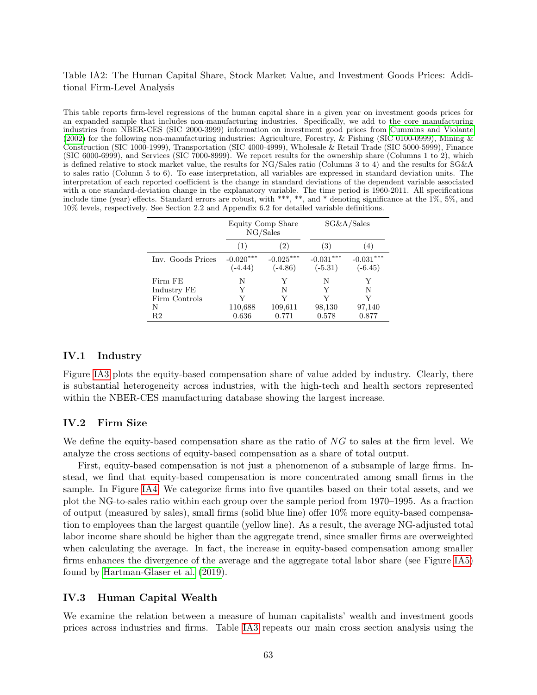## Table IA2: The Human Capital Share, Stock Market Value, and Investment Goods Prices: Additional Firm-Level Analysis

This table reports firm-level regressions of the human capital share in a given year on investment goods prices for an expanded sample that includes non-manufacturing industries. Specifically, we add to the core manufacturing industries from NBER-CES (SIC 2000-3999) information on investment good prices from [Cummins and Violante](#page-44-17) [\(2002\)](#page-44-17) for the following non-manufacturing industries: Agriculture, Forestry, & Fishing (SIC 0100-0999), Mining & Construction (SIC 1000-1999), Transportation (SIC 4000-4999), Wholesale & Retail Trade (SIC 5000-5999), Finance (SIC 6000-6999), and Services (SIC 7000-8999). We report results for the ownership share (Columns 1 to 2), which is defined relative to stock market value, the results for NG/Sales ratio (Columns 3 to 4) and the results for SG&A to sales ratio (Column 5 to 6). To ease interpretation, all variables are expressed in standard deviation units. The interpretation of each reported coefficient is the change in standard deviations of the dependent variable associated with a one standard-deviation change in the explanatory variable. The time period is 1960-2011. All specifications include time (year) effects. Standard errors are robust, with \*\*\*, \*\*, and \* denoting significance at the  $1\%$ , 5%, and 10% levels, respectively. See Section 2.2 and Appendix 6.2 for detailed variable definitions.

|                   | Equity Comp Share<br>NG/Sales |                          |                          | SG&A/Sales               |
|-------------------|-------------------------------|--------------------------|--------------------------|--------------------------|
|                   | (1)                           | (2)                      | (3)                      | (4)                      |
| Inv. Goods Prices | $-0.020***$<br>$(-4.44)$      | $-0.025***$<br>$(-4.86)$ | $-0.031***$<br>$(-5.31)$ | $-0.031***$<br>$(-6.45)$ |
| Firm FE           | N                             | Y                        | N                        | Y                        |
| Industry FE       |                               | N                        | Y                        | N                        |
| Firm Controls     |                               | V                        |                          | V                        |
| N                 | 110,688                       | 109,611                  | 98,130                   | 97,140                   |
| R <sub>2</sub>    | 0.636                         | 0.771                    | 0.578                    | 0.877                    |

### IV.1 Industry

Figure [IA3](#page-21-0) plots the equity-based compensation share of value added by industry. Clearly, there is substantial heterogeneity across industries, with the high-tech and health sectors represented within the NBER-CES manufacturing database showing the largest increase.

#### IV.2 Firm Size

We define the equity-based compensation share as the ratio of  $NG$  to sales at the firm level. We analyze the cross sections of equity-based compensation as a share of total output.

First, equity-based compensation is not just a phenomenon of a subsample of large firms. Instead, we find that equity-based compensation is more concentrated among small firms in the sample. In Figure [IA4,](#page-22-1) We categorize firms into five quantiles based on their total assets, and we plot the NG-to-sales ratio within each group over the sample period from 1970–1995. As a fraction of output (measured by sales), small firms (solid blue line) offer 10% more equity-based compensation to employees than the largest quantile (yellow line). As a result, the average NG-adjusted total labor income share should be higher than the aggregate trend, since smaller firms are overweighted when calculating the average. In fact, the increase in equity-based compensation among smaller firms enhances the divergence of the average and the aggregate total labor share (see Figure [IA5\)](#page-38-1) found by [Hartman-Glaser et al.](#page-45-7) [\(2019\)](#page-45-7).

### IV.3 Human Capital Wealth

We examine the relation between a measure of human capitalists' wealth and investment goods prices across industries and firms. Table [IA3](#page-56-0) repeats our main cross section analysis using the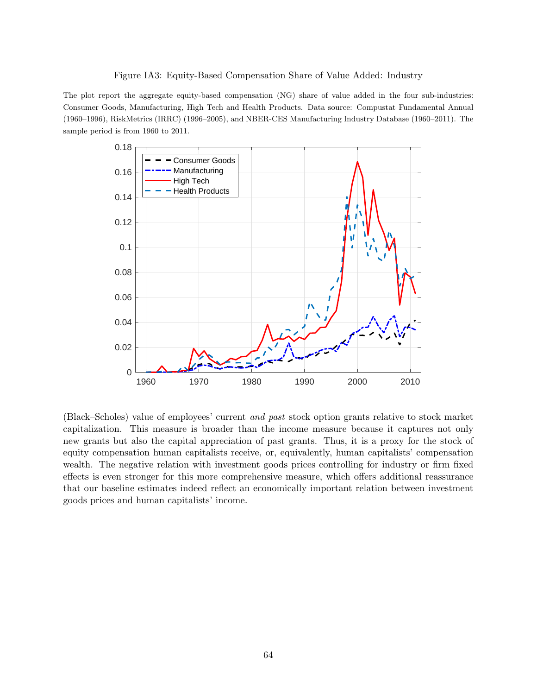#### Figure IA3: Equity-Based Compensation Share of Value Added: Industry

The plot report the aggregate equity-based compensation (NG) share of value added in the four sub-industries: Consumer Goods, Manufacturing, High Tech and Health Products. Data source: Compustat Fundamental Annual (1960–1996), RiskMetrics (IRRC) (1996–2005), and NBER-CES Manufacturing Industry Database (1960–2011). The sample period is from 1960 to 2011.



(Black–Scholes) value of employees' current and past stock option grants relative to stock market capitalization. This measure is broader than the income measure because it captures not only new grants but also the capital appreciation of past grants. Thus, it is a proxy for the stock of equity compensation human capitalists receive, or, equivalently, human capitalists' compensation wealth. The negative relation with investment goods prices controlling for industry or firm fixed effects is even stronger for this more comprehensive measure, which offers additional reassurance that our baseline estimates indeed reflect an economically important relation between investment goods prices and human capitalists' income.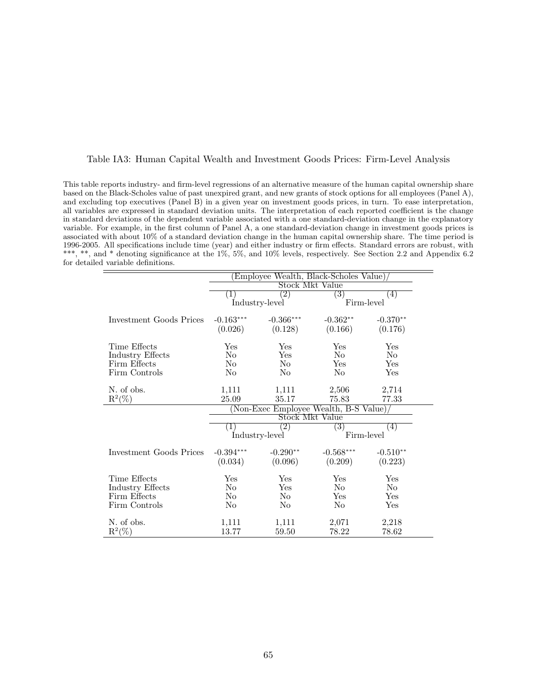#### Table IA3: Human Capital Wealth and Investment Goods Prices: Firm-Level Analysis

This table reports industry- and firm-level regressions of an alternative measure of the human capital ownership share based on the Black-Scholes value of past unexpired grant, and new grants of stock options for all employees (Panel A), and excluding top executives (Panel B) in a given year on investment goods prices, in turn. To ease interpretation, all variables are expressed in standard deviation units. The interpretation of each reported coefficient is the change in standard deviations of the dependent variable associated with a one standard-deviation change in the explanatory variable. For example, in the first column of Panel A, a one standard-deviation change in investment goods prices is associated with about 10% of a standard deviation change in the human capital ownership share. The time period is 1996-2005. All specifications include time (year) and either industry or firm effects. Standard errors are robust, with \*\*\*, \*\*, and \* denoting significance at the 1%, 5%, and 10% levels, respectively. See Section 2.2 and Appendix 6.2 for detailed variable definitions.

|                         | Employee Wealth, Black-Scholes Value)   |                   |                  |                   |
|-------------------------|-----------------------------------------|-------------------|------------------|-------------------|
|                         | Stock Mkt Value                         |                   |                  |                   |
|                         | $\pm$                                   | $\overline{2)}$   | 3)               | $\left( 4\right)$ |
|                         | Industry-level                          |                   | Firm-level       |                   |
| Investment Goods Prices | $-0.163***$                             | $-0.366***$       | $-0.362**$       | $-0.370**$        |
|                         | (0.026)                                 | (0.128)           | (0.166)          | (0.176)           |
| Time Effects            | Yes                                     | Yes               | Yes              | Yes               |
| Industry Effects        | N <sub>0</sub>                          | Yes               | N <sub>0</sub>   | No                |
| Firm Effects            | N <sub>0</sub>                          | N <sub>0</sub>    | Yes              | Yes               |
| Firm Controls           | N <sub>0</sub>                          | N <sub>0</sub>    | N <sub>0</sub>   | Yes               |
|                         |                                         |                   |                  |                   |
| N. of obs.              | 1,111                                   | 1,111             | 2,506            | 2,714             |
| $R^2(\%)$               | 25.09                                   | 35.17             | 75.83            | 77.33             |
|                         | $(Non-Exec$ Employee Wealth, B-S Value) |                   |                  |                   |
|                         | Stock Mkt Value                         |                   |                  |                   |
|                         | ( L)                                    | $\left( 2\right)$ | $\left(3\right)$ | (4)               |
|                         | Industry-level                          |                   | Firm-level       |                   |
| Investment Goods Prices | $-0.394***$                             | $-0.290**$        | $-0.568***$      | $-0.510**$        |
|                         | (0.034)                                 | (0.096)           | (0.209)          | (0.223)           |
|                         |                                         |                   |                  |                   |
| Time Effects            | Yes                                     | Yes               | Yes              | Yes               |
| <b>Industry Effects</b> | No                                      | Yes               | No               | No                |
| Firm Effects            | No                                      | N <sub>0</sub>    | Yes              | Yes               |
| Firm Controls           | N <sub>0</sub>                          | N <sub>0</sub>    | N <sub>0</sub>   | Yes               |
| N. of obs.              | 1,111                                   | 1,111             | 2,071            | 2,218             |
| $R^2(\%)$               | 13.77                                   | 59.50             | 78.22            | 78.62             |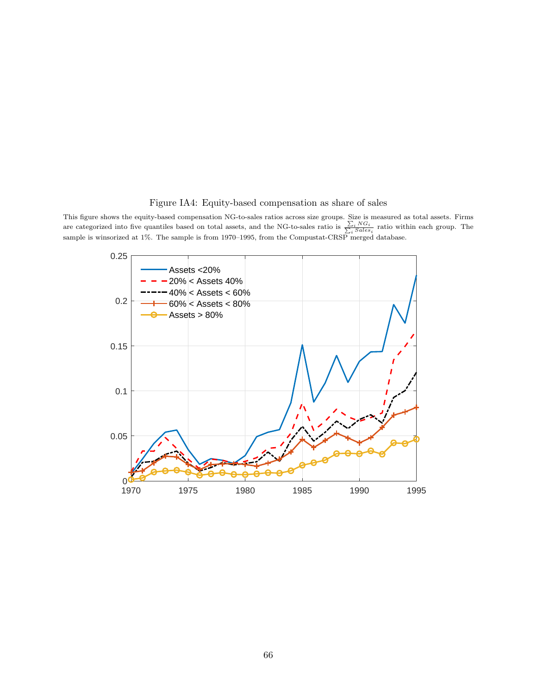## Figure IA4: Equity-based compensation as share of sales

This figure shows the equity-based compensation NG-to-sales ratios across size groups. Size is measured as total assets. Firms are categorized into five quantiles based on total assets, and the NG-to-sales ratio is  $\frac{\sum_i NG_i}{\sum_i Sales_i}$  ratio within each group. The sample is winsorized at 1%. The sample is from 1970–1995, from the Compustat-CRSP merged database.

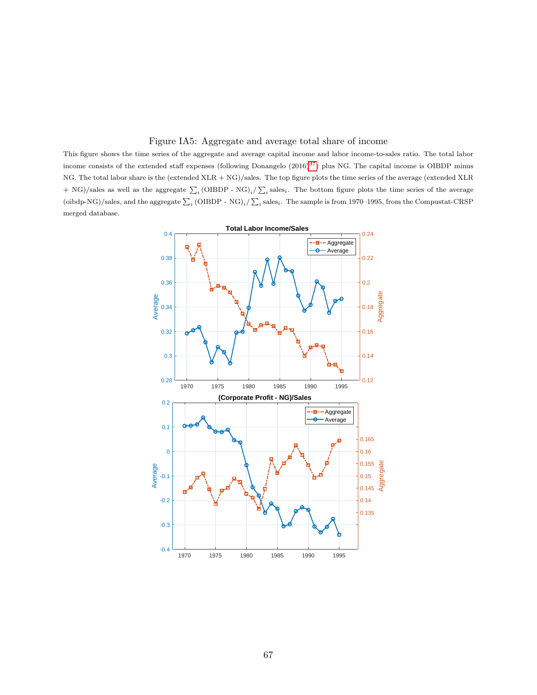#### Figure IA5: Aggregate and average total share of income

This figure shows the time series of the aggregate and average capital income and labor income-to-sales ratio. The total labor income consists of the extended staff expenses (following Donangelo  $(2016)^{37}$  $(2016)^{37}$  $(2016)^{37}$ ) plus NG. The capital income is OIBDP minus NG. The total labor share is the (extended XLR + NG)/sales. The top figure plots the time series of the average (extended XLR  $+$  NG)/sales as well as the aggregate  $\sum_i (\text{OIBDP - NG})_i / \sum_i \text{sales}_i$ . The bottom figure plots the time series of the average (oibdp-NG)/sales, and the aggregate  $\sum_i$  (OIBDP - NG)<sub>i</sub>/ $\sum_i$  sales<sub>i</sub>. The sample is from 1970–1995, from the Compustat-CRSP merged database.